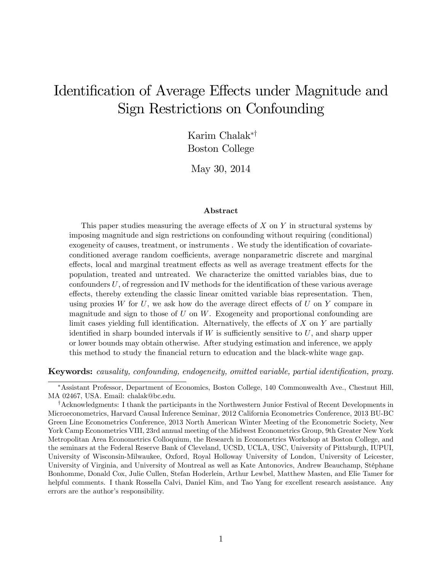# Identification of Average Effects under Magnitude and Sign Restrictions on Confounding

Karim Chalak\*<sup>†</sup> Boston College

May 30, 2014

#### Abstract

This paper studies measuring the average effects of  $X$  on  $Y$  in structural systems by imposing magnitude and sign restrictions on confounding without requiring (conditional) exogeneity of causes, treatment, or instruments . We study the identification of covariateconditioned average random coefficients, average nonparametric discrete and marginal effects, local and marginal treatment effects as well as average treatment effects for the population, treated and untreated. We characterize the omitted variables bias, due to confounders  $U$ , of regression and IV methods for the identification of these various average effects, thereby extending the classic linear omitted variable bias representation. Then, using proxies W for U, we ask how do the average direct effects of U on Y compare in magnitude and sign to those of  $U$  on  $W$ . Exogeneity and proportional confounding are limit cases yielding full identification. Alternatively, the effects of  $X$  on  $Y$  are partially identified in sharp bounded intervals if  $W$  is sufficiently sensitive to  $U$ , and sharp upper or lower bounds may obtain otherwise. After studying estimation and inference, we apply this method to study the Önancial return to education and the black-white wage gap.

Keywords: causality, confounding, endogeneity, omitted variable, partial identification, proxy.

Assistant Professor, Department of Economics, Boston College, 140 Commonwealth Ave., Chestnut Hill, MA 02467, USA. Email: chalak@bc.edu.

<sup>&</sup>lt;sup>†</sup>Acknowledgments: I thank the participants in the Northwestern Junior Festival of Recent Developments in Microeconometrics, Harvard Causal Inference Seminar, 2012 California Econometrics Conference, 2013 BU-BC Green Line Econometrics Conference, 2013 North American Winter Meeting of the Econometric Society, New York Camp Econometrics VIII, 23rd annual meeting of the Midwest Econometrics Group, 9th Greater New York Metropolitan Area Econometrics Colloquium, the Research in Econometrics Workshop at Boston College, and the seminars at the Federal Reserve Bank of Cleveland, UCSD, UCLA, USC, University of Pittsburgh, IUPUI, University of Wisconsin-Milwaukee, Oxford, Royal Holloway University of London, University of Leicester, University of Virginia, and University of Montreal as well as Kate Antonovics, Andrew Beauchamp, Stéphane Bonhomme, Donald Cox, Julie Cullen, Stefan Hoderlein, Arthur Lewbel, Matthew Masten, and Elie Tamer for helpful comments. I thank Rossella Calvi, Daniel Kim, and Tao Yang for excellent research assistance. Any errors are the author's responsibility.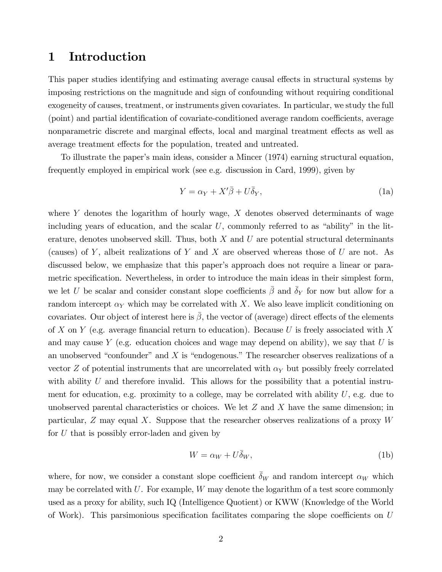## 1 Introduction

This paper studies identifying and estimating average causal effects in structural systems by imposing restrictions on the magnitude and sign of confounding without requiring conditional exogeneity of causes, treatment, or instruments given covariates. In particular, we study the full (point) and partial identification of covariate-conditioned average random coefficients, average nonparametric discrete and marginal effects, local and marginal treatment effects as well as average treatment effects for the population, treated and untreated.

To illustrate the paperís main ideas, consider a Mincer (1974) earning structural equation, frequently employed in empirical work (see e.g. discussion in Card, 1999), given by

$$
Y = \alpha_Y + X'\bar{\beta} + U\bar{\delta}_Y,\tag{1a}
$$

where Y denotes the logarithm of hourly wage,  $X$  denotes observed determinants of wage including years of education, and the scalar  $U$ , commonly referred to as "ability" in the literature, denotes unobserved skill. Thus, both  $X$  and  $U$  are potential structural determinants (causes) of Y, albeit realizations of Y and X are observed whereas those of U are not. As discussed below, we emphasize that this paper's approach does not require a linear or parametric specification. Nevertheless, in order to introduce the main ideas in their simplest form, we let U be scalar and consider constant slope coefficients  $\bar{\beta}$  and  $\bar{\delta}_Y$  for now but allow for a random intercept  $\alpha_Y$  which may be correlated with X. We also leave implicit conditioning on covariates. Our object of interest here is  $\beta$ , the vector of (average) direct effects of the elements of X on Y (e.g. average financial return to education). Because U is freely associated with X and may cause Y (e.g. education choices and wage may depend on ability), we say that  $U$  is an unobserved "confounder" and  $X$  is "endogenous." The researcher observes realizations of a vector Z of potential instruments that are uncorrelated with  $\alpha_Y$  but possibly freely correlated with ability U and therefore invalid. This allows for the possibility that a potential instrument for education, e.g. proximity to a college, may be correlated with ability  $U$ , e.g. due to unobserved parental characteristics or choices. We let  $Z$  and  $X$  have the same dimension; in particular,  $Z$  may equal  $X$ . Suppose that the researcher observes realizations of a proxy  $W$ for U that is possibly error-laden and given by

$$
W = \alpha_W + U\overline{\delta}_W,\tag{1b}
$$

where, for now, we consider a constant slope coefficient  $\delta_W$  and random intercept  $\alpha_W$  which may be correlated with  $U$ . For example,  $W$  may denote the logarithm of a test score commonly used as a proxy for ability, such IQ (Intelligence Quotient) or KWW (Knowledge of the World of Work). This parsimonious specification facilitates comparing the slope coefficients on  $U$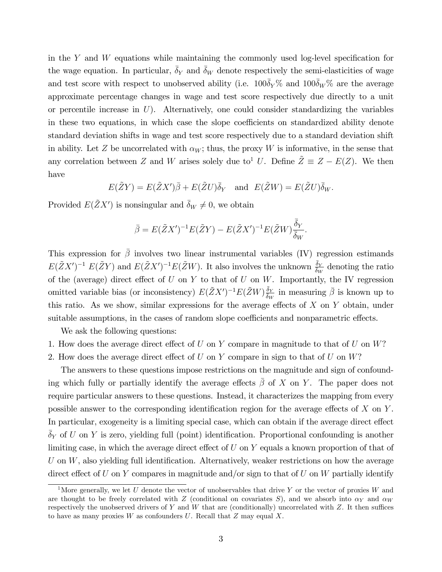in the Y and W equations while maintaining the commonly used log-level specification for the wage equation. In particular,  $\delta_Y$  and  $\delta_W$  denote respectively the semi-elasticities of wage and test score with respect to unobserved ability (i.e.  $100\bar{\delta}_Y\%$  and  $100\bar{\delta}_W\%$  are the average approximate percentage changes in wage and test score respectively due directly to a unit or percentile increase in  $U$ ). Alternatively, one could consider standardizing the variables in these two equations, in which case the slope coefficients on standardized ability denote standard deviation shifts in wage and test score respectively due to a standard deviation shift in ability. Let Z be uncorrelated with  $\alpha_W$ ; thus, the proxy W is informative, in the sense that any correlation between Z and W arises solely due to<sup>1</sup> U. Define  $\tilde{Z} \equiv Z - E(Z)$ . We then have

$$
E(\tilde{Z}Y) = E(\tilde{Z}X')\overline{\beta} + E(\tilde{Z}U)\overline{\delta}_Y
$$
 and  $E(\tilde{Z}W) = E(\tilde{Z}U)\overline{\delta}_W$ .

Provided  $E(\tilde{Z}X')$  is nonsingular and  $\bar{\delta}_W \neq 0$ , we obtain

$$
\bar{\beta} = E(\tilde{Z}X')^{-1}E(\tilde{Z}Y) - E(\tilde{Z}X')^{-1}E(\tilde{Z}W)\frac{\bar{\delta}_Y}{\bar{\delta}_W}.
$$

This expression for  $\bar{\beta}$  involves two linear instrumental variables (IV) regression estimands  $E(\tilde{Z}X')^{-1} E(\tilde{Z}Y)$  and  $E(\tilde{Z}X')^{-1} E(\tilde{Z}W)$ . It also involves the unknown  $\frac{\bar{\delta}_Y}{\delta_W}$  denoting the ratio of the (average) direct effect of  $U$  on  $Y$  to that of  $U$  on  $W$ . Importantly, the IV regression omitted variable bias (or inconsistency)  $E(\tilde{Z}X')^{-1}E(\tilde{Z}W)\frac{\delta_Y}{\delta_W}$  in measuring  $\bar{\beta}$  is known up to this ratio. As we show, similar expressions for the average effects of  $X$  on  $Y$  obtain, under suitable assumptions, in the cases of random slope coefficients and nonparametric effects.

We ask the following questions:

- 1. How does the average direct effect of  $U$  on  $Y$  compare in magnitude to that of  $U$  on  $W$ ?
- 2. How does the average direct effect of  $U$  on  $Y$  compare in sign to that of  $U$  on  $W$ ?

The answers to these questions impose restrictions on the magnitude and sign of confounding which fully or partially identify the average effects  $\bar{\beta}$  of X on Y. The paper does not require particular answers to these questions. Instead, it characterizes the mapping from every possible answer to the corresponding identification region for the average effects of  $X$  on  $Y$ . In particular, exogeneity is a limiting special case, which can obtain if the average direct effect  $\delta_Y$  of U on Y is zero, yielding full (point) identification. Proportional confounding is another limiting case, in which the average direct effect of  $U$  on  $Y$  equals a known proportion of that of U on  $W$ , also yielding full identification. Alternatively, weaker restrictions on how the average direct effect of U on Y compares in magnitude and/or sign to that of U on W partially identify

<sup>&</sup>lt;sup>1</sup>More generally, we let U denote the vector of unobservables that drive Y or the vector of proxies W and are thought to be freely correlated with Z (conditional on covariates S), and we absorb into  $\alpha_Y$  and  $\alpha_W$ respectively the unobserved drivers of Y and W that are (conditionally) uncorrelated with  $Z$ . It then suffices to have as many proxies  $W$  as confounders  $U$ . Recall that  $Z$  may equal  $X$ .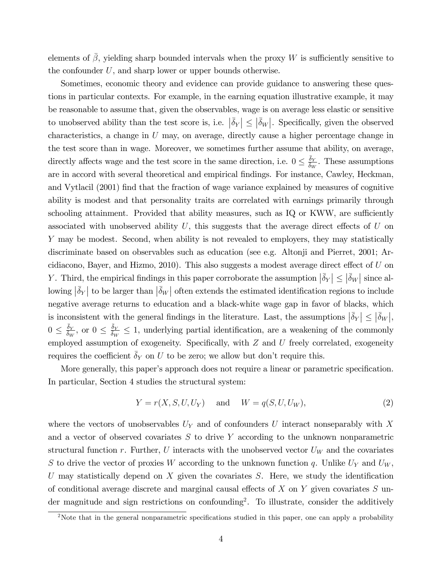elements of  $\beta$ , yielding sharp bounded intervals when the proxy W is sufficiently sensitive to the confounder  $U$ , and sharp lower or upper bounds otherwise.

Sometimes, economic theory and evidence can provide guidance to answering these questions in particular contexts. For example, in the earning equation illustrative example, it may be reasonable to assume that, given the observables, wage is on average less elastic or sensitive to unobserved ability than the test score is, i.e.  $|\bar{\delta}_Y| \leq |\bar{\delta}_W|$ . Specifically, given the observed characteristics, a change in U may, on average, directly cause a higher percentage change in the test score than in wage. Moreover, we sometimes further assume that ability, on average, directly affects wage and the test score in the same direction, i.e.  $0 \le \frac{\bar{\delta}_Y}{\bar{\delta}_W}$ . These assumptions are in accord with several theoretical and empirical findings. For instance, Cawley, Heckman, and Vytlacil (2001) find that the fraction of wage variance explained by measures of cognitive ability is modest and that personality traits are correlated with earnings primarily through schooling attainment. Provided that ability measures, such as IQ or KWW, are sufficiently associated with unobserved ability  $U$ , this suggests that the average direct effects of  $U$  on Y may be modest. Second, when ability is not revealed to employers, they may statistically discriminate based on observables such as education (see e.g. Altonji and Pierret, 2001; Arcidiacono, Bayer, and Hizmo, 2010). This also suggests a modest average direct effect of  $U$  on Y. Third, the empirical findings in this paper corroborate the assumption  $|\bar{\delta}_Y| \leq |\bar{\delta}_W|$  since al- $\lfloor \bar{\delta}_Y \rfloor$  to be larger than  $\lfloor \bar{\delta}_W \rfloor$  often extends the estimated identification regions to include negative average returns to education and a black-white wage gap in favor of blacks, which is inconsistent with the general findings in the literature. Last, the assumptions  $|\bar{\delta}_Y| \leq |\bar{\delta}_W|$ ,  $0 \le \frac{\bar{\delta}_Y}{\bar{\delta}_W}$ , or  $0 \le \frac{\bar{\delta}_Y}{\bar{\delta}_W} \le 1$ , underlying partial identification, are a weakening of the commonly employed assumption of exogeneity. Specifically, with  $Z$  and  $U$  freely correlated, exogeneity requires the coefficient  $\bar{\delta}_Y$  on U to be zero; we allow but don't require this.

More generally, this paper's approach does not require a linear or parametric specification. In particular, Section 4 studies the structural system:

$$
Y = r(X, S, U, U_Y) \quad \text{and} \quad W = q(S, U, U_W), \tag{2}
$$

where the vectors of unobservables  $U_Y$  and of confounders U interact nonseparably with X and a vector of observed covariates  $S$  to drive  $Y$  according to the unknown nonparametric structural function r. Further, U interacts with the unobserved vector  $U_W$  and the covariates S to drive the vector of proxies W according to the unknown function q. Unlike  $U_Y$  and  $U_W$ , U may statistically depend on  $X$  given the covariates  $S$ . Here, we study the identification of conditional average discrete and marginal causal effects of  $X$  on  $Y$  given covariates  $S$  under magnitude and sign restrictions on confounding<sup>2</sup>. To illustrate, consider the additively

 $2$ Note that in the general nonparametric specifications studied in this paper, one can apply a probability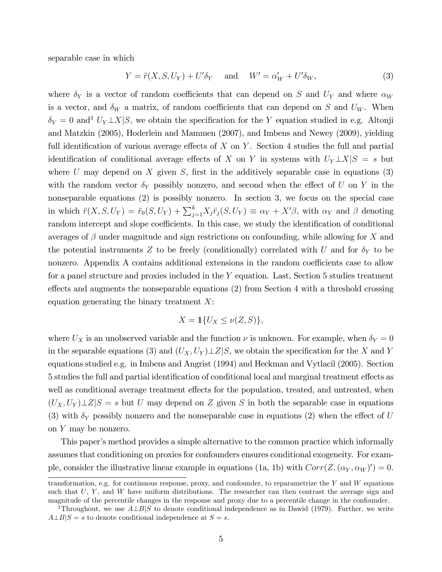separable case in which

$$
Y = \ddot{r}(X, S, U_Y) + U'\delta_Y \quad \text{and} \quad W' = \alpha'_W + U'\delta_W,\tag{3}
$$

where  $\delta_Y$  is a vector of random coefficients that can depend on S and  $U_Y$  and where  $\alpha_W$ is a vector, and  $\delta_W$  a matrix, of random coefficients that can depend on S and  $U_W$ . When  $\delta_Y = 0$  and<sup>3</sup>  $U_Y \perp X|S$ , we obtain the specification for the Y equation studied in e.g. Altonji and Matzkin (2005), Hoderlein and Mammen (2007), and Imbens and Newey (2009), yielding full identification of various average effects of  $X$  on  $Y$ . Section 4 studies the full and partial identification of conditional average effects of X on Y in systems with  $U_Y \perp X|S = s$  but where U may depend on X given S, first in the additively separable case in equations  $(3)$ with the random vector  $\delta_Y$  possibly nonzero, and second when the effect of U on Y in the nonseparable equations (2) is possibly nonzero. In section 3, we focus on the special case in which  $\ddot{r}(X, S, U_Y) = \ddot{r}_0(S, U_Y) + \sum_{j=1}^k X_j \ddot{r}_j(S, U_Y) \equiv \alpha_Y + X'\beta$ , with  $\alpha_Y$  and  $\beta$  denoting random intercept and slope coefficients. In this case, we study the identification of conditional averages of  $\beta$  under magnitude and sign restrictions on confounding, while allowing for X and the potential instruments Z to be freely (conditionally) correlated with U and for  $\delta_Y$  to be nonzero. Appendix A contains additional extensions in the random coefficients case to allow for a panel structure and proxies included in the Y equation. Last, Section 5 studies treatment effects and augments the nonseparable equations  $(2)$  from Section 4 with a threshold crossing equation generating the binary treatment  $X$ :

$$
X=\mathbf{1}\{U_X\leq \nu(Z,S)\},\
$$

where  $U_X$  is an unobserved variable and the function  $\nu$  is unknown. For example, when  $\delta_Y = 0$ in the separable equations (3) and  $(U_X, U_Y) \perp Z \mid S$ , we obtain the specification for the X and Y equations studied e.g. in Imbens and Angrist (1994) and Heckman and Vytlacil (2005). Section 5 studies the full and partial identification of conditional local and marginal treatment effects as well as conditional average treatment effects for the population, treated, and untreated, when  $(U_X, U_Y) \perp Z | S = s$  but U may depend on Z given S in both the separable case in equations (3) with  $\delta_Y$  possibly nonzero and the nonseparable case in equations (2) when the effect of U on Y may be nonzero.

This paper's method provides a simple alternative to the common practice which informally assumes that conditioning on proxies for confounders ensures conditional exogeneity. For example, consider the illustrative linear example in equations (1a, 1b) with  $Corr(Z, (\alpha_Y, \alpha_W)' ) = 0$ .

transformation, e.g. for continuous response, proxy, and confounder, to reparametrize the  $Y$  and  $W$  equations such that  $U, Y$ , and  $W$  have uniform distributions. The researcher can then contrast the average sign and magnitude of the percentile changes in the response and proxy due to a percentile change in the confounder.

<sup>&</sup>lt;sup>3</sup>Throughout, we use  $A \perp B|S$  to denote conditional independence as in Dawid (1979). Further, we write  $A \perp B | S = s$  to denote conditional independence at  $S = s$ .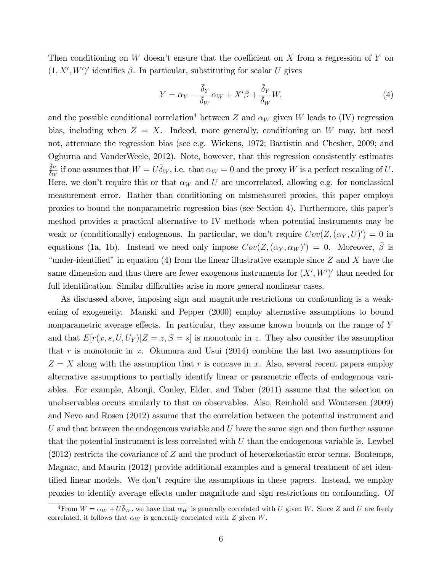Then conditioning on W doesn't ensure that the coefficient on  $X$  from a regression of Y on  $(1, X', W')'$  identifies  $\overline{\beta}$ . In particular, substituting for scalar U gives

$$
Y = \alpha_Y - \frac{\bar{\delta}_Y}{\bar{\delta}_W} \alpha_W + X'\bar{\beta} + \frac{\bar{\delta}_Y}{\bar{\delta}_W} W,\tag{4}
$$

and the possible conditional correlation<sup>4</sup> between Z and  $\alpha_W$  given W leads to (IV) regression bias, including when  $Z = X$ . Indeed, more generally, conditioning on W may, but need not, attenuate the regression bias (see e.g. Wickens, 1972; Battistin and Chesher, 2009; and Ogburna and VanderWeele, 2012). Note, however, that this regression consistently estimates  $\frac{\bar{\delta}_Y}{\bar{\delta}_W}$  if one assumes that  $W = U \bar{\delta}_W$ , i.e. that  $\alpha_W = 0$  and the proxy W is a perfect rescaling of U. Here, we don't require this or that  $\alpha_W$  and U are uncorrelated, allowing e.g. for nonclassical measurement error. Rather than conditioning on mismeasured proxies, this paper employs proxies to bound the nonparametric regression bias (see Section 4). Furthermore, this paperís method provides a practical alternative to IV methods when potential instruments may be weak or (conditionally) endogenous. In particular, we don't require  $Cov(Z, (\alpha_Y, U)') = 0$  in equations (1a, 1b). Instead we need only impose  $Cov(Z, (\alpha_Y, \alpha_W)' ) = 0$ . Moreover,  $\bar{\beta}$  is "under-identified" in equation (4) from the linear illustrative example since Z and X have the same dimension and thus there are fewer exogenous instruments for  $(X', W')'$  than needed for full identification. Similar difficulties arise in more general nonlinear cases.

As discussed above, imposing sign and magnitude restrictions on confounding is a weakening of exogeneity. Manski and Pepper (2000) employ alternative assumptions to bound nonparametric average effects. In particular, they assume known bounds on the range of  $Y$ and that  $E[r(x, s, U, U_Y)|Z = z, S = s]$  is monotonic in z. They also consider the assumption that r is monotonic in x. Okumura and Usui  $(2014)$  combine the last two assumptions for  $Z = X$  along with the assumption that r is concave in x. Also, several recent papers employ alternative assumptions to partially identify linear or parametric effects of endogenous variables. For example, Altonji, Conley, Elder, and Taber (2011) assume that the selection on unobservables occurs similarly to that on observables. Also, Reinhold and Woutersen (2009) and Nevo and Rosen (2012) assume that the correlation between the potential instrument and U and that between the endogenous variable and U have the same sign and then further assume that the potential instrument is less correlated with  $U$  than the endogenous variable is. Lewbel  $(2012)$  restricts the covariance of Z and the product of heteroskedastic error terms. Bontemps, Magnac, and Maurin (2012) provide additional examples and a general treatment of set identified linear models. We don't require the assumptions in these papers. Instead, we employ proxies to identify average effects under magnitude and sign restrictions on confounding. Of

<sup>&</sup>lt;sup>4</sup>From  $W = \alpha_W + U\overline{\delta}_W$ , we have that  $\alpha_W$  is generally correlated with U given W. Since Z and U are freely correlated, it follows that  $\alpha_W$  is generally correlated with Z given W.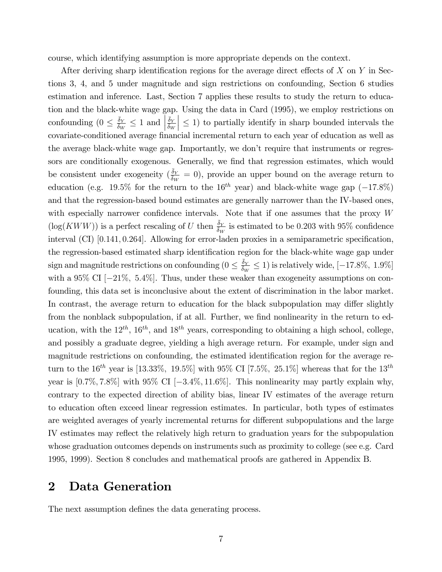course, which identifying assumption is more appropriate depends on the context.

After deriving sharp identification regions for the average direct effects of  $X$  on  $Y$  in Sections 3, 4, and 5 under magnitude and sign restrictions on confounding, Section 6 studies estimation and inference. Last, Section 7 applies these results to study the return to education and the black-white wage gap. Using the data in Card (1995), we employ restrictions on confounding  $(0 \leq \frac{\bar{\delta}_Y}{\bar{\delta}_W} \leq 1$  and  $\frac{\bar{\delta}_Y}{\bar{\delta}_W}$  $\vert \leq 1$ ) to partially identify in sharp bounded intervals the covariate-conditioned average financial incremental return to each year of education as well as the average black-white wage gap. Importantly, we don't require that instruments or regressors are conditionally exogenous. Generally, we find that regression estimates, which would be consistent under exogeneity  $(\frac{\bar{\delta}_Y}{\delta_W} = 0)$ , provide an upper bound on the average return to education (e.g. 19.5% for the return to the 16<sup>th</sup> year) and black-white wage gap  $(-17.8\%)$ and that the regression-based bound estimates are generally narrower than the IV-based ones, with especially narrower confidence intervals. Note that if one assumes that the proxy  $W$  $(\log(KWW))$  is a perfect rescaling of U then  $\frac{\bar{\delta}_Y}{\bar{\delta}_W}$  is estimated to be 0.203 with 95% confidence interval (CI)  $[0.141, 0.264]$ . Allowing for error-laden proxies in a semiparametric specification, the regression-based estimated sharp identification region for the black-white wage gap under sign and magnitude restrictions on confounding  $(0 \le \frac{\bar{\delta}_Y}{\delta_W} \le 1)$  is relatively wide,  $[-17.8\%, 1.9\%]$ with a 95% CI  $[-21\%, 5.4\%]$ . Thus, under these weaker than exogeneity assumptions on confounding, this data set is inconclusive about the extent of discrimination in the labor market. In contrast, the average return to education for the black subpopulation may differ slightly from the nonblack subpopulation, if at all. Further, we find nonlinearity in the return to education, with the  $12^{th}$ ,  $16^{th}$ , and  $18^{th}$  years, corresponding to obtaining a high school, college, and possibly a graduate degree, yielding a high average return. For example, under sign and magnitude restrictions on confounding, the estimated identification region for the average return to the  $16^{th}$  year is [13.33%, 19.5%] with 95% CI [7.5%, 25.1%] whereas that for the  $13^{th}$ year is  $[0.7\%, 7.8\%]$  with  $95\%$  CI  $[-3.4\%, 11.6\%]$ . This nonlinearity may partly explain why, contrary to the expected direction of ability bias, linear IV estimates of the average return to education often exceed linear regression estimates. In particular, both types of estimates are weighted averages of yearly incremental returns for different subpopulations and the large IV estimates may reflect the relatively high return to graduation years for the subpopulation whose graduation outcomes depends on instruments such as proximity to college (see e.g. Card 1995, 1999). Section 8 concludes and mathematical proofs are gathered in Appendix B.

## 2 Data Generation

The next assumption defines the data generating process.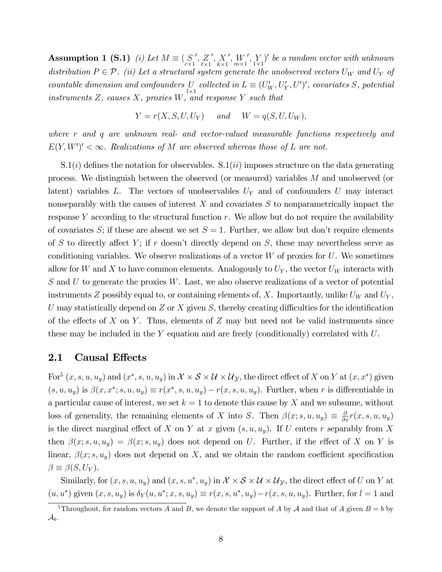Assumption 1 (S.1) (i) Let  $M \equiv \begin{pmatrix} S \\ c \times 1 \end{pmatrix}$  $^{\prime},\,Z$  $\ell \times 1$  $^{\prime},X$  $k\times 1$  $',W_{m\times 1}$  $^{\prime},\,Y$  $Y_{1\times1}$ <sup>t</sup> be a random vector with unknown distribution  $P \in \mathcal{P}$ . (ii) Let a structural system generate the unobserved vectors  $U_W$  and  $U_Y$  of countable dimension and confounders U U collected in  $L \equiv (U'_W, U'_Y, U')'$ , covariates S, potential  $V \sim \frac{1}{2}$ instruments  $Z$ , causes  $X$ , proxies  $W$ , and response  $Y$  such that

$$
Y = r(X, S, U, U_Y) \quad and \quad W = q(S, U, U_W),
$$

where r and q are unknown real- and vector-valued measurable functions respectively and  $E(Y, W')' < \infty$ . Realizations of M are observed whereas those of L are not.

 $S(1(i))$  defines the notation for observables.  $S(1(ii))$  imposes structure on the data generating process. We distinguish between the observed (or measured) variables M and unobserved (or latent) variables  $L$ . The vectors of unobservables  $U<sub>Y</sub>$  and of confounders  $U$  may interact nonseparably with the causes of interest  $X$  and covariates  $S$  to nonparametrically impact the response  $Y$  according to the structural function  $r$ . We allow but do not require the availability of covariates S; if these are absent we set  $S = 1$ . Further, we allow but don't require elements of S to directly affect Y; if r doesn't directly depend on S, these may nevertheless serve as conditioning variables. We observe realizations of a vector  $W$  of proxies for  $U$ . We sometimes allow for W and X to have common elements. Analogously to  $U_Y$ , the vector  $U_W$  interacts with  $S$  and  $U$  to generate the proxies  $W$ . Last, we also observe realizations of a vector of potential instruments Z possibly equal to, or containing elements of, X. Importantly, unlike  $U_W$  and  $U_Y$ , U may statistically depend on Z or X given S, thereby creating difficulties for the identification of the effects of X on Y. Thus, elements of Z may but need not be valid instruments since these may be included in the Y equation and are freely (conditionally) correlated with  $U$ .

#### 2.1 Causal Effects

For<sup>5</sup>  $(x, s, u, u_y)$  and  $(x^*, s, u, u_y)$  in  $\mathcal{X} \times \mathcal{S} \times \mathcal{U} \times \mathcal{U}_\mathcal{Y}$ , the direct effect of X on Y at  $(x, x^*)$  given  $(s, u, u_y)$  is  $\beta(x, x^*; s, u, u_y) \equiv r(x^*, s, u, u_y) - r(x, s, u, u_y)$ . Further, when r is differentiable in a particular cause of interest, we set  $k = 1$  to denote this cause by X and we subsume, without loss of generality, the remaining elements of X into S. Then  $\beta(x; s, u, u_y) \equiv \frac{\partial}{\partial x} r(x, s, u, u_y)$ is the direct marginal effect of X on Y at x given  $(s, u, u_y)$ . If U enters r separably from X then  $\beta(x; s, u, u_y) = \beta(x; s, u_y)$  does not depend on U. Further, if the effect of X on Y is linear,  $\beta(x; s, u_y)$  does not depend on X, and we obtain the random coefficient specification  $\beta \equiv \beta(S, U_Y).$ 

Similarly, for  $(x, s, u, u_y)$  and  $(x, s, u^*, u_y)$  in  $\mathcal{X} \times \mathcal{S} \times \mathcal{U} \times \mathcal{U}_\mathcal{Y}$ , the direct effect of U on Y at  $(u, u^*)$  given  $(x, s, u_y)$  is  $\delta_Y(u, u^*; x, s, u_y) \equiv r(x, s, u^*, u_y) - r(x, s, u, u_y)$ . Further, for  $l = 1$  and

<sup>&</sup>lt;sup>5</sup>Throughout, for random vectors A and B, we denote the support of A by A and that of A given  $B = b$  by  $\mathcal{A}_b$ .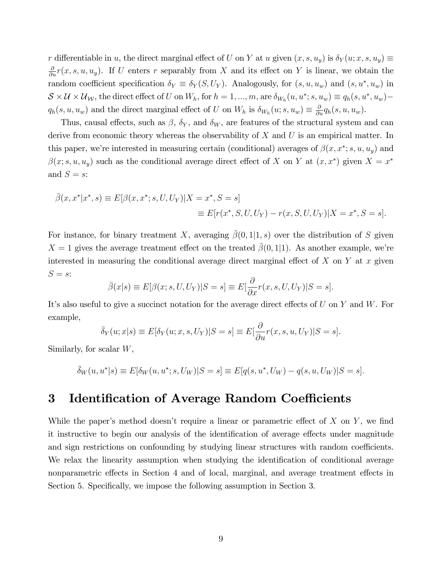r differentiable in u, the direct marginal effect of U on Y at u given  $(x, s, u_y)$  is  $\delta_Y(u; x, s, u_y) \equiv$  $\frac{\partial}{\partial u}r(x, s, u, u_y)$ . If U enters r separably from X and its effect on Y is linear, we obtain the random coefficient specification  $\delta_Y \equiv \delta_Y(S, U_Y)$ . Analogously, for  $(s, u, u_w)$  and  $(s, u^*, u_w)$  in  $S \times U \times U_{\mathcal{W}}$ , the direct effect of U on  $W_h$ , for  $h = 1, ..., m$ , are  $\delta_{W_h}(u, u^*; s, u_w) \equiv q_h(s, u^*, u_w)$  $q_h(s, u, u_w)$  and the direct marginal effect of U on  $W_h$  is  $\delta_{W_h}(u; s, u_w) \equiv \frac{\partial}{\partial u} q_h(s, u, u_w)$ .

Thus, causal effects, such as  $\beta$ ,  $\delta_Y$ , and  $\delta_W$ , are features of the structural system and can derive from economic theory whereas the observability of  $X$  and  $U$  is an empirical matter. In this paper, we're interested in measuring certain (conditional) averages of  $\beta(x, x^*; s, u, u_y)$  and  $\beta(x; s, u, u_y)$  such as the conditional average direct effect of X on Y at  $(x, x^*)$  given  $X = x^*$ and  $S = s$ :

$$
\bar{\beta}(x, x^* | x^*, s) \equiv E[\beta(x, x^*; s, U, U_Y) | X = x^*, S = s]
$$
  

$$
\equiv E[r(x^*, S, U, U_Y) - r(x, S, U, U_Y) | X = x^*, S = s].
$$

For instance, for binary treatment X, averaging  $\bar{\beta}(0,1|1,s)$  over the distribution of S given  $X = 1$  gives the average treatment effect on the treated  $\overline{\beta}(0,1|1)$ . As another example, we're interested in measuring the conditional average direct marginal effect of  $X$  on  $Y$  at  $x$  given  $S = s$ :

$$
\bar{\beta}(x|s) \equiv E[\beta(x;s,U,U_Y)|S=s] \equiv E[\frac{\partial}{\partial x}r(x,s,U,U_Y)|S=s].
$$

It's also useful to give a succinct notation for the average direct effects of  $U$  on  $Y$  and  $W$ . For example,

$$
\bar{\delta}_Y(u;x|s) \equiv E[\delta_Y(u;x,s,U_Y)|S=s] \equiv E[\frac{\partial}{\partial u}r(x,s,u,U_Y)|S=s].
$$

Similarly, for scalar  $W$ ,

$$
\bar{\delta}_W(u, u^* | s) \equiv E[\delta_W(u, u^*; s, U_W) | S = s] \equiv E[q(s, u^*, U_W) - q(s, u, U_W) | S = s].
$$

## 3 Identification of Average Random Coefficients

While the paper's method doesn't require a linear or parametric effect of  $X$  on  $Y$ , we find it instructive to begin our analysis of the identification of average effects under magnitude and sign restrictions on confounding by studying linear structures with random coefficients. We relax the linearity assumption when studying the identification of conditional average nonparametric effects in Section 4 and of local, marginal, and average treatment effects in Section 5. Specifically, we impose the following assumption in Section 3.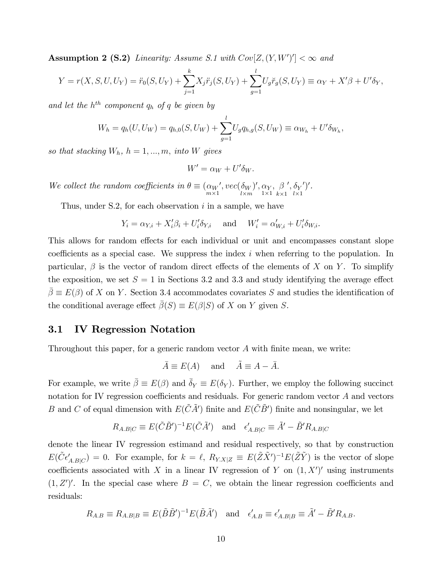**Assumption 2 (S.2)** Linearity: Assume S.1 with  $Cov[Z,(Y,W')] < \infty$  and

$$
Y = r(X, S, U, U_Y) = \ddot{r}_0(S, U_Y) + \sum_{j=1}^k X_j \ddot{r}_j(S, U_Y) + \sum_{g=1}^l U_g \ddot{r}_g(S, U_Y) \equiv \alpha_Y + X'\beta + U'\delta_Y,
$$

and let the  $h^{th}$  component  $q_h$  of q be given by

$$
W_h = q_h(U, U_W) = q_{h,0}(S, U_W) + \sum_{g=1}^{l} U_g q_{h,g}(S, U_W) \equiv \alpha_{W_h} + U' \delta_{W_h},
$$

so that stacking  $W_h$ ,  $h = 1, ..., m$ , into W gives

$$
W' = \alpha_W + U' \delta_W.
$$

We collect the random coefficients in  $\theta \equiv \begin{pmatrix} \alpha_W \\ m \times 1 \end{pmatrix}$  $', vec(\delta_W$  $l \times m$  $)^\prime, \alpha_{Y}$  $1\times1$  $,~\beta$  $k\times 1$  $^{\prime },\delta _{Y}$  $l \times 1$  $^{\prime})^{\prime}.$ 

Thus, under S.2, for each observation  $i$  in a sample, we have

$$
Y_i = \alpha_{Y,i} + X_i'\beta_i + U_i'\delta_{Y,i} \quad \text{ and } \quad W_i' = \alpha'_{W,i} + U_i'\delta_{W,i}.
$$

This allows for random effects for each individual or unit and encompasses constant slope coefficients as a special case. We suppress the index  $i$  when referring to the population. In particular,  $\beta$  is the vector of random direct effects of the elements of X on Y. To simplify the exposition, we set  $S = 1$  in Sections 3.2 and 3.3 and study identifying the average effect  $\bar{\beta} \equiv E(\beta)$  of X on Y. Section 3.4 accommodates covariates S and studies the identification of the conditional average effect  $\bar{\beta}(S) \equiv E(\beta|S)$  of X on Y given S.

#### 3.1 IV Regression Notation

Throughout this paper, for a generic random vector  $A$  with finite mean, we write:

$$
\bar{A} \equiv E(A) \quad \text{and} \quad \tilde{A} \equiv A - \bar{A}.
$$

For example, we write  $\bar{\beta} \equiv E(\beta)$  and  $\bar{\delta}_Y \equiv E(\delta_Y)$ . Further, we employ the following succinct notation for IV regression coefficients and residuals. For generic random vector  $A$  and vectors B and C of equal dimension with  $E(\tilde{C}\tilde{A}')$  finite and  $E(\tilde{C}\tilde{B}')$  finite and nonsingular, we let

$$
R_{A,B|C} \equiv E(\tilde{C}\tilde{B}')^{-1}E(\tilde{C}\tilde{A}') \quad \text{and} \quad \epsilon'_{A,B|C} \equiv \tilde{A}' - \tilde{B}'R_{A,B|C}
$$

denote the linear IV regression estimand and residual respectively, so that by construction  $E(\tilde{C} \epsilon'_{A,B|C}) = 0$ . For example, for  $k = \ell$ ,  $R_{Y,X|Z} \equiv E(\tilde{Z}\tilde{X}')^{-1}E(\tilde{Z}\tilde{Y})$  is the vector of slope coefficients associated with X in a linear IV regression of Y on  $(1, X')'$  using instruments  $(1, Z')'$ . In the special case where  $B = C$ , we obtain the linear regression coefficients and residuals:

$$
R_{A,B} \equiv R_{A,B|B} \equiv E(\tilde{B}\tilde{B}')^{-1}E(\tilde{B}\tilde{A}') \text{ and } \epsilon'_{A,B} \equiv \epsilon'_{A,B|B} \equiv \tilde{A}' - \tilde{B}'R_{A,B}.
$$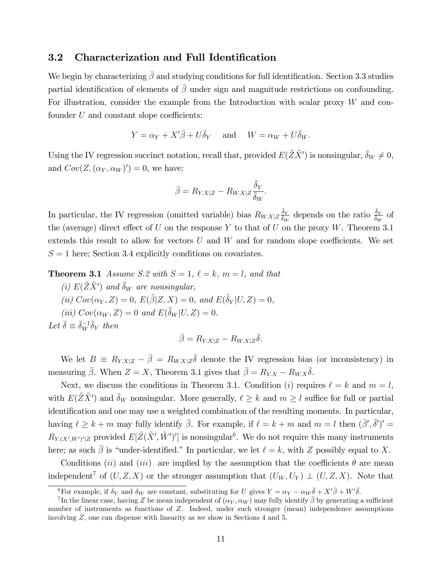#### 3.2 Characterization and Full Identification

We begin by characterizing  $\bar{\beta}$  and studying conditions for full identification. Section 3.3 studies partial identification of elements of  $\bar{\beta}$  under sign and magnitude restrictions on confounding. For illustration, consider the example from the Introduction with scalar proxy  $W$  and confounder  $U$  and constant slope coefficients:

$$
Y = \alpha_Y + X'\overline{\beta} + U\overline{\delta}_Y
$$
 and  $W = \alpha_W + U\overline{\delta}_W$ .

Using the IV regression succinct notation, recall that, provided  $E(\tilde{Z}\tilde{X}')$  is nonsingular,  $\bar{\delta}_W \neq 0$ , and  $Cov(Z, (\alpha_Y, \alpha_W)' ) = 0$ , we have:

$$
\bar{\beta} = R_{Y.X|Z} - R_{W.X|Z} \frac{\bar{\delta}_Y}{\bar{\delta}_W}.
$$

In particular, the IV regression (omitted variable) bias  $R_{W.X|Z} \frac{\bar{\delta}_Y}{\bar{\delta}_W}$  depends on the ratio  $\frac{\bar{\delta}_Y}{\bar{\delta}_W}$  of the (average) direct effect of U on the response Y to that of U on the proxy W. Theorem 3.1 extends this result to allow for vectors  $U$  and  $W$  and for random slope coefficients. We set  $S = 1$  here; Section 3.4 explicitly conditions on covariates.

**Theorem 3.1** Assume S.2 with  $S = 1$ ,  $\ell = k$ ,  $m = l$ , and that

(i)  $E(\tilde{Z}\tilde{X}')$  and  $\bar{\delta}_W$  are nonsingular, (ii)  $Cov(\alpha_Y, Z) = 0$ ,  $E(\tilde{\beta}|Z, X) = 0$ , and  $E(\tilde{\delta}_Y|U, Z) = 0$ , (iii)  $Cov(\alpha_W, Z) = 0$  and  $E(\tilde{\delta}_W | U, Z) = 0$ . Let  $\bar{\delta} \equiv \bar{\delta}_W^{-1} \bar{\delta}_Y$  then

$$
\bar{\beta} = R_{Y.X|Z} - R_{W.X|Z}\bar{\delta}.
$$

We let  $B \equiv R_{Y,X|Z} - \bar{\beta} = R_{W,X|Z} \bar{\delta}$  denote the IV regression bias (or inconsistency) in measuring  $\bar{\beta}$ . When  $Z = X$ , Theorem 3.1 gives that  $\bar{\beta} = R_{Y,X} - R_{W,X} \bar{\delta}$ .

Next, we discuss the conditions in Theorem 3.1. Condition (i) requires  $\ell = k$  and  $m = l$ , with  $E(\tilde{Z}\tilde{X}')$  and  $\bar{\delta}_W$  nonsingular. More generally,  $\ell \geq k$  and  $m \geq l$  suffice for full or partial identification and one may use a weighted combination of the resulting moments. In particular, having  $\ell \geq k + m$  may fully identify  $\bar{\beta}$ . For example, if  $\ell = k + m$  and  $m = l$  then  $(\bar{\beta}', \bar{\delta}')' =$  $R_{Y,(X',W')'|Z}$  provided  $E[\tilde{Z}(\tilde{X}',\tilde{W}')']$  is nonsingular<sup>6</sup>. We do not require this many instruments here; as such  $\bar{\beta}$  is "under-identified." In particular, we let  $\ell = k$ , with Z possibly equal to X.

Conditions *(ii)* and *(iii)* are implied by the assumption that the coefficients  $\theta$  are mean independent<sup>7</sup> of  $(U, Z, X)$  or the stronger assumption that  $(U_W, U_Y) \perp (U, Z, X)$ . Note that

<sup>&</sup>lt;sup>6</sup>For example, if  $\delta_Y$  and  $\delta_W$  are constant, substituting for U gives  $Y = \alpha_Y - \alpha_W \overline{\delta} + X'\overline{\beta} + W'\overline{\delta}$ .

<sup>&</sup>lt;sup>7</sup>In the linear case, having Z be mean independent of  $(\alpha_Y, \alpha_W)$  may fully identify  $\bar{\beta}$  by generating a sufficient number of instruments as functions of Z. Indeed, under such stronger (mean) independence assumptions involving Z, one can dispense with linearity as we show in Sections 4 and 5.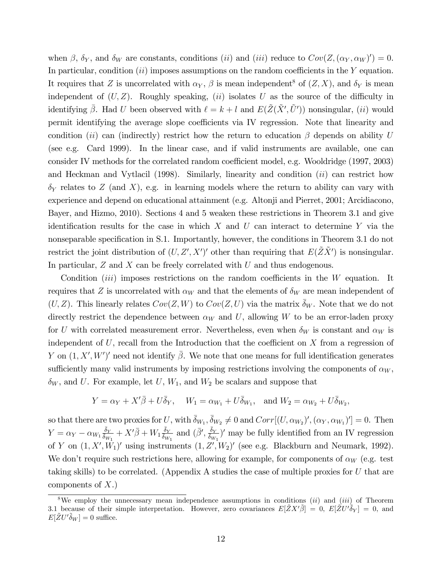when  $\beta$ ,  $\delta_Y$ , and  $\delta_W$  are constants, conditions *(ii)* and *(iii)* reduce to  $Cov(Z, (\alpha_Y, \alpha_W)' ) = 0$ . In particular, condition  $(ii)$  imposes assumptions on the random coefficients in the Y equation. It requires that Z is uncorrelated with  $\alpha_Y$ ,  $\beta$  is mean independent<sup>8</sup> of  $(Z, X)$ , and  $\delta_Y$  is mean independent of  $(U, Z)$ . Roughly speaking, *(ii)* isolates U as the source of the difficulty in identifying  $\bar{\beta}$ . Had U been observed with  $\ell = k + l$  and  $E(\tilde{Z}(\tilde{X}', \tilde{U}'))$  nonsingular, (*ii*) would permit identifying the average slope coefficients via IV regression. Note that linearity and condition (ii) can (indirectly) restrict how the return to education  $\beta$  depends on ability U (see e.g. Card 1999). In the linear case, and if valid instruments are available, one can consider IV methods for the correlated random coefficient model, e.g. Wooldridge (1997, 2003) and Heckman and Vytlacil (1998). Similarly, linearity and condition  $(ii)$  can restrict how  $\delta_Y$  relates to Z (and X), e.g. in learning models where the return to ability can vary with experience and depend on educational attainment (e.g. Altonji and Pierret, 2001; Arcidiacono, Bayer, and Hizmo, 2010). Sections 4 and 5 weaken these restrictions in Theorem 3.1 and give identification results for the case in which  $X$  and  $U$  can interact to determine Y via the nonseparable specification in S.1. Importantly, however, the conditions in Theorem 3.1 do not restrict the joint distribution of  $(U, Z', X')'$  other than requiring that  $E(\tilde{Z}\tilde{X}')$  is nonsingular. In particular, Z and X can be freely correlated with U and thus endogenous.

Condition *(iii)* imposes restrictions on the random coefficients in the  $W$  equation. It requires that Z is uncorrelated with  $\alpha_W$  and that the elements of  $\delta_W$  are mean independent of  $(U, Z)$ . This linearly relates  $Cov(Z, W)$  to  $Cov(Z, U)$  via the matrix  $\overline{\delta}_W$ . Note that we do not directly restrict the dependence between  $\alpha_W$  and U, allowing W to be an error-laden proxy for U with correlated measurement error. Nevertheless, even when  $\delta_W$  is constant and  $\alpha_W$  is independent of  $U$ , recall from the Introduction that the coefficient on  $X$  from a regression of Y on  $(1, X', W')'$  need not identify  $\overline{\beta}$ . We note that one means for full identification generates sufficiently many valid instruments by imposing restrictions involving the components of  $\alpha_W$ ,  $\delta_W$ , and U. For example, let U,  $W_1$ , and  $W_2$  be scalars and suppose that

$$
Y = \alpha_Y + X'\overline{\beta} + U\overline{\delta}_Y, \quad W_1 = \alpha_{W_1} + U\overline{\delta}_{W_1}, \text{ and } W_2 = \alpha_{W_2} + U\overline{\delta}_{W_2},
$$

so that there are two proxies for U, with  $\bar{\delta}_{W_1}, \bar{\delta}_{W_2} \neq 0$  and  $Corr[(U, \alpha_{W_2})', (\alpha_Y, \alpha_{W_1})'] = 0$ . Then  $Y = \alpha_Y - \alpha_{W_1} \frac{\bar{\delta}_Y}{\bar{\delta}_{W_1}} + X'\bar{\beta} + W_1 \frac{\bar{\delta}_Y}{\bar{\delta}_{W_1}}$  and  $(\bar{\beta}', \frac{\bar{\delta}_Y}{\bar{\delta}_{W_1}})'$  may be fully identified from an IV regression of Y on  $(1, X', W_1)'$  using instruments  $(1, Z', W_2)'$  (see e.g. Blackburn and Neumark, 1992). We don't require such restrictions here, allowing for example, for components of  $\alpha_W$  (e.g. test taking skills) to be correlated. (Appendix A studies the case of multiple proxies for U that are components of  $X$ .)

<sup>&</sup>lt;sup>8</sup>We employ the unnecessary mean independence assumptions in conditions  $(ii)$  and  $(iii)$  of Theorem 3.1 because of their simple interpretation. However, zero covariances  $E[XX'\beta] = 0$ ,  $E[ZW'\delta_Y] = 0$ , and  $E[\tilde{Z}U'\tilde{\delta}_W] = 0$  suffice.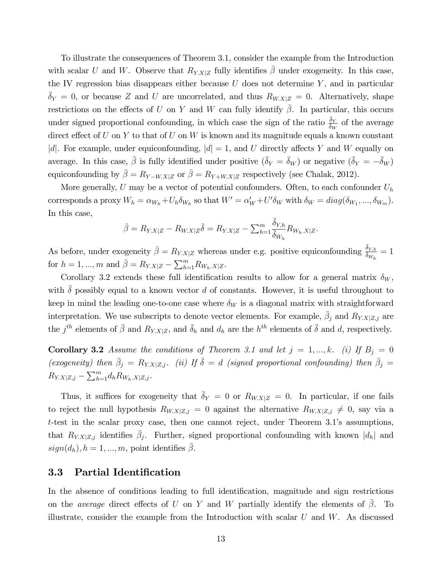To illustrate the consequences of Theorem 3.1, consider the example from the Introduction with scalar U and W. Observe that  $R_{Y,X|Z}$  fully identifies  $\beta$  under exogeneity. In this case, the IV regression bias disappears either because  $U$  does not determine  $Y$ , and in particular  $\bar{\delta}_Y = 0$ , or because Z and U are uncorrelated, and thus  $R_{W.X|Z} = 0$ . Alternatively, shape restrictions on the effects of U on Y and W can fully identify  $\beta$ . In particular, this occurs under signed proportional confounding, in which case the sign of the ratio  $\frac{\bar{\delta}_Y}{\bar{\delta}_W}$  of the average direct effect of U on Y to that of U on W is known and its magnitude equals a known constant |d|. For example, under equiconfounding,  $|d|=1$ , and U directly affects Y and W equally on average. In this case,  $\bar{\beta}$  is fully identified under positive  $(\bar{\delta}_Y = \bar{\delta}_W)$  or negative  $(\bar{\delta}_Y = -\bar{\delta}_W)$ equiconfounding by  $\bar{\beta} = R_{Y-W.X|Z}$  or  $\bar{\beta} = R_{Y+W.X|Z}$  respectively (see Chalak, 2012).

More generally,  $U$  may be a vector of potential confounders. Often, to each confounder  $U_h$ corresponds a proxy  $W_h = \alpha_{W_h} + U_h \delta_{W_h}$  so that  $W' = \alpha_W' + U' \delta_W$  with  $\delta_W = diag(\delta_{W_1}, ..., \delta_{W_m})$ . In this case,

$$
\bar{\beta} = R_{Y.X|Z} - R_{W.X|Z}\bar{\delta} = R_{Y.X|Z} - \sum_{h=1}^m \frac{\bar{\delta}_{Y,h}}{\bar{\delta}_{W_h}} R_{W_h.X|Z}.
$$

As before, under exogeneity  $\bar{\beta} = R_{Y,X|Z}$  whereas under e.g. positive equiconfounding  $\frac{\bar{\delta}_{Y,h}}{\bar{\delta}_{W_h}} = 1$ for  $h = 1, ..., m$  and  $\bar{\beta} = R_{Y.X|Z} - \sum_{h=1}^{m} R_{W_h.X|Z}$ .

Corollary 3.2 extends these full identification results to allow for a general matrix  $\delta_W$ , with  $\delta$  possibly equal to a known vector d of constants. However, it is useful throughout to keep in mind the leading one-to-one case where  $\delta_W$  is a diagonal matrix with straightforward interpretation. We use subscripts to denote vector elements. For example,  $\bar{\beta}_j$  and  $R_{Y.X|Z,j}$  are the  $j^{th}$  elements of  $\bar{\beta}$  and  $R_{Y,X|Z}$ , and  $\bar{\delta}_h$  and  $d_h$  are the  $h^{th}$  elements of  $\bar{\delta}$  and  $d$ , respectively.

**Corollary 3.2** Assume the conditions of Theorem 3.1 and let  $j = 1, ..., k$ . (i) If  $B_j = 0$ (exogeneity) then  $\bar{\beta}_j = R_{Y,X|Z,j}$ . (ii) If  $\bar{\delta} = d$  (signed proportional confounding) then  $\bar{\beta}_j =$  $R_{Y.X|Z,j} - \sum_{h=1}^{m} d_h R_{W_h.X|Z,j}$ .

Thus, it suffices for exogeneity that  $\bar{\delta}_Y = 0$  or  $R_{W.X|Z} = 0$ . In particular, if one fails to reject the null hypothesis  $R_{W.X|Z,j} = 0$  against the alternative  $R_{W.X|Z,j} \neq 0$ , say via a  $t$ -test in the scalar proxy case, then one cannot reject, under Theorem 3.1's assumptions, that  $R_{Y,X|Z,j}$  identifies  $\bar{\beta}_j$ . Further, signed proportional confounding with known  $|d_h|$  and  $sign(d_h)$ ,  $h = 1, ..., m$ , point identifies  $\beta$ .

### 3.3 Partial Identification

In the absence of conditions leading to full identification, magnitude and sign restrictions on the *average* direct effects of U on Y and W partially identify the elements of  $\bar{\beta}$ . To illustrate, consider the example from the Introduction with scalar  $U$  and  $W$ . As discussed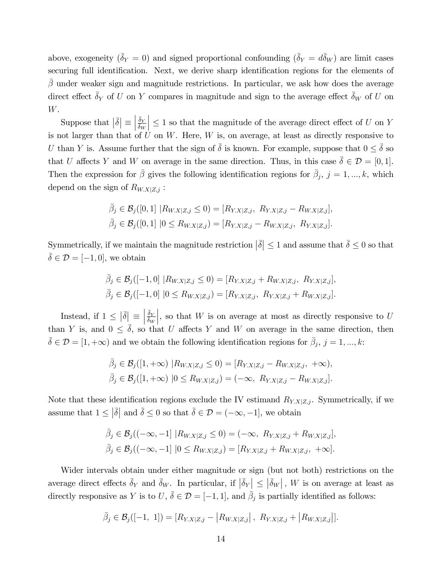above, exogeneity  $(\bar{\delta}_Y = 0)$  and signed proportional confounding  $(\bar{\delta}_Y = d\bar{\delta}_W)$  are limit cases securing full identification. Next, we derive sharp identification regions for the elements of  $\beta$  under weaker sign and magnitude restrictions. In particular, we ask how does the average direct effect  $\bar{\delta}_Y$  of U on Y compares in magnitude and sign to the average effect  $\bar{\delta}_W$  of U on W.

Suppose that  $|\bar{\delta}| \equiv$   $\frac{\bar{\delta}_Y}{\bar{\delta}_W}$  $\Big|\leq 1$  so that the magnitude of the average direct effect of  $U$  on  $Y$ is not larger than that of  $U$  on  $W$ . Here,  $W$  is, on average, at least as directly responsive to U than Y is. Assume further that the sign of  $\bar{\delta}$  is known. For example, suppose that  $0 \leq \bar{\delta}$  so that U affects Y and W on average in the same direction. Thus, in this case  $\bar{\delta} \in \mathcal{D} = [0, 1].$ Then the expression for  $\bar{\beta}$  gives the following identification regions for  $\bar{\beta}_j$ ,  $j=1,...,k$ , which depend on the sign of  $R_{W.X|Z,j}$ :

$$
\bar{\beta}_j \in \mathcal{B}_j([0,1] \mid R_{W.X|Z,j} \le 0) = [R_{Y.X|Z,j}, R_{Y.X|Z,j} - R_{W.X|Z,j}],
$$
  

$$
\bar{\beta}_j \in \mathcal{B}_j([0,1] \mid 0 \le R_{W.X|Z,j}) = [R_{Y.X|Z,j} - R_{W.X|Z,j}, R_{Y.X|Z,j}].
$$

Symmetrically, if we maintain the magnitude restriction  $|\bar{\delta}| \leq 1$  and assume that  $\bar{\delta} \leq 0$  so that  $\overline{\delta} \in \mathcal{D} = [-1, 0]$ , we obtain

$$
\bar{\beta}_j \in \mathcal{B}_j([-1,0] \mid R_{W.X|Z,j} \leq 0) = [R_{Y.X|Z,j} + R_{W.X|Z,j}, R_{Y.X|Z,j}],
$$
  

$$
\bar{\beta}_j \in \mathcal{B}_j([-1,0] \mid 0 \leq R_{W.X|Z,j}) = [R_{Y.X|Z,j}, R_{Y.X|Z,j} + R_{W.X|Z,j}].
$$

Instead, if  $1 \leq |\bar{\delta}| \equiv$   $\frac{\bar{\delta}_Y}{\bar{\delta}_W}$ , so that  $W$  is on average at most as directly responsive to  $U$ than Y is, and  $0 \leq \overline{\delta}$ , so that U affects Y and W on average in the same direction, then  $\bar{\delta} \in \mathcal{D} = [1, +\infty)$  and we obtain the following identification regions for  $\bar{\beta}_j$ ,  $j = 1, ..., k$ :

$$
\bar{\beta}_j \in \mathcal{B}_j([1, +\infty) \ | R_{W.X|Z,j} \le 0) = [R_{Y.X|Z,j} - R_{W.X|Z,j}, +\infty), \bar{\beta}_j \in \mathcal{B}_j([1, +\infty) \ | 0 \le R_{W.X|Z,j}) = (-\infty, \ R_{Y.X|Z,j} - R_{W.X|Z,j}].
$$

Note that these identification regions exclude the IV estimand  $R_{Y.X|Z,j}$ . Symmetrically, if we assume that  $1 \leq |\bar{\delta}|$  and  $\bar{\delta} \leq 0$  so that  $\bar{\delta} \in \mathcal{D} = (-\infty, -1]$ , we obtain

$$
\bar{\beta}_j \in \mathcal{B}_j((-\infty, -1] \ | R_{W.X|Z,j} \le 0) = (-\infty, \ R_{Y.X|Z,j} + R_{W.X|Z,j}],
$$
  

$$
\bar{\beta}_j \in \mathcal{B}_j((-\infty, -1] \ | 0 \le R_{W.X|Z,j}) = [R_{Y.X|Z,j} + R_{W.X|Z,j}, \ +\infty].
$$

Wider intervals obtain under either magnitude or sign (but not both) restrictions on the average direct effects  $\bar{\delta}_Y$  and  $\bar{\delta}_W$ . In particular, if  $|\bar{\delta}_Y| \leq |\bar{\delta}_W|$ , W is on average at least as directly responsive as Y is to  $U, \bar{\delta} \in \mathcal{D} = [-1, 1]$ , and  $\bar{\beta}_j$  is partially identified as follows:

$$
\bar{\beta}_j \in \mathcal{B}_j([-1, 1]) = [R_{Y.X|Z,j} - |R_{W.X|Z,j}|, R_{Y.X|Z,j} + |R_{W.X|Z,j}|].
$$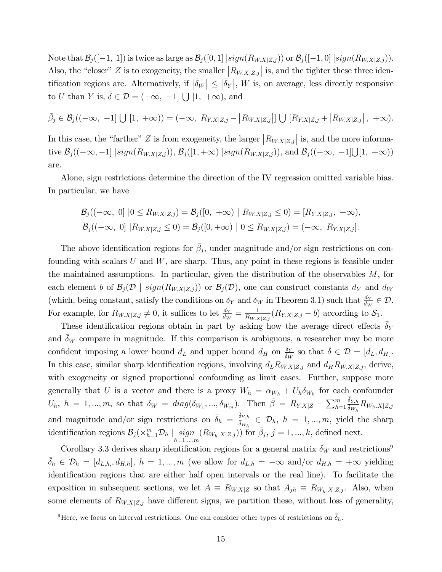Note that  $\mathcal{B}_j([-1, 1])$  is twice as large as  $\mathcal{B}_j([0, 1] | sign(R_{W.X|Z,j}))$  or  $\mathcal{B}_j([-1, 0] | sign(R_{W.X|Z,j}))$ . Also, the "closer" Z is to exogeneity, the smaller  $|R_{W.X|Z,j}|$  is, and the tighter these three identification regions are. Alternatively, if  $|\bar{\delta}_W| \leq |\bar{\delta}_Y|$ , W is, on average, less directly responsive to U than Y is,  $\bar{\delta} \in \mathcal{D} = (-\infty, -1] \bigcup [1, +\infty)$ , and

$$
\bar{\beta}_j \in \mathcal{B}_j((-\infty, -1] \cup [1, +\infty)) = (-\infty, R_{Y.X|Z,j} - |R_{W.X|Z,j}|] \cup [R_{Y.X|Z,j} + |R_{W.X|Z,j}|, +\infty).
$$

In this case, the "farther" Z is from exogeneity, the larger  $|R_{W.X|Z,j}|$  is, and the more informative  $\mathcal{B}_j((-\infty, -1] | sign(R_{W.X|Z,j})), \mathcal{B}_j([1, +\infty) | sign(R_{W.X|Z,j})),$  and  $\mathcal{B}_j((-\infty, -1] \cup [1, +\infty))$ are.

Alone, sign restrictions determine the direction of the IV regression omitted variable bias. In particular, we have

$$
\mathcal{B}_{j}((-\infty, 0] \mid 0 \leq R_{W.X|Z,j}) = \mathcal{B}_{j}([0, +\infty) \mid R_{W.X|Z,j} \leq 0) = [R_{Y.X|Z,j}, +\infty),
$$
  

$$
\mathcal{B}_{j}((-\infty, 0] \mid R_{W.X|Z,j} \leq 0) = \mathcal{B}_{j}([0, +\infty) \mid 0 \leq R_{W.X|Z,j}) = (-\infty, R_{Y.X|Z,j}].
$$

The above identification regions for  $\bar{\beta}_j$ , under magnitude and/or sign restrictions on confounding with scalars  $U$  and  $W$ , are sharp. Thus, any point in these regions is feasible under the maintained assumptions. In particular, given the distribution of the observables  $M$ , for each element b of  $\mathcal{B}_j(\mathcal{D} \mid sign(R_{W,X|Z,j}))$  or  $\mathcal{B}_j(\mathcal{D})$ , one can construct constants  $d_Y$  and  $d_W$ (which, being constant, satisfy the conditions on  $\delta_Y$  and  $\delta_W$  in Theorem 3.1) such that  $\frac{d_Y}{d_W} \in \mathcal{D}$ . For example, for  $R_{W.X|Z,j} \neq 0$ , it suffices to let  $\frac{d_Y}{d_W} = \frac{1}{R_{W.X}}$  $\frac{1}{R_{W.X|Z,j}}(R_{Y.X|Z,j} - b)$  according to  $\mathcal{S}_1$ .

These identification regions obtain in part by asking how the average direct effects  $\delta_Y$ and  $\delta_W$  compare in magnitude. If this comparison is ambiguous, a researcher may be more confident imposing a lower bound  $d_L$  and upper bound  $d_H$  on  $\frac{\bar{\delta}_Y}{\delta_W}$  so that  $\bar{\delta} \in \mathcal{D} = [d_L, d_H]$ . In this case, similar sharp identification regions, involving  $d_L R_{W.X|Z,j}$  and  $d_H R_{W.X|Z,j}$ , derive, with exogeneity or signed proportional confounding as limit cases. Further, suppose more generally that U is a vector and there is a proxy  $W_h = \alpha_{W_h} + U_h \delta_{W_h}$  for each confounder  $U_h$ ,  $h = 1, ..., m$ , so that  $\delta_W = diag(\delta_{W_1}, ..., \delta_{W_m})$ . Then  $\bar{\beta} = R_{Y,X|Z} - \sum_{h=1}^m$  $\frac{\bar{\delta}_{Y,h}}{\bar{\delta}_{W_h}}R_{W_h.X|Z,j}$ and magnitude and/or sign restrictions on  $\bar{\delta}_h = \frac{\bar{\delta}_{Y,h}}{\bar{\delta}_{W_h}} \in \mathcal{D}_h$ ,  $h = 1, ..., m$ , yield the sharp identification regions  $\mathcal{B}_j(\times_{h=1}^m \mathcal{D}_h \mid \operatorname*{sign}_{h=1,\dots,m}(R_{W_h,X|Z,j}))$  for  $\bar{\beta}_j$ ,  $j=1,\dots,k$ , defined next.

Corollary 3.3 derives sharp identification regions for a general matrix  $\delta_W$  and restrictions<sup>9</sup>  $\bar{\delta}_h \in \mathcal{D}_h = [d_{L,h}, d_{H,h}], h = 1, ..., m$  (we allow for  $d_{L,h} = -\infty$  and/or  $d_{H,h} = +\infty$  yielding identification regions that are either half open intervals or the real line). To facilitate the exposition in subsequent sections, we let  $A \equiv R_{W.X|Z}$  so that  $A_{jh} \equiv R_{W_h.X|Z,j}$ . Also, when some elements of  $R_{W,X|Z,j}$  have different signs, we partition these, without loss of generality,

<sup>&</sup>lt;sup>9</sup>Here, we focus on interval restrictions. One can consider other types of restrictions on  $\bar{\delta}_h$ .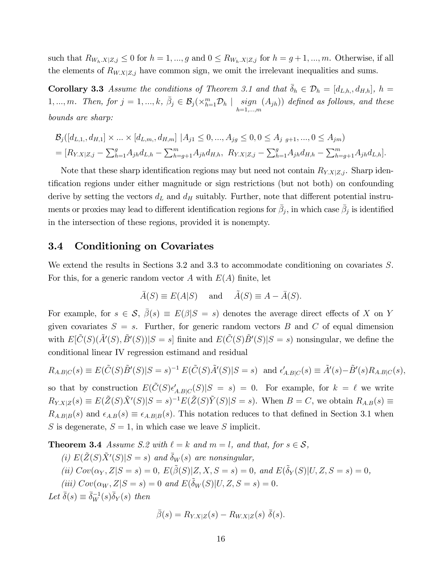such that  $R_{W_h,X|Z,j} \leq 0$  for  $h = 1, ..., g$  and  $0 \leq R_{W_h,X|Z,j}$  for  $h = g+1, ..., m$ . Otherwise, if all the elements of  $R_{W,X|Z,j}$  have common sign, we omit the irrelevant inequalities and sums.

**Corollary 3.3** Assume the conditions of Theorem 3.1 and that  $\bar{\delta}_h \in \mathcal{D}_h = [d_{L,h}, d_{H,h}], h =$ 1, ..., m. Then, for  $j = 1, ..., k, \ \bar{\beta}_j \in \mathcal{B}_j(\times_{h=1}^m \mathcal{D}_h \mid \operatorname*{sign}_{h=1,...,m}_{h=1,...,m})$  $(A_{jh})$ ) defined as follows, and these bounds are sharp:

$$
\mathcal{B}_{j}([d_{L,1,}, d_{H,1}] \times ... \times [d_{L,m,}, d_{H,m}] | A_{j1} \leq 0, ..., A_{jg} \leq 0, 0 \leq A_{j} \leq g+1, ..., 0 \leq A_{jm})
$$
  
=  $[R_{Y,X|Z,j} - \sum_{h=1}^{g} A_{jh} d_{L,h} - \sum_{h=g+1}^{m} A_{jh} d_{H,h}, R_{Y,X|Z,j} - \sum_{h=1}^{g} A_{jh} d_{H,h} - \sum_{h=g+1}^{m} A_{jh} d_{L,h}].$ 

Note that these sharp identification regions may but need not contain  $R_{Y,X|Z,j}$ . Sharp identification regions under either magnitude or sign restrictions (but not both) on confounding derive by setting the vectors  $d_L$  and  $d_H$  suitably. Further, note that different potential instruments or proxies may lead to different identification regions for  $\bar{\beta}_j$ , in which case  $\bar{\beta}_j$  is identified in the intersection of these regions, provided it is nonempty.

#### 3.4 Conditioning on Covariates

We extend the results in Sections 3.2 and 3.3 to accommodate conditioning on covariates S. For this, for a generic random vector A with  $E(A)$  finite, let

$$
\bar{A}(S) \equiv E(A|S)
$$
 and  $\tilde{A}(S) \equiv A - \bar{A}(S)$ .

For example, for  $s \in \mathcal{S}, \overline{\beta}(s) \equiv E(\beta | S = s)$  denotes the average direct effects of X on Y given covariates  $S = s$ . Further, for generic random vectors B and C of equal dimension with  $E[\tilde{C}(S)(\tilde{A}'(S), \tilde{B}'(S))]S = s]$  finite and  $E(\tilde{C}(S)\tilde{B}'(S)|S = s)$  nonsingular, we define the conditional linear IV regression estimand and residual

$$
R_{A,B|C}(s) \equiv E(\tilde{C}(S)\tilde{B}'(S)|S=s)^{-1} E(\tilde{C}(S)\tilde{A}'(S)|S=s) \text{ and } \epsilon'_{A,B|C}(s) \equiv \tilde{A}'(s) - \tilde{B}'(s)R_{A,B|C}(s),
$$

so that by construction  $E(\tilde{C}(S) \epsilon'_{A,B|C}(S) | S = s) = 0$ . For example, for  $k = \ell$  we write  $R_{Y,X|Z}(s) \equiv E(\tilde{Z}(S)\tilde{X}'(S)|S=s)^{-1}E(\tilde{Z}(S)\tilde{Y}(S)|S=s)$ . When  $B=C$ , we obtain  $R_{A,B}(s) \equiv$  $R_{A,B|B}(s)$  and  $\epsilon_{A,B}(s) \equiv \epsilon_{A,B|B}(s)$ . This notation reduces to that defined in Section 3.1 when S is degenerate,  $S = 1$ , in which case we leave S implicit.

**Theorem 3.4** Assume S.2 with  $\ell = k$  and  $m = l$ , and that, for  $s \in \mathcal{S}$ ,

(i) 
$$
E(\tilde{Z}(S)\tilde{X}'(S)|S = s)
$$
 and  $\bar{\delta}_W(s)$  are nonsingular,  
\n(ii)  $Cov(\alpha_Y, Z|S = s) = 0$ ,  $E(\tilde{\beta}(S)|Z, X, S = s) = 0$ , and  $E(\tilde{\delta}_Y(S)|U, Z, S = s) = 0$ ,  
\n(iii)  $Cov(\alpha_W, Z|S = s) = 0$  and  $E(\tilde{\delta}_W(S)|U, Z, S = s) = 0$ .  
\nLet  $\bar{\delta}(s) \equiv \bar{\delta}_W^{-1}(s)\bar{\delta}_Y(s)$  then

$$
\bar{\beta}(s) = R_{Y.X|Z}(s) - R_{W.X|Z}(s) \bar{\delta}(s).
$$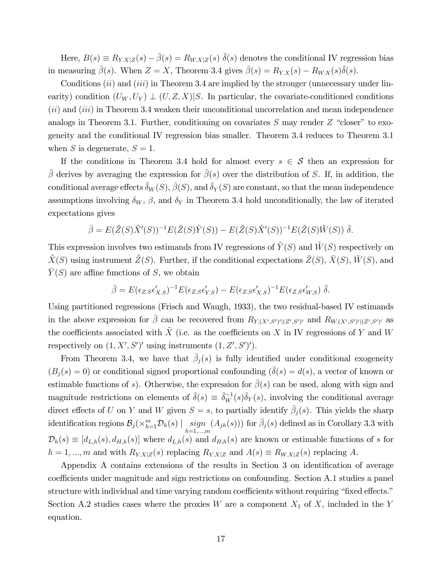Here,  $B(s) \equiv R_{Y.X|Z}(s) - \bar{\beta}(s) = R_{W.X|Z}(s) \bar{\delta}(s)$  denotes the conditional IV regression bias in measuring  $\bar{\beta}(s)$ . When  $Z = X$ , Theorem 3.4 gives  $\bar{\beta}(s) = R_{Y,X}(s) - R_{W,X}(s)\bar{\delta}(s)$ .

Conditions  $(ii)$  and  $(iii)$  in Theorem 3.4 are implied by the stronger (unnecessary under linearity) condition  $(U_W, U_Y) \perp (U, Z, X)|S$ . In particular, the covariate-conditioned conditions  $(ii)$  and  $(iii)$  in Theorem 3.4 weaken their unconditional uncorrelation and mean independence analogs in Theorem 3.1. Further, conditioning on covariates  $S$  may render  $Z$  "closer" to exogeneity and the conditional IV regression bias smaller. Theorem 3.4 reduces to Theorem 3.1 when S is degenerate,  $S = 1$ .

If the conditions in Theorem 3.4 hold for almost every  $s \in \mathcal{S}$  then an expression for  $\bar{\beta}$  derives by averaging the expression for  $\bar{\beta}(s)$  over the distribution of S. If, in addition, the conditional average effects  $\bar{\delta}_W(S)$ ,  $\bar{\beta}(S)$ , and  $\bar{\delta}_Y(S)$  are constant, so that the mean independence assumptions involving  $\delta_W$ ,  $\beta$ , and  $\delta_Y$  in Theorem 3.4 hold unconditionally, the law of iterated expectations gives

$$
\bar{\beta} = E(\tilde{Z}(S)\tilde{X}'(S))^{-1}E(\tilde{Z}(S)\tilde{Y}(S)) - E(\tilde{Z}(S)\tilde{X}'(S))^{-1}E(\tilde{Z}(S)\tilde{W}(S)) \bar{\delta}.
$$

This expression involves two estimands from IV regressions of  $\tilde{Y}(S)$  and  $\tilde{W}(S)$  respectively on  $\tilde{X}(S)$  using instrument  $\tilde{Z}(S)$ . Further, if the conditional expectations  $\bar{Z}(S)$ ,  $\bar{X}(S)$ ,  $\bar{W}(S)$ , and  $\overline{Y}(S)$  are affine functions of S, we obtain

$$
\bar{\beta} = E(\epsilon_{Z.S} \epsilon'_{X.S})^{-1} E(\epsilon_{Z.S} \epsilon'_{Y.S}) - E(\epsilon_{Z.S} \epsilon'_{X.S})^{-1} E(\epsilon_{Z.S} \epsilon'_{W.S}) \bar{\delta}.
$$

Using partitioned regressions (Frisch and Waugh, 1933), the two residual-based IV estimands in the above expression for  $\bar{\beta}$  can be recovered from  $R_{Y,(X',S')'|(Z',S')}$  and  $R_{W,(X',S')'|(Z',S')}$  as the coefficients associated with X (i.e. as the coefficients on X in IV regressions of Y and W respectively on  $(1, X', S')'$  using instruments  $(1, Z', S')'.$ 

From Theorem 3.4, we have that  $\bar{\beta}_j(s)$  is fully identified under conditional exogeneity  $(B_i(s) = 0)$  or conditional signed proportional confounding  $(\delta(s) = d(s))$ , a vector of known or estimable functions of s). Otherwise, the expression for  $\beta(s)$  can be used, along with sign and magnitude restrictions on elements of  $\bar{\delta}(s) \equiv \bar{\delta}_W^{-1}(s)\bar{\delta}_Y(s)$ , involving the conditional average direct effects of U on Y and W given  $S = s$ , to partially identify  $\bar{\beta}_j(s)$ . This yields the sharp identification regions  $\mathcal{B}_j(\times_{h=1}^m \mathcal{D}_h(s) \mid \operatorname*{sign}_{h=1,\dots,m}$  $(A_{jh}(s))$  for  $\bar{\beta}_j(s)$  defined as in Corollary 3.3 with  $\mathcal{D}_h(s) \equiv [d_{L,h}(s), d_{H,h}(s)]$  where  $d_{L,h}(s)$  and  $d_{H,h}(s)$  are known or estimable functions of s for  $h = 1, ..., m$  and with  $R_{Y,X|Z}(s)$  replacing  $R_{Y,X|Z}$  and  $A(s) \equiv R_{W,X|Z}(s)$  replacing A.

Appendix A contains extensions of the results in Section 3 on identification of average coefficients under magnitude and sign restrictions on confounding. Section A.1 studies a panel structure with individual and time varying random coefficients without requiring "fixed effects." Section A.2 studies cases where the proxies W are a component  $X_1$  of X, included in the Y equation.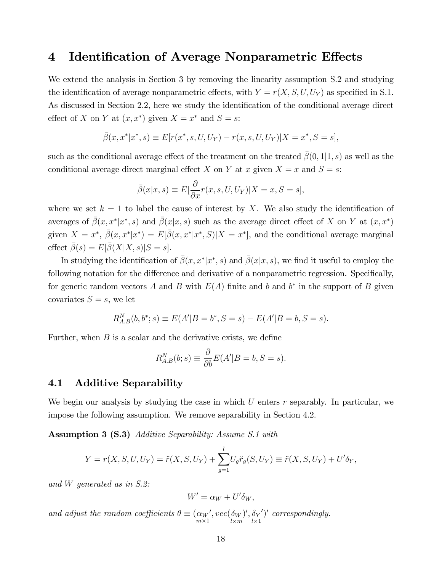## 4 Identification of Average Nonparametric Effects

We extend the analysis in Section 3 by removing the linearity assumption S.2 and studying the identification of average nonparametric effects, with  $Y = r(X, S, U, U_Y)$  as specified in S.1. As discussed in Section 2.2, here we study the identification of the conditional average direct effect of X on Y at  $(x, x^*)$  given  $X = x^*$  and  $S = s$ :

$$
\bar{\beta}(x, x^* | x^*, s) \equiv E[r(x^*, s, U, U_Y) - r(x, s, U, U_Y) | X = x^*, S = s],
$$

such as the conditional average effect of the treatment on the treated  $\beta(0,1|1,s)$  as well as the conditional average direct marginal effect X on Y at x given  $X = x$  and  $S = s$ :

$$
\bar{\beta}(x|x,s) \equiv E\left[\frac{\partial}{\partial x}r(x,s,U,U_Y)|X=x,S=s\right],
$$

where we set  $k = 1$  to label the cause of interest by X. We also study the identification of averages of  $\bar{\beta}(x, x^*|x^*, s)$  and  $\bar{\beta}(x|x, s)$  such as the average direct effect of X on Y at  $(x, x^*)$ given  $X = x^*$ ,  $\bar{\beta}(x, x^*|x^*) = E[\bar{\beta}(x, x^*|x^*, S)|X = x^*]$ , and the conditional average marginal effect  $\bar{\beta}(s) = E[\bar{\beta}(X|X,s)|S=s].$ 

In studying the identification of  $\bar{\beta}(x, x^* | x^*, s)$  and  $\bar{\beta}(x | x, s)$ , we find it useful to employ the following notation for the difference and derivative of a nonparametric regression. Specifically, for generic random vectors A and B with  $E(A)$  finite and b and b<sup>\*</sup> in the support of B given covariates  $S = s$ , we let

$$
R_{A,B}^{N}(b,b^{*};s) \equiv E(A'|B=b^{*},S=s) - E(A'|B=b,S=s).
$$

Further, when  $B$  is a scalar and the derivative exists, we define

$$
R_{A,B}^N(b;s) \equiv \frac{\partial}{\partial b} E(A'|B=b, S=s).
$$

### 4.1 Additive Separability

We begin our analysis by studying the case in which  $U$  enters  $r$  separably. In particular, we impose the following assumption. We remove separability in Section 4.2.

Assumption 3 (S.3) Additive Separability: Assume S.1 with

$$
Y = r(X, S, U, U_Y) = \ddot{r}(X, S, U_Y) + \sum_{g=1}^{l} U_g \breve{r}_g(S, U_Y) \equiv \ddot{r}(X, S, U_Y) + U'\delta_Y,
$$

and W generated as in S.2:

$$
W' = \alpha_W + U' \delta_W,
$$

and adjust the random coefficients  $\theta \equiv \left(\alpha_W\right)^{m \times 1}$  $', vec(\delta_W$  $l \times m$ )',  $\delta_Y$  $l \times 1$  $\prime$  or  $($  correspondingly.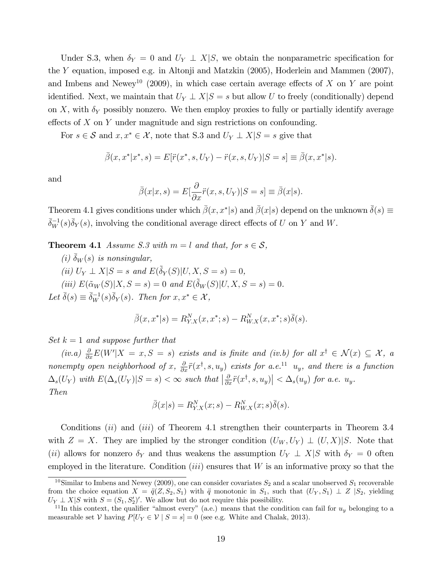Under S.3, when  $\delta_Y = 0$  and  $U_Y \perp X|S$ , we obtain the nonparametric specification for the Y equation, imposed e.g. in Altonji and Matzkin (2005), Hoderlein and Mammen (2007), and Imbens and Newey<sup>10</sup> (2009), in which case certain average effects of X on Y are point identified. Next, we maintain that  $U_Y \perp X|S = s$  but allow U to freely (conditionally) depend on X, with  $\delta_Y$  possibly nonzero. We then employ proxies to fully or partially identify average effects of  $X$  on  $Y$  under magnitude and sign restrictions on confounding.

For  $s \in \mathcal{S}$  and  $x, x^* \in \mathcal{X}$ , note that S.3 and  $U_Y \perp X|S = s$  give that

$$
\bar{\beta}(x, x^*|x^*, s) = E[\ddot{r}(x^*, s, U_Y) - \ddot{r}(x, s, U_Y)|S = s] \equiv \bar{\beta}(x, x^*|s).
$$

and

$$
\bar{\beta}(x|x,s) = E[\frac{\partial}{\partial x}\ddot{r}(x,s,U_Y)|S=s] \equiv \bar{\beta}(x|s).
$$

Theorem 4.1 gives conditions under which  $\bar{\beta}(x, x^*|s)$  and  $\bar{\beta}(x|s)$  depend on the unknown  $\bar{\delta}(s) \equiv$  $\bar{\delta}_W^{-1}(s)\bar{\delta}_Y(s)$ , involving the conditional average direct effects of U on Y and W.

**Theorem 4.1** Assume S.3 with  $m = l$  and that, for  $s \in S$ ,

(i)  $\bar{\delta}_W(s)$  is nonsingular, (ii)  $U_Y \perp X|S = s$  and  $E(\tilde{\delta}_Y(S)|U, X, S = s) = 0$ , (iii)  $E(\tilde{\alpha}_W(S)|X, S = s) = 0$  and  $E(\tilde{\delta}_W(S)|U, X, S = s) = 0$ . Let  $\bar{\delta}(s) \equiv \bar{\delta}_W^{-1}(s)\bar{\delta}_Y(s)$ . Then for  $x, x^* \in \mathcal{X}$ ,

$$
\bar{\beta}(x, x^*|s) = R_{Y.X}^N(x, x^*; s) - R_{W.X}^N(x, x^*; s)\bar{\delta}(s).
$$

 $Set\ k = 1\ and\ suppose\ further\ that$ 

(iv.a)  $\frac{\partial}{\partial x} E(W'|X=x, S=s)$  exists and is finite and (iv.b) for all  $x^{\dagger} \in \mathcal{N}(x) \subseteq \mathcal{X}$ , a nonempty open neighborhood of x,  $\frac{\partial}{\partial x}\ddot{r}(x^{\dagger}, s, u_y)$  exists for a.e.<sup>11</sup> u<sub>y</sub>, and there is a function  $\Delta_s(U_Y)$  with  $E(\Delta_s(U_Y)|S=s)<\infty$  such that  $\left|\frac{\partial}{\partial x}\ddot{r}(x^\dagger,s,u_y)\right|<\Delta_s(u_y)$  for a.e.  $u_y$ . Then

$$
\bar{\beta}(x|s) = R_{Y.X}^N(x;s) - R_{W.X}^N(x;s)\bar{\delta}(s).
$$

Conditions *(ii)* and *(iii)* of Theorem 4.1 strengthen their counterparts in Theorem 3.4 with  $Z = X$ . They are implied by the stronger condition  $(U_W, U_Y) \perp (U, X)|S$ . Note that (ii) allows for nonzero  $\delta_Y$  and thus weakens the assumption  $U_Y \perp X|S$  with  $\delta_Y = 0$  often employed in the literature. Condition  $(iii)$  ensures that W is an informative proxy so that the

<sup>&</sup>lt;sup>10</sup>Similar to Imbens and Newey (2009), one can consider covariates  $S_2$  and a scalar unobserved  $S_1$  recoverable from the choice equation  $X = \ddot{q}(Z, S_2, S_1)$  with  $\ddot{q}$  monotonic in  $S_1$ , such that  $(U_Y, S_1) \perp Z | S_2$ , yielding  $U_Y \perp X \mid S$  with  $S = (S_1, S_2')'$ . We allow but do not require this possibility.

<sup>&</sup>lt;sup>11</sup>In this context, the qualifier "almost every" (a.e.) means that the condition can fail for  $u_y$  belonging to a measurable set V having  $P[U_Y \in V | S = s] = 0$  (see e.g. White and Chalak, 2013).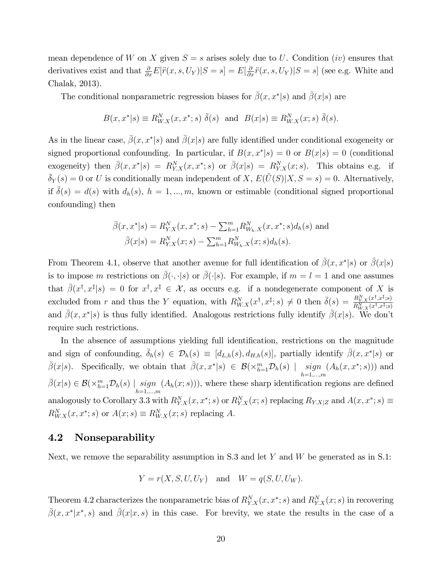mean dependence of W on X given  $S = s$  arises solely due to U. Condition (iv) ensures that derivatives exist and that  $\frac{\partial}{\partial x}E[\ddot{r}(x,s,U_Y)|S=s]=E[\frac{\partial}{\partial x}\ddot{r}(x,s,U_Y)|S=s]$  (see e.g. White and Chalak, 2013).

The conditional nonparametric regression biases for  $\bar{\beta}(x, x^*|s)$  and  $\bar{\beta}(x|s)$  are

$$
B(x, x^*|s) \equiv R_{W.X}^N(x, x^*; s) \overline{\delta}(s) \text{ and } B(x|s) \equiv R_{W.X}^N(x; s) \overline{\delta}(s).
$$

As in the linear case,  $\bar{\beta}(x, x^*|s)$  and  $\bar{\beta}(x|s)$  are fully identified under conditional exogeneity or signed proportional confounding. In particular, if  $B(x, x^*|s) = 0$  or  $B(x|s) = 0$  (conditional exogeneity) then  $\bar{\beta}(x, x^*|s) = R_{Y,X}^N(x, x^*; s)$  or  $\bar{\beta}(x|s) = R_{Y,X}^N(x; s)$ . This obtains e.g. if  $\bar{\delta}_Y(s) = 0$  or U is conditionally mean independent of X,  $E(\tilde{U}(S)|X, S = s) = 0$ . Alternatively, if  $\bar{\delta}(s) = d(s)$  with  $d_h(s)$ ,  $h = 1, ..., m$ , known or estimable (conditional signed proportional confounding) then

$$
\bar{\beta}(x, x^*|s) = R_{Y.X}^N(x, x^*; s) - \sum_{h=1}^m R_{W_h.X}^N(x, x^*; s) d_h(s)
$$
 and  

$$
\bar{\beta}(x|s) = R_{Y.X}^N(x; s) - \sum_{h=1}^m R_{W_h.X}^N(x; s) d_h(s).
$$

From Theorem 4.1, observe that another avenue for full identification of  $\bar{\beta}(x, x^*|s)$  or  $\bar{\beta}(x|s)$ is to impose m restrictions on  $\bar{\beta}(\cdot, \cdot | s)$  or  $\bar{\beta}(\cdot | s)$ . For example, if  $m = l = 1$  and one assumes that  $\bar{\beta}(x^{\dagger}, x^{\ddagger}|s) = 0$  for  $x^{\dagger}, x^{\ddagger} \in \mathcal{X}$ , as occurs e.g. if a nondegenerate component of X is excluded from r and thus the Y equation, with  $R_{W,X}^N(x^{\dagger}, x^{\ddagger}; s) \neq 0$  then  $\bar{\delta}(s) = \frac{R_{Y,X}^N(x^{\dagger}, x^{\ddagger}; s)}{R_{W,X}^N(x^{\dagger}, x^{\ddagger}; s)}$  $R^N_{W.X}(x^\dagger,x^\ddagger;s)$ and  $\bar{\beta}(x, x^*|s)$  is thus fully identified. Analogous restrictions fully identify  $\bar{\beta}(x|s)$ . We don't require such restrictions.

In the absence of assumptions yielding full identification, restrictions on the magnitude and sign of confounding,  $\bar{\delta}_h(s) \in \mathcal{D}_h(s) \equiv [d_{L,h}(s), d_{H,h}(s)]$ , partially identify  $\bar{\beta}(x, x^*|s)$  or  $\bar{\beta}(x|s)$ . Specifically, we obtain that  $\bar{\beta}(x, x^*|s) \in \mathcal{B}(\times_{h=1}^m \mathcal{D}_h(s) \mid \text{sign}_{h=1,\dots,m}$  $(A_h(x, x^*; s)))$  and  $\bar{\beta}(x|s) \in \mathcal{B}(\times_{h=1}^m \mathcal{D}_h(s) \mid \underset{h=1,...,m}{sign}$  $(A_h(x; s)))$ , where these sharp identification regions are defined analogously to Corollary 3.3 with  $R_{Y.X}^N(x, x^*; s)$  or  $R_{Y.X}^N(x; s)$  replacing  $R_{Y.X|Z}$  and  $A(x, x^*; s) \equiv$  $R_{W.X}^N(x, x^*; s)$  or  $A(x; s) \equiv R_{W.X}^N(x; s)$  replacing A.

#### 4.2 Nonseparability

Next, we remove the separability assumption in S.3 and let Y and W be generated as in S.1:

$$
Y = r(X, S, U, U_Y) \quad \text{and} \quad W = q(S, U, U_W).
$$

Theorem 4.2 characterizes the nonparametric bias of  $R_{Y,X}^N(x, x^*; s)$  and  $R_{Y,X}^N(x; s)$  in recovering  $\bar{\beta}(x,x^*|x^*,s)$  and  $\bar{\beta}(x|x,s)$  in this case. For brevity, we state the results in the case of a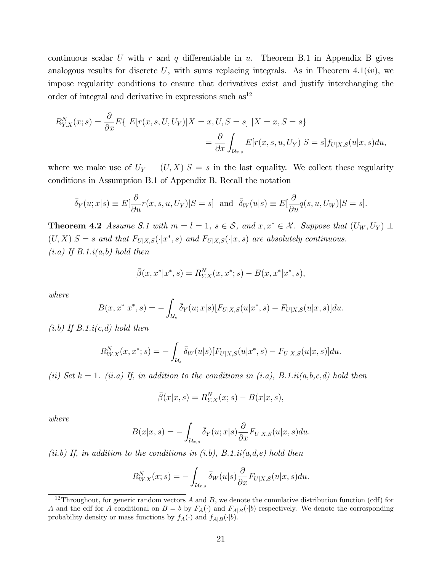continuous scalar U with r and q differentiable in u. Theorem B.1 in Appendix B gives analogous results for discrete  $U$ , with sums replacing integrals. As in Theorem 4.1(*iv*), we impose regularity conditions to ensure that derivatives exist and justify interchanging the order of integral and derivative in expressions such  $as<sup>12</sup>$ 

$$
R_{Y,X}^N(x;s) = \frac{\partial}{\partial x} E\{ E[r(x,s,U,U_Y)|X=x,U,S=s] | X=x,S=s \}
$$
  

$$
= \frac{\partial}{\partial x} \int_{\mathcal{U}_{x,s}} E[r(x,s,u,U_Y)|S=s] f_{U|X,S}(u|x,s) du,
$$

where we make use of  $U_Y \perp (U, X)|S = s$  in the last equality. We collect these regularity conditions in Assumption B.1 of Appendix B. Recall the notation

$$
\bar{\delta}_Y(u;x|s) \equiv E[\frac{\partial}{\partial u}r(x,s,u,U_Y)|S=s] \text{ and } \bar{\delta}_W(u|s) \equiv E[\frac{\partial}{\partial u}q(s,u,U_W)|S=s].
$$

**Theorem 4.2** Assume S.1 with  $m = l = 1$ ,  $s \in S$ , and  $x, x^* \in \mathcal{X}$ . Suppose that  $(U_W, U_Y) \perp$  $(U, X)|S = s$  and that  $F_{U|X,S}(\cdot|x^*, s)$  and  $F_{U|X,S}(\cdot|x, s)$  are absolutely continuous.  $(i.a)$  If  $B.1.i(a,b)$  hold then

$$
\bar{\beta}(x, x^*|x^*, s) = R_{Y.X}^N(x, x^*; s) - B(x, x^*|x^*, s),
$$

where

$$
B(x, x^*|x^*, s) = -\int_{\mathcal{U}_s} \bar{\delta}_Y(u; x|s) [F_{U|X,S}(u|x^*, s) - F_{U|X,S}(u|x, s)] du.
$$

 $(i.b)$  If  $B.1.i(c,d)$  hold then

$$
R_{W.X}^N(x, x^*; s) = -\int_{\mathcal{U}_s} \bar{\delta}_W(u|s) [F_{U|X,S}(u|x^*, s) - F_{U|X,S}(u|x, s)] du.
$$

(ii) Set  $k = 1$ . (ii.a) If, in addition to the conditions in (i.a), B.1.ii(a,b,c,d) hold then

$$
\bar{\beta}(x|x,s) = R_{Y.X}^N(x;s) - B(x|x,s),
$$

where

$$
B(x|x,s) = -\int_{\mathcal{U}_{x,s}} \bar{\delta}_Y(u;x|s) \frac{\partial}{\partial x} F_{U|X,S}(u|x,s) du.
$$

(ii.b) If, in addition to the conditions in (i.b),  $B.1.ii(a,d,e)$  hold then

$$
R_{W.X}^N(x;s) = -\int_{\mathcal{U}_{x,s}} \bar{\delta}_W(u|s) \frac{\partial}{\partial x} F_{U|X,S}(u|x,s) du.
$$

<sup>&</sup>lt;sup>12</sup>Throughout, for generic random vectors A and B, we denote the cumulative distribution function (cdf) for A and the cdf for A conditional on  $B = b$  by  $F_A(\cdot)$  and  $F_{A|B}(\cdot|b)$  respectively. We denote the corresponding probability density or mass functions by  $f_A(\cdot)$  and  $f_{A|B}(\cdot|b)$ .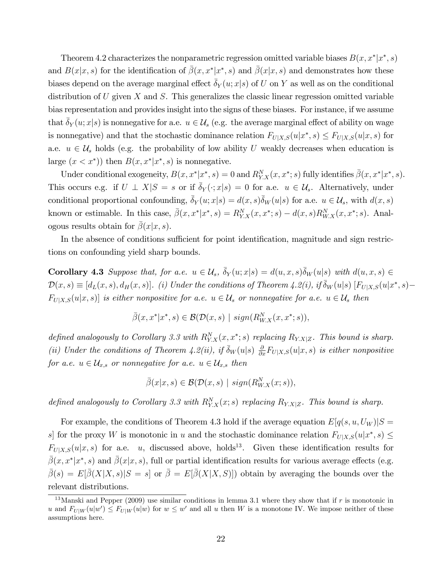Theorem 4.2 characterizes the nonparametric regression omitted variable biases  $B(x, x^* | x^*, s)$ and  $B(x|x, s)$  for the identification of  $\bar{\beta}(x, x^*|x^*, s)$  and  $\bar{\beta}(x|x, s)$  and demonstrates how these biases depend on the average marginal effect  $\delta_Y(u; x|s)$  of U on Y as well as on the conditional distribution of U given X and S. This generalizes the classic linear regression omitted variable bias representation and provides insight into the signs of these biases. For instance, if we assume that  $\delta_Y(u; x|s)$  is nonnegative for a.e.  $u \in \mathcal{U}_s$  (e.g. the average marginal effect of ability on wage is nonnegative) and that the stochastic dominance relation  $F_{U|X,S}(u|x^*,s) \leq F_{U|X,S}(u|x,s)$  for a.e.  $u \in \mathcal{U}_s$  holds (e.g. the probability of low ability U weakly decreases when education is large  $(x < x^*)$  then  $B(x, x^*|x^*, s)$  is nonnegative.

Under conditional exogeneity,  $B(x, x^*|x^*, s) = 0$  and  $R_{Y,X}^N(x, x^*; s)$  fully identifies  $\bar{\beta}(x, x^*|x^*, s)$ . This occurs e.g. if  $U \perp X|S = s$  or if  $\bar{\delta}_Y(\cdot; x|s) = 0$  for a.e.  $u \in \mathcal{U}_s$ . Alternatively, under conditional proportional confounding,  $\bar{\delta}_Y(u; x|s) = d(x, s)\bar{\delta}_W(u|s)$  for a.e.  $u \in \mathcal{U}_s$ , with  $d(x, s)$ known or estimable. In this case,  $\bar{\beta}(x, x^* | x^*, s) = R_{Y,X}^N(x, x^*; s) - d(x, s)R_{W,X}^N(x, x^*; s)$ . Analogous results obtain for  $\beta(x|x,s)$ .

In the absence of conditions sufficient for point identification, magnitude and sign restrictions on confounding yield sharp bounds.

**Corollary 4.3** Suppose that, for a.e.  $u \in \mathcal{U}_s$ ,  $\bar{\delta}_Y(u; x|s) = d(u, x, s)\bar{\delta}_W(u|s)$  with  $d(u, x, s) \in$  $\mathcal{D}(x,s) \equiv [d_L(x,s), d_H(x,s)]$ . (i) Under the conditions of Theorem 4.2(i), if  $\bar{\delta}_W(u|s)$   $[F_{U|X,S}(u|x^*,s) F_{U|X,S}(u|x,s)]$  is either nonpositive for a.e.  $u \in \mathcal{U}_s$  or nonnegative for a.e.  $u \in \mathcal{U}_s$  then

$$
\bar{\beta}(x, x^*|x^*, s) \in \mathcal{B}(\mathcal{D}(x, s) \mid sign(R_{W.X}^N(x, x^*; s)),
$$

defined analogously to Corollary 3.3 with  $R_{Y,X}^N(x, x^*; s)$  replacing  $R_{Y,X|Z}$ . This bound is sharp. (ii) Under the conditions of Theorem 4.2(ii), if  $\bar{\delta}_W(u|s)$   $\frac{\partial}{\partial x}F_{U|X,S}(u|x,s)$  is either nonpositive for a.e.  $u \in \mathcal{U}_{x,s}$  or nonnegative for a.e.  $u \in \mathcal{U}_{x,s}$  then

 $\bar{\beta}(x|x,s) \in \mathcal{B}(\mathcal{D}(x,s) \mid sign(R_{W.X}^N(x;s)),$ 

defined analogously to Corollary 3.3 with  $R_{Y,X}^N(x; s)$  replacing  $R_{Y,X|Z}$ . This bound is sharp.

For example, the conditions of Theorem 4.3 hold if the average equation  $E[q(s, u, U_W)]S =$ s] for the proxy W is monotonic in u and the stochastic dominance relation  $F_{U|X,S}(u|x^*,s) \leq$  $F_{U|X,S}(u|x,s)$  for a.e. u, discussed above, holds<sup>13</sup>. Given these identification results for  $\bar{\beta}(x, x^* | x^*, s)$  and  $\bar{\beta}(x | x, s)$ , full or partial identification results for various average effects (e.g.  $\bar{\beta}(s) = E[\bar{\beta}(X|X,s)|S = s]$  or  $\bar{\beta} = E[\bar{\beta}(X|X,S)]$  obtain by averaging the bounds over the relevant distributions.

<sup>&</sup>lt;sup>13</sup>Manski and Pepper (2009) use similar conditions in lemma 3.1 where they show that if r is monotonic in u and  $F_{U|W}(u|w') \leq F_{U|W}(u|w)$  for  $w \leq w'$  and all u then W is a monotone IV. We impose neither of these assumptions here.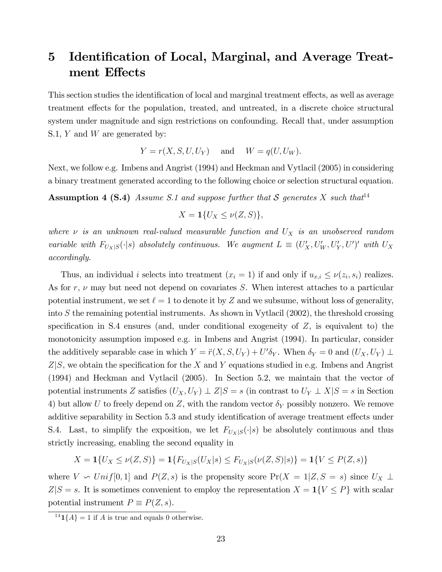# 5 Identification of Local, Marginal, and Average Treatment Effects

This section studies the identification of local and marginal treatment effects, as well as average treatment effects for the population, treated, and untreated, in a discrete choice structural system under magnitude and sign restrictions on confounding. Recall that, under assumption S.1, Y and W are generated by:

$$
Y = r(X, S, U, U_Y) \quad \text{and} \quad W = q(U, U_W).
$$

Next, we follow e.g. Imbens and Angrist (1994) and Heckman and Vytlacil (2005) in considering a binary treatment generated according to the following choice or selection structural equation.

**Assumption 4 (S.4)** Assume S.1 and suppose further that S generates X such that<sup>14</sup>

$$
X=\mathbf{1}\{U_X\leq \nu(Z,S)\},\
$$

where  $\nu$  is an unknown real-valued measurable function and  $U_X$  is an unobserved random variable with  $F_{U_X|S}(\cdot|s)$  absolutely continuous. We augment  $L \equiv (U'_X, U'_W, U'_Y, U')'$  with  $U_X$ accordingly.

Thus, an individual *i* selects into treatment  $(x_i = 1)$  if and only if  $u_{x,i} \le \nu(z_i, s_i)$  realizes. As for r,  $\nu$  may but need not depend on covariates S. When interest attaches to a particular potential instrument, we set  $\ell = 1$  to denote it by Z and we subsume, without loss of generality, into S the remaining potential instruments. As shown in Vytlacil (2002), the threshold crossing specification in S.4 ensures (and, under conditional exogeneity of  $Z$ , is equivalent to) the monotonicity assumption imposed e.g. in Imbens and Angrist (1994). In particular, consider the additively separable case in which  $Y = \ddot{r}(X, S, U_Y) + U' \delta_Y$ . When  $\delta_Y = 0$  and  $(U_X, U_Y) \perp$  $Z\vert S$ , we obtain the specification for the X and Y equations studied in e.g. Imbens and Angrist (1994) and Heckman and Vytlacil (2005). In Section 5.2, we maintain that the vector of potential instruments Z satisfies  $(U_X, U_Y) \perp Z|S = s$  (in contrast to  $U_Y \perp X|S = s$  in Section 4) but allow U to freely depend on Z, with the random vector  $\delta_Y$  possibly nonzero. We remove additive separability in Section 5.3 and study identification of average treatment effects under S.4. Last, to simplify the exposition, we let  $F_{U_X|S}(\cdot|s)$  be absolutely continuous and thus strictly increasing, enabling the second equality in

 $X = \mathbf{1}{U_X \leq \nu(Z, S)} = \mathbf{1}{F_{U_X|S}(U_X|s) \leq F_{U_X|S}(\nu(Z, S)|s)} = \mathbf{1}{V \leq P(Z, s)}$ 

where  $V \backsim Unif[0,1]$  and  $P(Z,s)$  is the propensity score  $Pr(X = 1|Z, S = s)$  since  $U_X \perp$  $Z|S = s$ . It is sometimes convenient to employ the representation  $X = \mathbf{1}{V \leq P}$  with scalar potential instrument  $P \equiv P(Z, s)$ .

<sup>&</sup>lt;sup>14</sup>**1**{ $A$ } = 1 if  $A$  is true and equals 0 otherwise.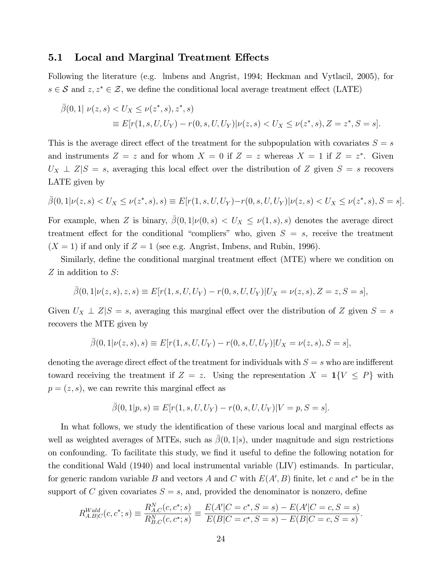#### 5.1 Local and Marginal Treatment Effects

Following the literature (e.g. lmbens and Angrist, 1994; Heckman and Vytlacil, 2005), for  $s \in S$  and  $z, z^* \in \mathcal{Z}$ , we define the conditional local average treatment effect (LATE)

$$
\bar{\beta}(0,1|\nu(z,s) < U_X \leq \nu(z^*,s), z^*,s) \\
 \equiv E[r(1,s,U,V_Y) - r(0,s,U,V_Y)|\nu(z,s) < U_X \leq \nu(z^*,s), Z = z^*, S = s].
$$

This is the average direct effect of the treatment for the subpopulation with covariates  $S = s$ and instruments  $Z = z$  and for whom  $X = 0$  if  $Z = z$  whereas  $X = 1$  if  $Z = z^*$ . Given  $U_X \perp Z \mid S = s$ , averaging this local effect over the distribution of Z given  $S = s$  recovers LATE given by

$$
\bar{\beta}(0,1|\nu(z,s) < U_X \le \nu(z^*,s),s) \equiv E[r(1,s,U,U_Y) - r(0,s,U,U_Y)|\nu(z,s) < U_X \le \nu(z^*,s), S = s].
$$

For example, when Z is binary,  $\bar{\beta}(0,1|\nu(0,s) < U_X \leq \nu(1,s),s)$  denotes the average direct treatment effect for the conditional "compliers" who, given  $S = s$ , receive the treatment  $(X = 1)$  if and only if  $Z = 1$  (see e.g. Angrist, Imbens, and Rubin, 1996).

Similarly, define the conditional marginal treatment effect (MTE) where we condition on Z in addition to S:

$$
\bar{\beta}(0,1|\nu(z,s),z,s) \equiv E[r(1,s,U,U_Y) - r(0,s,U,U_Y)|U_X = \nu(z,s), Z = z, S = s],
$$

Given  $U_X \perp Z|S = s$ , averaging this marginal effect over the distribution of Z given  $S = s$ recovers the MTE given by

$$
\bar{\beta}(0,1|\nu(z,s),s) \equiv E[r(1,s,U,U_Y) - r(0,s,U,U_Y)|U_X = \nu(z,s), S = s],
$$

denoting the average direct effect of the treatment for individuals with  $S = s$  who are indifferent toward receiving the treatment if  $Z = z$ . Using the representation  $X = \mathbf{1}{V \leq P}$  with  $p = (z, s)$ , we can rewrite this marginal effect as

$$
\bar{\beta}(0,1|p,s) \equiv E[r(1,s,U,U_Y) - r(0,s,U,U_Y)|V = p, S = s].
$$

In what follows, we study the identification of these various local and marginal effects as well as weighted averages of MTEs, such as  $\beta(0,1|s)$ , under magnitude and sign restrictions on confounding. To facilitate this study, we find it useful to define the following notation for the conditional Wald (1940) and local instrumental variable (LIV) estimands. In particular, for generic random variable B and vectors A and C with  $E(A, B)$  finite, let c and  $c^*$  be in the support of C given covariates  $S = s$ , and, provided the denominator is nonzero, define

$$
R_{A.B|C}^{Wald}(c, c^*; s) \equiv \frac{R_{A.C}^N(c, c^*; s)}{R_{B.C}^N(c, c^*; s)} \equiv \frac{E(A'|C = c^*, S = s) - E(A'|C = c, S = s)}{E(B|C = c^*, S = s) - E(B|C = c, S = s)}.
$$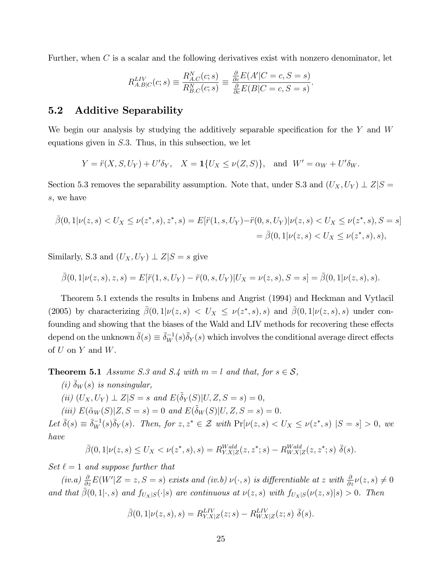Further, when  $C$  is a scalar and the following derivatives exist with nonzero denominator, let

$$
R_{A,B|C}^{LIV}(c;s) \equiv \frac{R_{A,C}^N(c;s)}{R_{B,C}^N(c;s)} \equiv \frac{\frac{\partial}{\partial c}E(A'|C=c, S=s)}{\frac{\partial}{\partial c}E(B|C=c, S=s)}.
$$

#### 5.2 Additive Separability

We begin our analysis by studying the additively separable specification for the  $Y$  and  $W$ equations given in  $S.3$ . Thus, in this subsection, we let

$$
Y = \ddot{r}(X, S, U_Y) + U'\delta_Y
$$
,  $X = \mathbf{1}\{U_X \le \nu(Z, S)\}$ , and  $W' = \alpha_W + U'\delta_W$ .

Section 5.3 removes the separability assumption. Note that, under S.3 and  $(U_X, U_Y) \perp Z \mid S =$ s, we have

$$
\bar{\beta}(0,1|\nu(z,s) < U_X \le \nu(z^*,s),z^*,s) = E[\ddot{r}(1,s,U_Y) - \ddot{r}(0,s,U_Y)|\nu(z,s) < U_X \le \nu(z^*,s),S = s] \\
= \bar{\beta}(0,1|\nu(z,s) < U_X \le \nu(z^*,s),s),
$$

Similarly, S.3 and  $(U_X, U_Y) \perp Z|S = s$  give

$$
\bar{\beta}(0,1|\nu(z,s),z,s) = E[\ddot{r}(1,s,U_Y) - \ddot{r}(0,s,U_Y)|U_X = \nu(z,s), S = s] = \bar{\beta}(0,1|\nu(z,s),s).
$$

Theorem 5.1 extends the results in Imbens and Angrist (1994) and Heckman and Vytlacil (2005) by characterizing  $\bar{\beta}(0,1|\nu(z,s)) < U_X \leq \nu(z^*,s),s)$  and  $\bar{\beta}(0,1|\nu(z,s),s)$  under confounding and showing that the biases of the Wald and LIV methods for recovering these effects depend on the unknown  $\bar{\delta}(s) \equiv \bar{\delta}_W^{-1}(s) \bar{\delta}_Y(s)$  which involves the conditional average direct effects of  $U$  on  $Y$  and  $W$ .

**Theorem 5.1** Assume S.3 and S.4 with  $m = l$  and that, for  $s \in S$ ,

- (i)  $\bar{\delta}_W(s)$  is nonsingular,
- (ii)  $(U_X, U_Y) \perp Z \mid S = s \text{ and } E(\tilde{\delta}_Y(S) \mid U, Z, S = s) = 0,$
- (iii)  $E(\tilde{\alpha}_W(S)|Z, S = s) = 0$  and  $E(\tilde{\delta}_W(S)|U, Z, S = s) = 0$ .

Let  $\bar{\delta}(s) \equiv \bar{\delta}_W^{-1}(s)\bar{\delta}_Y(s)$ . Then, for  $z, z^* \in \mathcal{Z}$  with  $\Pr[\nu(z, s) < U_X \leq \nu(z^*, s) | S = s] > 0$ , we have

$$
\bar{\beta}(0,1|\nu(z,s) \le U_X < \nu(z^*,s),s) = R_{Y.X|Z}^{Wald}(z,z^*;s) - R_{W.X|Z}^{Wald}(z,z^*;s) \ \bar{\delta}(s).
$$

Set  $\ell = 1$  and suppose further that

(iv.a)  $\frac{\partial}{\partial z} E(W'|Z=z, S=s)$  exists and (iv.b)  $\nu(\cdot, s)$  is differentiable at z with  $\frac{\partial}{\partial z}\nu(z, s) \neq 0$ and that  $\bar{\beta}(0,1|\cdot,s)$  and  $f_{U_X|S}(\cdot|s)$  are continuous at  $\nu(z,s)$  with  $f_{U_X|S}(\nu(z,s)|s) > 0$ . Then

$$
\bar{\beta}(0,1|\nu(z,s),s) = R_{Y.X|Z}^{LIV}(z;s) - R_{W.X|Z}^{LIV}(z;s) \ \bar{\delta}(s).
$$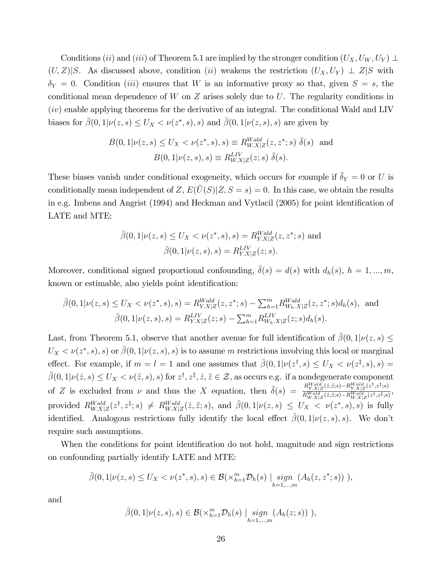Conditions (ii) and (iii) of Theorem 5.1 are implied by the stronger condition  $(U_X, U_W, U_Y) \perp$  $(U, Z)|S$ . As discussed above, condition (ii) weakens the restriction  $(U_X, U_Y) \perp Z|S$  with  $\delta_Y = 0$ . Condition *(iii)* ensures that W is an informative proxy so that, given  $S = s$ , the conditional mean dependence of  $W$  on  $Z$  arises solely due to  $U$ . The regularity conditions in (iv) enable applying theorems for the derivative of an integral. The conditional Wald and LIV biases for  $\bar{\beta}(0,1|\nu(z,s) \leq U_X \lt \nu(z^*,s),s)$  and  $\bar{\beta}(0,1|\nu(z,s),s)$  are given by

$$
B(0,1|\nu(z,s) \le U_X < \nu(z^*,s),s) \equiv R_{W.X|Z}^{Wald}(z,z^*;s) \, \bar{\delta}(s) \, \text{ and}
$$
\n
$$
B(0,1|\nu(z,s),s) \equiv R_{W.X|Z}^{LIV}(z;s) \, \bar{\delta}(s).
$$

These biases vanish under conditional exogeneity, which occurs for example if  $\bar{\delta}_Y = 0$  or U is conditionally mean independent of Z,  $E(\tilde{U}(S)|Z, S = s) = 0$ . In this case, we obtain the results in e.g. Imbens and Angrist (1994) and Heckman and Vytlacil (2005) for point identification of LATE and MTE:

$$
\bar{\beta}(0,1|\nu(z,s) \le U_X < \nu(z^*,s),s) = R_{Y.X|Z}^{Wald}(z,z^*;s) \text{ and}
$$
\n
$$
\bar{\beta}(0,1|\nu(z,s),s) = R_{Y.X|Z}^{LIV}(z;s).
$$

Moreover, conditional signed proportional confounding,  $\overline{\delta}(s) = d(s)$  with  $d_h(s)$ ,  $h = 1, ..., m$ , known or estimable, also yields point identification:

$$
\bar{\beta}(0,1|\nu(z,s) \le U_X < \nu(z^*,s),s) = R_{Y.X|Z}^{Wald}(z,z^*;s) - \sum_{h=1}^m R_{W_h.X|Z}^{Wald}(z,z^*;s) d_h(s), \text{ and}
$$
\n
$$
\bar{\beta}(0,1|\nu(z,s),s) = R_{Y.X|Z}^{LIV}(z;s) - \sum_{h=1}^m R_{W_h.X|Z}^{LIV}(z;s) d_h(s).
$$

Last, from Theorem 5.1, observe that another avenue for full identification of  $\bar{\beta}(0,1|\nu(z,s) \leq$  $U_X < \nu(z^*, s), s)$  or  $\bar{\beta}(0, 1 | \nu(z, s), s)$  is to assume m restrictions involving this local or marginal effect. For example, if  $m = l = 1$  and one assumes that  $\bar{\beta}(0, 1 | \nu(z^{\dagger}, s) \leq U_X < \nu(z^{\ddagger}, s), s) =$  $\bar{\beta}(0,1|\nu(\dot{z},s) \leq U_X < \nu(\ddot{z},s),s)$  for  $z^{\dagger}, z^{\dagger}, \dot{z}, \ddot{z} \in \mathcal{Z}$ , as occurs e.g. if a nondegenerate component of Z is excluded from  $\nu$  and thus the X equation, then  $\bar{\delta}(s) = \frac{R_{Y,X|Z}^{Wald}(z,\bar{z};s) - R_{Y,X|Z}^{Wald}(z^{\dagger},z^{\dagger};s)}{R_{Wald}(z,\bar{z};s) - R_{YX|Z}^{Wald}(z^{\dagger},z^{\dagger};s)}$  $\frac{N_{Y,X|Z}(z,z,s)-N_{Y,X|Z}(z,z,s)}{R_{W,X|Z}^{Wald}(z,\ddot{z};s)-R_{W,X|Z}^{Wald}(z^{\dagger},z^{\ddagger};s)},$ provided  $R_{W.X|Z}^{Wald}(z^{\dagger}, z^{\ddagger}; s) \neq R_{W.X|Z}^{Wald}(z, \ddot{z}; s)$ , and  $\bar{\beta}(0, 1 | \nu(z, s) \leq U_X < \nu(z^*, s), s)$  is fully identified. Analogous restrictions fully identify the local effect  $\bar{\beta}(0, 1 | \nu(z, s), s)$ . We don't require such assumptions.

When the conditions for point identification do not hold, magnitude and sign restrictions on confounding partially identify LATE and MTE:

$$
\bar{\beta}(0,1|\nu(z,s) \le U_X < \nu(z^*,s),s) \in \mathcal{B}(\times_{h=1}^m \mathcal{D}_h(s) \mid \underset{h=1,\dots,m}{sign}(A_h(z,z^*;s))),
$$

and

$$
\bar{\beta}(0,1|\nu(z,s),s) \in \mathcal{B}(\times_{h=1}^m \mathcal{D}_h(s) \mid \underset{h=1,\dots,m}{sign}(A_h(z;s))),
$$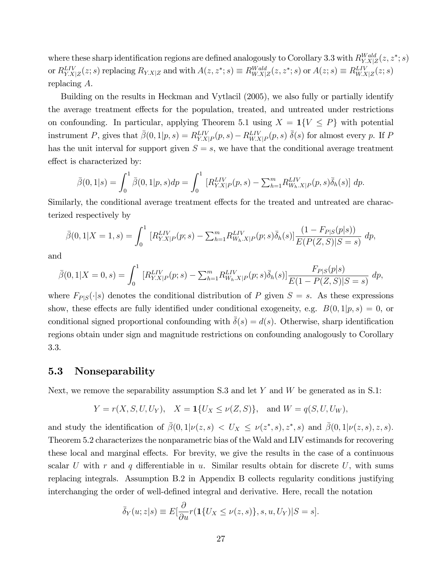where these sharp identification regions are defined analogously to Corollary 3.3 with  $R_{Y,X|Z}^{Wald}(z, z^*; s)$ or  $R_{Y.X|Z}^{LIV}(z; s)$  replacing  $R_{Y.X|Z}$  and with  $A(z, z^*; s) \equiv R_{WX|Z}^{Wald}(z, z^*; s)$  or  $A(z; s) \equiv R_{WX|Z}^{LIV}(z; s)$ replacing A.

Building on the results in Heckman and Vytlacil (2005), we also fully or partially identify the average treatment effects for the population, treated, and untreated under restrictions on confounding. In particular, applying Theorem 5.1 using  $X = 1\{V \leq P\}$  with potential instrument P, gives that  $\bar{\beta}(0,1|p,s) = R_{Y,X|P}^{LIV}(p,s) - R_{W,X|P}^{LIV}(p,s) \bar{\delta}(s)$  for almost every p. If P has the unit interval for support given  $S = s$ , we have that the conditional average treatment effect is characterized by:

$$
\bar{\beta}(0,1|s) = \int_0^1 \bar{\beta}(0,1|p,s)dp = \int_0^1 \left[ R_{Y.X|P}^{LIV}(p,s) - \sum_{h=1}^m R_{W_h.X|P}^{LIV}(p,s)\bar{\delta}_h(s) \right] dp.
$$

Similarly, the conditional average treatment effects for the treated and untreated are characterized respectively by

$$
\bar{\beta}(0,1|X=1,s) = \int_0^1 \left[ R_{Y,X|P}^{LIV}(p;s) - \sum_{h=1}^m R_{W_h.X|P}^{LIV}(p;s) \bar{\delta}_h(s) \right] \frac{(1 - F_{P|S}(p|s))}{E(P(Z,S)|S=s)} dp,
$$

and

$$
\bar{\beta}(0,1|X=0,s) = \int_0^1 \left[ R_{Y,X|P}^{LIV}(p;s) - \sum_{h=1}^m R_{W_h,X|P}^{LIV}(p;s) \bar{\delta}_h(s) \right] \frac{F_{P|S}(p|s)}{E(1 - P(Z,S)|S=s)} dp,
$$

where  $F_{P|S}(\cdot|s)$  denotes the conditional distribution of P given  $S = s$ . As these expressions show, these effects are fully identified under conditional exogeneity, e.g.  $B(0, 1|p, s) = 0$ , or conditional signed proportional confounding with  $\delta(s) = d(s)$ . Otherwise, sharp identification regions obtain under sign and magnitude restrictions on confounding analogously to Corollary 3.3.

### 5.3 Nonseparability

Next, we remove the separability assumption S.3 and let Y and W be generated as in S.1:

$$
Y = r(X, S, U, U_Y),
$$
  $X = \mathbf{1}\{U_X \le \nu(Z, S)\},$  and  $W = q(S, U, U_W),$ 

and study the identification of  $\bar{\beta}(0,1|\nu(z,s)) < U_X \leq \nu(z^*,s),z^*,s)$  and  $\bar{\beta}(0,1|\nu(z,s),z,s)$ . Theorem 5.2 characterizes the nonparametric bias of the Wald and LIV estimands for recovering these local and marginal effects. For brevity, we give the results in the case of a continuous scalar U with r and q differentiable in u. Similar results obtain for discrete U, with sums replacing integrals. Assumption B.2 in Appendix B collects regularity conditions justifying interchanging the order of well-defined integral and derivative. Here, recall the notation

$$
\bar{\delta}_Y(u; z|s) \equiv E\left[\frac{\partial}{\partial u}r(\mathbf{1}\{U_X \le \nu(z, s)\}, s, u, U_Y)|S = s\right].
$$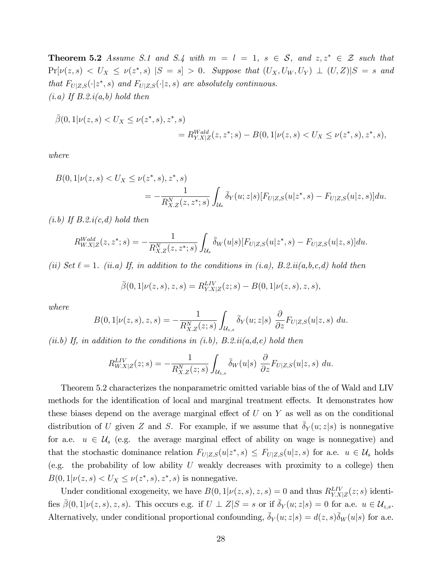**Theorem 5.2** Assume S.1 and S.4 with  $m = l = 1$ ,  $s \in S$ , and  $z, z^* \in \mathcal{Z}$  such that  $Pr[\nu(z, s) \langle U_X \le \nu(z^*, s) | S = s] > 0$ . Suppose that  $(U_X, U_W, U_Y) \perp (U, Z)|S = s$  and that  $F_{U|Z,S}(\cdot|z^*,s)$  and  $F_{U|Z,S}(\cdot|z,s)$  are absolutely continuous.  $(i.a)$  If  $B.2.i(a,b)$  hold then

$$
\overline{\beta}(0,1|\nu(z,s) < U_X \le \nu(z^*,s), z^*,s) \\
= R_{Y.X|Z}^{Wald}(z,z^*;s) - B(0,1|\nu(z,s) < U_X \le \nu(z^*,s), z^*,s),
$$

where

$$
B(0,1|\nu(z,s) < U_X \le \nu(z^*,s), z^*, s) = -\frac{1}{R_{X,Z}^N(z,z^*;s)} \int_{\mathcal{U}_s} \bar{\delta}_Y(u;z|s) [F_{U|Z,S}(u|z^*,s) - F_{U|Z,S}(u|z,s)] du.
$$

 $(i.b)$  If  $B.2.i(c,d)$  hold then

$$
R_{W.X|Z}^{Wald}(z, z^*; s) = -\frac{1}{R_{X.Z}^N(z, z^*; s)} \int_{\mathcal{U}_s} \bar{\delta}_W(u|s) [F_{U|Z,S}(u|z^*, s) - F_{U|Z,S}(u|z, s)] du.
$$

(ii) Set  $\ell = 1$ . (ii.a) If, in addition to the conditions in (i.a), B.2.ii(a,b,c,d) hold then

$$
\bar{\beta}(0,1|\nu(z,s),z,s) = R_{Y.X|Z}^{LIV}(z;s) - B(0,1|\nu(z,s),z,s),
$$

where

$$
B(0,1|\nu(z,s),z,s) = -\frac{1}{R_{X.Z}^N(z;s)} \int_{\mathcal{U}_{z,s}} \bar{\delta}_Y(u;z|s) \frac{\partial}{\partial z} F_{U|Z,S}(u|z,s) du.
$$

(ii.b) If, in addition to the conditions in (i.b),  $B.2.ii(a,d,e)$  hold then

$$
R_{W.X|Z}^{LIV}(z;s) = -\frac{1}{R_{X.Z}^N(z;s)} \int_{\mathcal{U}_{z,s}} \bar{\delta}_W(u|s) \frac{\partial}{\partial z} F_{U|Z,S}(u|z,s) du.
$$

Theorem 5.2 characterizes the nonparametric omitted variable bias of the of Wald and LIV methods for the identification of local and marginal treatment effects. It demonstrates how these biases depend on the average marginal effect of  $U$  on  $Y$  as well as on the conditional distribution of U given Z and S. For example, if we assume that  $\delta_Y(u; z|s)$  is nonnegative for a.e.  $u \in \mathcal{U}_s$  (e.g. the average marginal effect of ability on wage is nonnegative) and that the stochastic dominance relation  $F_{U|Z,S}(u|z^*,s) \leq F_{U|Z,S}(u|z,s)$  for a.e.  $u \in \mathcal{U}_s$  holds (e.g. the probability of low ability  $U$  weakly decreases with proximity to a college) then  $B(0,1|\nu(z,s) < U_X \leq \nu(z^*,s), z^*, s)$  is nonnegative.

Under conditional exogeneity, we have  $B(0, 1 | \nu(z, s), z, s) = 0$  and thus  $R_{Y.X|Z}^{LIV}(z; s)$  identifies  $\bar{\beta}(0,1|\nu(z,s),z,s)$ . This occurs e.g. if  $U \perp Z|S = s$  or if  $\bar{\delta}_Y(u;z|s) = 0$  for a.e.  $u \in \mathcal{U}_{z,s}$ . Alternatively, under conditional proportional confounding,  $\bar{\delta}_Y(u; z|s) = d(z, s)\bar{\delta}_W(u|s)$  for a.e.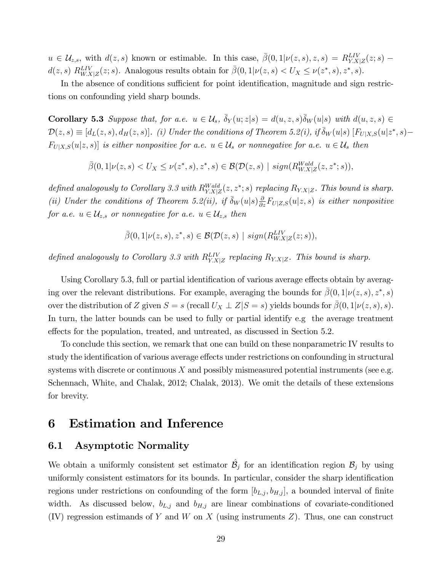$u \in \mathcal{U}_{z,s}$ , with  $d(z, s)$  known or estimable. In this case,  $\bar{\beta}(0, 1 | \nu(z, s), z, s) = R_{Y.X|Z}^{LIV}(z; s)$  –  $d(z, s) R_{W.X|Z}^{LIV}(z; s)$ . Analogous results obtain for  $\bar{\beta}(0, 1 | \nu(z, s) < U_X \leq \nu(z^*, s), z^*, s)$ .

In the absence of conditions sufficient for point identification, magnitude and sign restrictions on confounding yield sharp bounds.

**Corollary 5.3** Suppose that, for a.e.  $u \in \mathcal{U}_s$ ,  $\bar{\delta}_Y(u; z|s) = d(u, z, s)\bar{\delta}_W(u|s)$  with  $d(u, z, s) \in$  $\mathcal{D}(z,s) \equiv [d_L(z,s), d_H(z,s)]$ . (i) Under the conditions of Theorem 5.2(i), if  $\bar{\delta}_W(u|s)$   $[F_{U|X,S}(u|z^*,s) F_{U|X,S}(u|z,s)]$  is either nonpositive for a.e.  $u \in \mathcal{U}_s$  or nonnegative for a.e.  $u \in \mathcal{U}_s$  then

 $\bar{\beta}(0,1|\nu(z,s) < U_X \leq \nu(z^*,s),z^*,s) \in \mathcal{B}(\mathcal{D}(z,s) \mid sign(R_{W.X|Z}^{Wald}(z,z^*;s)),$ 

defined analogously to Corollary 3.3 with  $R_{Y,X|Z}^{Wald}(z, z^*; s)$  replacing  $R_{Y,X|Z}$ . This bound is sharp. (ii) Under the conditions of Theorem 5.2(ii), if  $\bar{\delta}_W(u|s) \frac{\partial}{\partial z} F_{U|Z,S}(u|z,s)$  is either nonpositive for a.e.  $u \in \mathcal{U}_{z,s}$  or nonnegative for a.e.  $u \in \mathcal{U}_{z,s}$  then

$$
\bar{\beta}(0,1|\nu(z,s),z^*,s) \in \mathcal{B}(\mathcal{D}(z,s) \mid sign(R_{W.X|Z}^{LIV}(z;s)),
$$

defined analogously to Corollary 3.3 with  $R_{Y.X|Z}^{LIV}$  replacing  $R_{Y.X|Z}$ . This bound is sharp.

Using Corollary 5.3, full or partial identification of various average effects obtain by averaging over the relevant distributions. For example, averaging the bounds for  $\bar{\beta}(0,1|\nu(z,s),z^*,s)$ over the distribution of Z given  $S = s$  (recall  $U_X \perp Z \mid S = s$ ) yields bounds for  $\beta(0, 1 | \nu(z, s), s)$ . In turn, the latter bounds can be used to fully or partial identify e.g the average treatment effects for the population, treated, and untreated, as discussed in Section 5.2.

To conclude this section, we remark that one can build on these nonparametric IV results to study the identification of various average effects under restrictions on confounding in structural systems with discrete or continuous  $X$  and possibly mismeasured potential instruments (see e.g. Schennach, White, and Chalak, 2012; Chalak, 2013). We omit the details of these extensions for brevity.

## 6 Estimation and Inference

### 6.1 Asymptotic Normality

We obtain a uniformly consistent set estimator  $\hat{\mathcal{B}}_j$  for an identification region  $\mathcal{B}_j$  by using uniformly consistent estimators for its bounds. In particular, consider the sharp identification regions under restrictions on confounding of the form  $[b_{L,j}, b_{H,j}]$ , a bounded interval of finite width. As discussed below,  $b_{L,j}$  and  $b_{H,j}$  are linear combinations of covariate-conditioned  $(IV)$  regression estimands of Y and W on X (using instruments Z). Thus, one can construct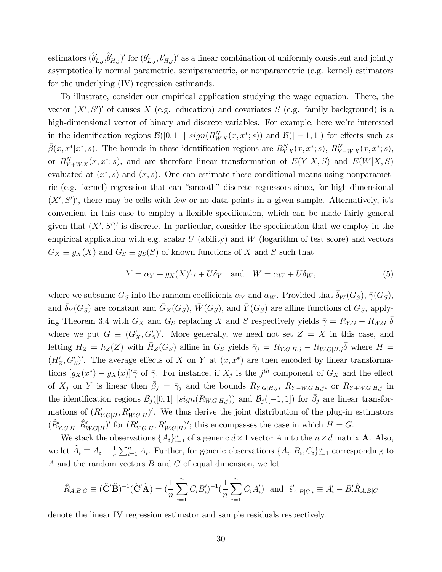estimators  $(\hat{b}'_{L,j}, \hat{b}'_{H,j})'$  for  $(b'_{L,j}, b'_{H,j})'$  as a linear combination of uniformly consistent and jointly asymptotically normal parametric, semiparametric, or nonparametric (e.g. kernel) estimators for the underlying (IV) regression estimands.

To illustrate, consider our empirical application studying the wage equation. There, the vector  $(X', S')'$  of causes X (e.g. education) and covariates S (e.g. family background) is a high-dimensional vector of binary and discrete variables. For example, here we're interested in the identification regions  $\mathcal{B}([0,1] | sign(R_{W,X}^N(x,x^*; s))$  and  $\mathcal{B}([-1,1])$  for effects such as  $\bar{\beta}(x, x^* | x^*, s)$ . The bounds in these identification regions are  $R_{Y.X}^N(x, x^*; s)$ ,  $R_{Y-W.X}^N(x, x^*; s)$ , or  $R_{Y+W,X}^N(x, x^*; s)$ , and are therefore linear transformation of  $E(Y|X, S)$  and  $E(W|X, S)$ evaluated at  $(x^*, s)$  and  $(x, s)$ . One can estimate these conditional means using nonparametric (e.g. kernel) regression that can "smooth" discrete regressors since, for high-dimensional  $(X', S')'$ , there may be cells with few or no data points in a given sample. Alternatively, it's convenient in this case to employ a flexible specification, which can be made fairly general given that  $(X', S')'$  is discrete. In particular, consider the specification that we employ in the empirical application with e.g. scalar  $U$  (ability) and  $W$  (logarithm of test score) and vectors  $G_X \equiv g_X(X)$  and  $G_S \equiv g_S(S)$  of known functions of X and S such that

$$
Y = \alpha_Y + g_X(X)'\gamma + U\delta_Y \quad \text{and} \quad W = \alpha_W + U\delta_W,\tag{5}
$$

where we subsume  $G_S$  into the random coefficients  $\alpha_Y$  and  $\alpha_W$ . Provided that  $\bar{\delta}_W(G_S)$ ,  $\bar{\gamma}(G_S)$ , and  $\bar{\delta}_Y(G_S)$  are constant and  $\bar{G}_X(G_S)$ ,  $\bar{W}(G_S)$ , and  $\bar{Y}(G_S)$  are affine functions of  $G_S$ , applying Theorem 3.4 with  $G_X$  and  $G_S$  replacing X and S respectively yields  $\bar{\gamma} = R_{Y,G} - R_{W,G} \bar{\delta}$ where we put  $G \equiv (G'_X, G'_S)'$ . More generally, we need not set  $Z = X$  in this case, and letting  $H_Z = h_Z(Z)$  with  $\bar{H}_Z(G_S)$  affine in  $G_S$  yields  $\bar{\gamma}_j = R_{Y.G|H,j} - R_{W.G|H,j}\bar{\delta}$  where  $H =$  $(H'_Z, G'_S)'$ . The average effects of X on Y at  $(x, x^*)$  are then encoded by linear transformations  $[g_X(x^*) - g_X(x)]'$ <sup>7</sup> of  $\bar{\gamma}$ . For instance, if  $X_j$  is the j<sup>th</sup> component of  $G_X$  and the effect of  $X_j$  on Y is linear then  $\bar{\beta}_j = \bar{\gamma}_j$  and the bounds  $R_{Y.G|H,j}$ ,  $R_{Y-W.G|H,j}$ , or  $R_{Y+W.G|H,j}$  in the identification regions  $\mathcal{B}_j([0,1] \mid sign(R_{W.G|H,j}))$  and  $\mathcal{B}_j([-1,1])$  for  $\bar{\beta}_j$  are linear transformations of  $(R'_{Y,G|H}, R'_{W,G|H})'$ . We thus derive the joint distribution of the plug-in estimators  $(\hat{R}^{\prime}_{Y.G|H}, \hat{R}^{\prime}_{W.G|H})^{\prime}$  for  $(R^{\prime}_{Y.G|H}, R^{\prime}_{W.G|H})^{\prime}$ ; this encompasses the case in which  $H = G$ .

We stack the observations  $\{A_i\}_{i=1}^n$  of a generic  $d \times 1$  vector A into the  $n \times d$  matrix **A**. Also, we let  $\tilde{A}_i \equiv A_i - \frac{1}{n}$  $\frac{1}{n}\sum_{i=1}^{n} A_i$ . Further, for generic observations  $\{A_i, B_i, C_i\}_{i=1}^{n}$  corresponding to A and the random vectors B and C of equal dimension, we let

$$
\hat{R}_{A,B|C} \equiv (\tilde{\mathbf{C}}'\tilde{\mathbf{B}})^{-1}(\tilde{\mathbf{C}}'\tilde{\mathbf{A}}) = (\frac{1}{n}\sum_{i=1}^{n}\tilde{C}_{i}\tilde{B}_{i}')^{-1}(\frac{1}{n}\sum_{i=1}^{n}\tilde{C}_{i}\tilde{A}_{i}') \text{ and } \hat{\epsilon}'_{A,B|C,i} \equiv \tilde{A}_{i}' - \tilde{B}_{i}'\hat{R}_{A,B|C}
$$

denote the linear IV regression estimator and sample residuals respectively.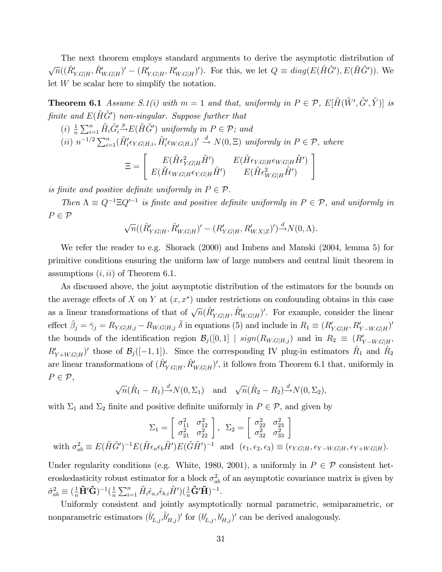The next theorem employs standard arguments to derive the asymptotic distribution of  $\sqrt{n}((\hat{R}_{Y,G|H}',\hat{R}_{W,G|H}') - (R_{Y,G|H}',R_{W,G|H}')')$ . For this, we let  $Q \equiv diag(E(\tilde{H}\tilde{G}'),E(\tilde{H}\tilde{G}'))$ . We let W be scalar here to simplify the notation.

**Theorem 6.1** Assume S.1(i) with  $m = 1$  and that, uniformly in  $P \in \mathcal{P}$ ,  $E[\tilde{H}(\tilde{W}', \tilde{G}', \tilde{Y})]$  is finite and  $E(\tilde{H}\tilde{G}')$  non-singular. Suppose further that

(i) 1 n P<sup>n</sup> <sup>i</sup>=1 <sup>H</sup><sup>~</sup> iG~0 i p!E(H~G~<sup>0</sup> ) uniformly in P 2 P; and (ii) n 1=<sup>2</sup> P<sup>n</sup> i=1(H<sup>~</sup> <sup>0</sup> i Y:GjH;i; <sup>H</sup><sup>~</sup> <sup>0</sup> i W:GjH;i) 0 <sup>d</sup>! <sup>N</sup>(0; ) uniformly in <sup>P</sup> 2 P; where #

$$
\Xi = \left[ \begin{array}{cc} E(\tilde{H}\epsilon_{Y.G|H}^2\tilde{H}') & E(\tilde{H}\epsilon_{Y.G|H}\epsilon_{W.G|H}\tilde{H}')\\ E(\tilde{H}\epsilon_{W.G|H}\epsilon_{Y.G|H}\tilde{H}') & E(\tilde{H}\epsilon_{W.G|H}^2\tilde{H}') \end{array} \right]
$$

is finite and positive definite uniformly in  $P \in \mathcal{P}$ .

Then  $\Lambda \equiv Q^{-1} \Xi Q'^{-1}$  is finite and positive definite uniformly in  $P \in \mathcal{P}$ , and uniformly in  $P \in \mathcal{P}$ 

$$
\sqrt{n}((\hat{R}'_{Y.G|H}, \hat{R}'_{W.G|H})' - (R'_{Y.G|H}, R'_{W.X|Z})')^{\{d\}} N(0, \Lambda).
$$

We refer the reader to e.g. Shorack (2000) and Imbens and Manski (2004, lemma 5) for primitive conditions ensuring the uniform law of large numbers and central limit theorem in assumptions  $(i, ii)$  of Theorem 6.1.

As discussed above, the joint asymptotic distribution of the estimators for the bounds on the average effects of X on Y at  $(x, x^*)$  under restrictions on confounding obtains in this case as a linear transformations of that of  $\sqrt{n}(\hat{R}^{\prime}_{Y.G|H}, \hat{R}^{\prime}_{W.G|H})'$ . For example, consider the linear effect  $\bar{\beta}_j = \bar{\gamma}_j = R_{Y,G|H,j} - R_{W,G|H,j} \bar{\delta}$  in equations (5) and include in  $R_1 \equiv (R'_{Y,G|H}, R'_{Y-W,G|H})'$ the bounds of the identification region  $\mathcal{B}_{j}([0,1] \mid sign(R_{W.G|H,j})$  and in  $R_2 \equiv (R'_{Y-W.G|H},$  $R_{Y+W,G|H}'$  those of  $\mathcal{B}_{j}([-1,1])$ . Since the corresponding IV plug-in estimators  $\hat{R}_1$  and  $\hat{R}_2$ are linear transformations of  $(\hat{R}^{\prime}_{Y.G|H}, \hat{R}^{\prime}_{W.G|H})^{\prime}$ , it follows from Theorem 6.1 that, uniformly in  $P \in \mathcal{P},$ 

$$
\sqrt{n}(\hat{R}_1 - R_1) \stackrel{d}{\rightarrow} N(0, \Sigma_1)
$$
 and  $\sqrt{n}(\hat{R}_2 - R_2) \stackrel{d}{\rightarrow} N(0, \Sigma_2)$ ,

with  $\Sigma_1$  and  $\Sigma_2$  finite and positive definite uniformly in  $P \in \mathcal{P}$ , and given by

$$
\Sigma_1 = \begin{bmatrix} \sigma_{11}^2 & \sigma_{12}^2 \\ \sigma_{21}^2 & \sigma_{22}^2 \end{bmatrix}, \ \ \Sigma_2 = \begin{bmatrix} \sigma_{22}^2 & \sigma_{23}^2 \\ \sigma_{32}^2 & \sigma_{33}^2 \end{bmatrix}
$$
  
with  $\sigma_{ab}^2 \equiv E(\tilde{H}\tilde{G}')^{-1}E(\tilde{H}\epsilon_a\epsilon_b\tilde{H}')E(\tilde{G}\tilde{H}')^{-1}$  and  $(\epsilon_1, \epsilon_2, \epsilon_3) \equiv (\epsilon_{Y.G|H}, \epsilon_{Y-W.G|H}, \epsilon_{Y+W.G|H}).$ 

Under regularity conditions (e.g. White, 1980, 2001), a uniformly in  $P \in \mathcal{P}$  consistent heteroskedasticity robust estimator for a block  $\sigma_{ab}^2$  of an asymptotic covariance matrix is given by  $\hat{\sigma}_{ab}^2 \equiv (\frac{1}{n}\tilde{\mathbf{H}}'\tilde{\mathbf{G}})^{-1}(\frac{1}{n}$  $\frac{1}{n}\sum_{i=1}^n \tilde{H}_i \hat{\epsilon}_{a,i}\hat{\epsilon}_{b,i}\tilde{H}') (\frac{1}{n}\tilde{\mathbf{G}}'\tilde{\mathbf{H}})^{-1}.$ 

Uniformly consistent and jointly asymptotically normal parametric, semiparametric, or nonparametric estimators  $(\hat{b}'_{L,j}, \hat{b}'_{H,j})'$  for  $(b'_{L,j}, b'_{H,j})'$  can be derived analogously.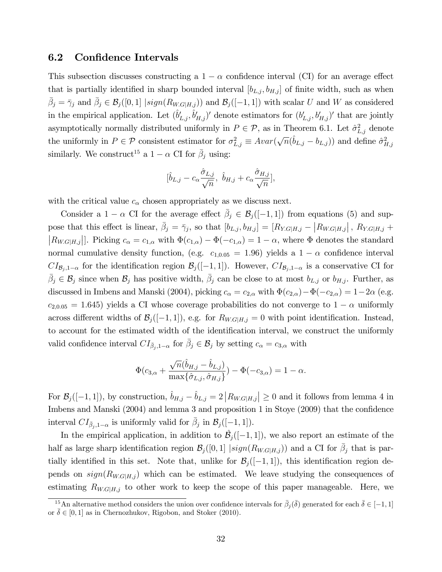#### 6.2 Confidence Intervals

This subsection discusses constructing a  $1 - \alpha$  confidence interval (CI) for an average effect that is partially identified in sharp bounded interval  $[b_{L,j}, b_{H,j}]$  of finite width, such as when  $\bar{\beta}_j = \bar{\gamma}_j$  and  $\bar{\beta}_j \in \mathcal{B}_j([0,1] \mid sign(R_{WG|H,j}))$  and  $\mathcal{B}_j([-1,1])$  with scalar U and W as considered in the empirical application. Let  $(\hat{b}'_{L,j}, \hat{b}'_{H,j})'$  denote estimators for  $(b'_{L,j}, b'_{H,j})'$  that are jointly asymptotically normally distributed uniformly in  $P \in \mathcal{P}$ , as in Theorem 6.1. Let  $\hat{\sigma}_{L,j}^2$  denote the uniformly in  $P \in \mathcal{P}$  consistent estimator for  $\sigma_{L,j}^2 \equiv Avar(\sqrt{n}(\hat{b}_{L,j} - b_{L,j}))$  and define  $\hat{\sigma}_{H,j}^2$ similarly. We construct<sup>15</sup> a  $1 - \alpha$  CI for  $\bar{\beta}_j$  using:

$$
[\hat{b}_{L,j} - c_{\alpha} \frac{\hat{\sigma}_{L,j}}{\sqrt{n}}, \ \hat{b}_{H,j} + c_{\alpha} \frac{\hat{\sigma}_{H,j}}{\sqrt{n}}],
$$

with the critical value  $c_{\alpha}$  chosen appropriately as we discuss next.

Consider a  $1 - \alpha$  CI for the average effect  $\bar{\beta}_j \in \mathcal{B}_j([-1,1])$  from equations (5) and suppose that this effect is linear,  $\bar{\beta}_j = \bar{\gamma}_j$ , so that  $[b_{L,j}, b_{H,j}] = [R_{Y.G|H,j} - |R_{W.G|H,j}|$ ,  $R_{Y.G|H,j} +$  $|R_{W,G|H,j}|$ . Picking  $c_{\alpha} = c_{1,\alpha}$  with  $\Phi(c_{1,\alpha}) - \Phi(-c_{1,\alpha}) = 1 - \alpha$ , where  $\Phi$  denotes the standard normal cumulative density function, (e.g.  $c_{1,0.05} = 1.96$ ) yields a  $1 - \alpha$  confidence interval  $CI_{\mathcal{B}_j,1-\alpha}$  for the identification region  $\mathcal{B}_j([-1,1])$ . However,  $CI_{\mathcal{B}_j,1-\alpha}$  is a conservative CI for  $\bar{\beta}_j \in \mathcal{B}_j$  since when  $\mathcal{B}_j$  has positive width,  $\bar{\beta}_j$  can be close to at most  $b_{L,j}$  or  $b_{H,j}$ . Further, as discussed in Imbens and Manski (2004), picking  $c_{\alpha} = c_{2,\alpha}$  with  $\Phi(c_{2,\alpha}) - \Phi(-c_{2,\alpha}) = 1-2\alpha$  (e.g.  $c_{2,0.05} = 1.645$ ) yields a CI whose coverage probabilities do not converge to  $1 - \alpha$  uniformly across different widths of  $\mathcal{B}_j([-1, 1])$ , e.g. for  $R_{W.G|H,j} = 0$  with point identification. Instead, to account for the estimated width of the identification interval, we construct the uniformly valid confidence interval  $CI_{\bar{\beta}_j,1-\alpha}$  for  $\bar{\beta}_j \in \mathcal{B}_j$  by setting  $c_{\alpha} = c_{3,\alpha}$  with

$$
\Phi(c_{3,\alpha} + \frac{\sqrt{n}(\hat{b}_{H,j} - \hat{b}_{L,j})}{\max{\hat{\sigma}_{L,j}, \hat{\sigma}_{H,j}}}) - \Phi(-c_{3,\alpha}) = 1 - \alpha.
$$

For  $\mathcal{B}_j([-1, 1])$ , by construction,  $\hat{b}_{H,j} - \hat{b}_{L,j} = 2 |R_{W.G|H,j}| \ge 0$  and it follows from lemma 4 in Imbens and Manski  $(2004)$  and lemma 3 and proposition 1 in Stoye  $(2009)$  that the confidence interval  $CI_{\bar{\beta}_j,1-\alpha}$  is uniformly valid for  $\bar{\beta}_j$  in  $\mathcal{B}_j([-1,1])$ .

In the empirical application, in addition to  $\hat{\mathcal{B}}_j([-1, 1])$ , we also report an estimate of the half as large sharp identification region  $\mathcal{B}_j([0,1] \mid sign(R_{W.G|H,j}))$  and a CI for  $\bar{\beta}_j$  that is partially identified in this set. Note that, unlike for  $\mathcal{B}_j([-1, 1])$ , this identification region depends on  $sign(R_{W.G|H,j})$  which can be estimated. We leave studying the consequences of estimating  $R_{W.G|H,j}$  to other work to keep the scope of this paper manageable. Here, we

<sup>&</sup>lt;sup>15</sup>An alternative method considers the union over confidence intervals for  $\bar{\beta}_j(\bar{\delta})$  generated for each  $\bar{\delta} \in [-1, 1]$ or  $\overline{\delta} \in [0, 1]$  as in Chernozhukov, Rigobon, and Stoker (2010).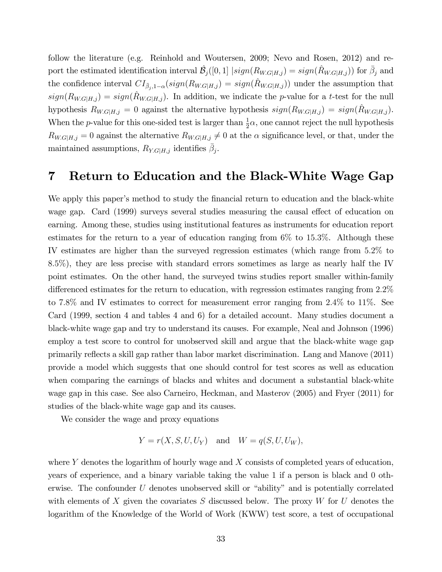follow the literature (e.g. Reinhold and Woutersen, 2009; Nevo and Rosen, 2012) and report the estimated identification interval  $\hat{\mathcal{B}}_j([0,1] \mid sign(R_{WG|H,j}) = sign(\hat{R}_{WG|H,j}))$  for  $\bar{\beta}_j$  and the confidence interval  $CI_{\bar{\beta}_j,1-\alpha}(sign(R_{W.G|H,j}) = sign(\hat{R}_{W.G|H,j}))$  under the assumption that  $sign(R_{WG|H,j}) = sign(\hat{R}_{WG|H,j})$ . In addition, we indicate the p-value for a t-test for the null hypothesis  $R_{W,G|H,j} = 0$  against the alternative hypothesis  $sign(R_{W,G|H,j}) = sign(R_{W,G|H,j})$ . When the *p*-value for this one-sided test is larger than  $\frac{1}{2}\alpha$ , one cannot reject the null hypothesis  $R_{W.G|H,j} = 0$  against the alternative  $R_{W.G|H,j} \neq 0$  at the  $\alpha$  significance level, or that, under the maintained assumptions,  $R_{Y.G|H,j}$  identifies  $\bar{\beta}_j$ .

# 7 Return to Education and the Black-White Wage Gap

We apply this paper's method to study the financial return to education and the black-white wage gap. Card (1999) surveys several studies measuring the causal effect of education on earning. Among these, studies using institutional features as instruments for education report estimates for the return to a year of education ranging from 6% to 15:3%. Although these IV estimates are higher than the surveyed regression estimates (which range from 5:2% to 8:5%), they are less precise with standard errors sometimes as large as nearly half the IV point estimates. On the other hand, the surveyed twins studies report smaller within-family differenced estimates for the return to education, with regression estimates ranging from  $2.2\%$ to 7:8% and IV estimates to correct for measurement error ranging from 2:4% to 11%. See Card (1999, section 4 and tables 4 and 6) for a detailed account. Many studies document a black-white wage gap and try to understand its causes. For example, Neal and Johnson (1996) employ a test score to control for unobserved skill and argue that the black-white wage gap primarily reáects a skill gap rather than labor market discrimination. Lang and Manove (2011) provide a model which suggests that one should control for test scores as well as education when comparing the earnings of blacks and whites and document a substantial black-white wage gap in this case. See also Carneiro, Heckman, and Masterov (2005) and Fryer (2011) for studies of the black-white wage gap and its causes.

We consider the wage and proxy equations

$$
Y = r(X, S, U, U_Y) \quad \text{and} \quad W = q(S, U, U_W),
$$

where Y denotes the logarithm of hourly wage and  $X$  consists of completed years of education, years of experience, and a binary variable taking the value 1 if a person is black and 0 otherwise. The confounder  $U$  denotes unobserved skill or "ability" and is potentially correlated with elements of X given the covariates S discussed below. The proxy  $W$  for U denotes the logarithm of the Knowledge of the World of Work (KWW) test score, a test of occupational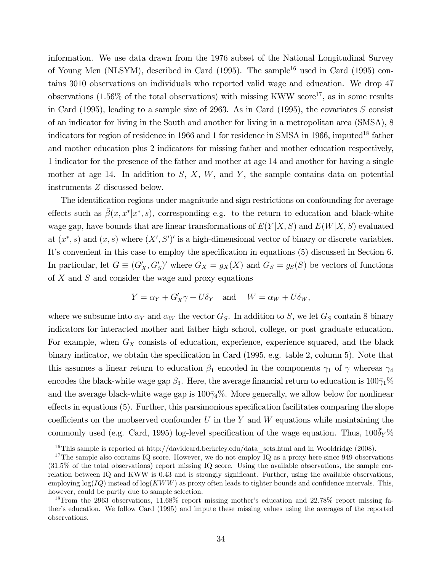information. We use data drawn from the 1976 subset of the National Longitudinal Survey of Young Men (NLSYM), described in Card (1995). The sample<sup>16</sup> used in Card (1995) contains 3010 observations on individuals who reported valid wage and education. We drop 47 observations  $(1.56\%$  of the total observations) with missing KWW score<sup>17</sup>, as in some results in Card (1995), leading to a sample size of 2963. As in Card (1995), the covariates  $S$  consist of an indicator for living in the South and another for living in a metropolitan area (SMSA), 8 indicators for region of residence in 1966 and 1 for residence in SMSA in 1966, imputed<sup>18</sup> father and mother education plus 2 indicators for missing father and mother education respectively, 1 indicator for the presence of the father and mother at age 14 and another for having a single mother at age 14. In addition to  $S, X, W$ , and  $Y$ , the sample contains data on potential instruments Z discussed below.

The identification regions under magnitude and sign restrictions on confounding for average effects such as  $\bar{\beta}(x, x^* | x^*, s)$ , corresponding e.g. to the return to education and black-white wage gap, have bounds that are linear transformations of  $E(Y|X, S)$  and  $E(W|X, S)$  evaluated at  $(x^*, s)$  and  $(x, s)$  where  $(X', S')'$  is a high-dimensional vector of binary or discrete variables. It's convenient in this case to employ the specification in equations (5) discussed in Section 6. In particular, let  $G \equiv (G'_X, G'_S)'$  where  $G_X = g_X(X)$  and  $G_S = g_S(S)$  be vectors of functions of  $X$  and  $S$  and consider the wage and proxy equations

$$
Y = \alpha_Y + G'_X \gamma + U \delta_Y \quad \text{and} \quad W = \alpha_W + U \delta_W,
$$

where we subsume into  $\alpha_Y$  and  $\alpha_W$  the vector  $G_S$ . In addition to S, we let  $G_S$  contain 8 binary indicators for interacted mother and father high school, college, or post graduate education. For example, when  $G_X$  consists of education, experience, experience squared, and the black binary indicator, we obtain the specification in Card (1995, e.g. table 2, column 5). Note that this assumes a linear return to education  $\beta_1$  encoded in the components  $\gamma_1$  of  $\gamma$  whereas  $\gamma_4$ encodes the black-white wage gap  $\beta_3$ . Here, the average financial return to education is  $100\bar{\gamma}_1\%$ and the average black-white wage gap is  $100\bar{\gamma}_4\%$ . More generally, we allow below for nonlinear  $\epsilon$  effects in equations (5). Further, this parsimonious specification facilitates comparing the slope coefficients on the unobserved confounder  $U$  in the  $Y$  and  $W$  equations while maintaining the commonly used (e.g. Card, 1995) log-level specification of the wage equation. Thus,  $100\bar{\delta}_Y\%$ 

<sup>&</sup>lt;sup>16</sup>This sample is reported at http://davidcard.berkeley.edu/data\_sets.html and in Wooldridge (2008).

<sup>&</sup>lt;sup>17</sup>The sample also contains IQ score. However, we do not employ IQ as a proxy here since  $949$  observations (31:5% of the total observations) report missing IQ score. Using the available observations, the sample correlation between IQ and KWW is 0.43 and is strongly significant. Further, using the available observations, employing  $\log(IQ)$  instead of  $\log(KWW)$  as proxy often leads to tighter bounds and confidence intervals. This, however, could be partly due to sample selection.

 $18$  From the 2963 observations,  $11.68\%$  report missing mother's education and 22.78% report missing father's education. We follow Card (1995) and impute these missing values using the averages of the reported observations.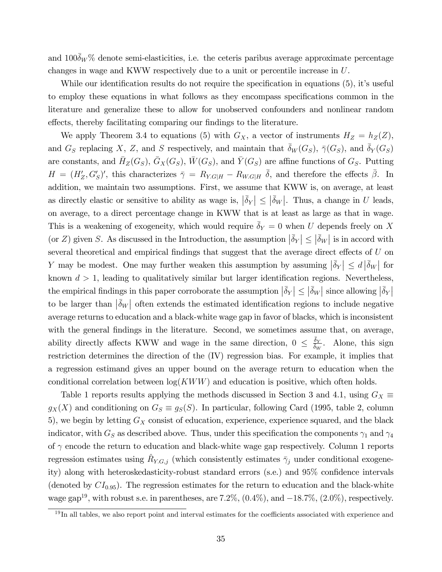and  $100\delta_W\%$  denote semi-elasticities, i.e. the ceteris paribus average approximate percentage changes in wage and KWW respectively due to a unit or percentile increase in U.

While our identification results do not require the specification in equations  $(5)$ , it's useful to employ these equations in what follows as they encompass specifications common in the literature and generalize these to allow for unobserved confounders and nonlinear random effects, thereby facilitating comparing our findings to the literature.

We apply Theorem 3.4 to equations (5) with  $G_X$ , a vector of instruments  $H_Z = h_Z(Z)$ , and  $G_S$  replacing X, Z, and S respectively, and maintain that  $\delta_W(G_S)$ ,  $\bar{\gamma}(G_S)$ , and  $\delta_Y(G_S)$ are constants, and  $\bar{H}_Z(G_S)$ ,  $\bar{G}_X(G_S)$ ,  $\bar{W}(G_S)$ , and  $\bar{Y}(G_S)$  are affine functions of  $G_S$ . Putting  $H = (H'_Z, G'_S)'$ , this characterizes  $\bar{\gamma} = R_{Y,G|H} - R_{W,G|H} \bar{\delta}$ , and therefore the effects  $\bar{\beta}$ . In addition, we maintain two assumptions. First, we assume that KWW is, on average, at least as directly elastic or sensitive to ability as wage is,  $|\bar{\delta}_Y| \leq |\bar{\delta}_W|$ . Thus, a change in U leads, on average, to a direct percentage change in KWW that is at least as large as that in wage. This is a weakening of exogeneity, which would require  $\delta_Y = 0$  when U depends freely on X (or Z) given S. As discussed in the Introduction, the assumption  $|\bar{\delta}_Y| \leq |\bar{\delta}_W|$  is in accord with several theoretical and empirical findings that suggest that the average direct effects of  $U$  on Y may be modest. One may further weaken this assumption by assuming  $|\bar{\delta}_Y| \le d |\bar{\delta}_W|$  for known  $d > 1$ , leading to qualitatively similar but larger identification regions. Nevertheless, the empirical findings in this paper corroborate the assumption  $|\bar{\delta}_Y| \leq |\bar{\delta}_W|$  since allowing  $|\bar{\delta}_Y|$ to be larger than  $\left|\bar{\delta}_W\right|$  often extends the estimated identification regions to include negative average returns to education and a black-white wage gap in favor of blacks, which is inconsistent with the general findings in the literature. Second, we sometimes assume that, on average, ability directly affects KWW and wage in the same direction,  $0 \leq \frac{\bar{\delta}_Y}{\delta_W}$ . Alone, this sign restriction determines the direction of the (IV) regression bias. For example, it implies that a regression estimand gives an upper bound on the average return to education when the conditional correlation between  $log(KWW)$  and education is positive, which often holds.

Table 1 reports results applying the methods discussed in Section 3 and 4.1, using  $G_X \equiv$  $g_X(X)$  and conditioning on  $G_S \equiv g_S(S)$ . In particular, following Card (1995, table 2, column 5), we begin by letting  $G_X$  consist of education, experience, experience squared, and the black indicator, with  $G_S$  as described above. Thus, under this specification the components  $\gamma_1$  and  $\gamma_4$ of  $\gamma$  encode the return to education and black-white wage gap respectively. Column 1 reports regression estimates using  $\hat{R}_{Y,G,j}$  (which consistently estimates  $\bar{\gamma}_j$  under conditional exogeneity) along with heteroskedasticity-robust standard errors (s.e.) and 95% confidence intervals (denoted by  $CI_{0.95}$ ). The regression estimates for the return to education and the black-white wage gap<sup>19</sup>, with robust s.e. in parentheses, are 7.2%,  $(0.4\%)$ , and  $-18.7\%$ ,  $(2.0\%)$ , respectively.

 $19$  In all tables, we also report point and interval estimates for the coefficients associated with experience and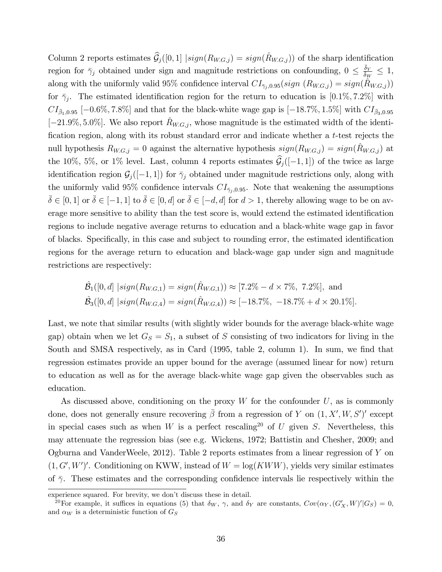Column 2 reports estimates  $\widehat{\mathcal{G}}_j([0,1] | sign(R_{W,G,j}) = sign(\widehat{R}_{W,G,j})$  of the sharp identification region for  $\bar{\gamma}_j$  obtained under sign and magnitude restrictions on confounding,  $0 \leq \frac{\bar{\delta}_Y}{\bar{\delta}_W} \leq 1$ , along with the uniformly valid 95% confidence interval  $CI_{\tilde{\gamma}_j,0.95}(sign(R_{W,G,j}) = sign(\hat{R}_{W,G,j}))$ for  $\bar{\gamma}_j$ . The estimated identification region for the return to education is [0.1%, 7.2%] with  $CI_{\bar{\beta}_1,0.95}$  [-0.6%, 7.8%] and that for the black-white wage gap is [-18.7%, 1.5%] with  $CI_{\bar{\beta}_3,0.95}$  $[-21.9\%, 5.0\%]$ . We also report  $\hat{R}_{W,G,j}$ , whose magnitude is the estimated width of the identification region, along with its robust standard error and indicate whether a t-test rejects the null hypothesis  $R_{W,G,j} = 0$  against the alternative hypothesis  $sign(R_{W,G,j}) = sign(\hat{R}_{W,G,j})$  at the 10%, 5%, or 1% level. Last, column 4 reports estimates  $\hat{\mathcal{G}}_j([-1, 1])$  of the twice as large identification region  $\mathcal{G}_i([-1, 1])$  for  $\bar{\gamma}_i$  obtained under magnitude restrictions only, along with the uniformly valid 95% confidence intervals  $CI_{\bar{\gamma}_i,0.95}$ . Note that weakening the assumptions  $\delta \in [0, 1]$  or  $\delta \in [-1, 1]$  to  $\delta \in [0, d]$  or  $\delta \in [-d, d]$  for  $d > 1$ , thereby allowing wage to be on average more sensitive to ability than the test score is, would extend the estimated identification regions to include negative average returns to education and a black-white wage gap in favor of blacks. Specifically, in this case and subject to rounding error, the estimated identification regions for the average return to education and black-wage gap under sign and magnitude restrictions are respectively:

$$
\hat{\mathcal{B}}_1([0, d] \mid sign(R_{W.G, 1}) = sign(\hat{R}_{W.G, 1})) \approx [7.2\% - d \times 7\%, 7.2\%], \text{ and}
$$
  

$$
\hat{\mathcal{B}}_3([0, d] \mid sign(R_{W.G, 4}) = sign(\hat{R}_{W.G, 4})) \approx [-18.7\%, -18.7\% + d \times 20.1\%].
$$

Last, we note that similar results (with slightly wider bounds for the average black-white wage gap) obtain when we let  $G_S = S_1$ , a subset of S consisting of two indicators for living in the South and SMSA respectively, as in Card (1995, table 2, column 1). In sum, we find that regression estimates provide an upper bound for the average (assumed linear for now) return to education as well as for the average black-white wage gap given the observables such as education.

As discussed above, conditioning on the proxy  $W$  for the confounder  $U$ , as is commonly done, does not generally ensure recovering  $\bar{\beta}$  from a regression of Y on  $(1, X', W, S')'$  except in special cases such as when W is a perfect rescaling<sup>20</sup> of U given S. Nevertheless, this may attenuate the regression bias (see e.g. Wickens, 1972; Battistin and Chesher, 2009; and Ogburna and VanderWeele, 2012). Table 2 reports estimates from a linear regression of Y on  $(1, G', W')'$ . Conditioning on KWW, instead of  $W = \log(KWW)$ , yields very similar estimates of  $\bar{\gamma}$ . These estimates and the corresponding confidence intervals lie respectively within the

experience squared. For brevity, we don't discuss these in detail.

<sup>&</sup>lt;sup>20</sup>For example, it suffices in equations (5) that  $\delta_W$ ,  $\gamma$ , and  $\delta_Y$  are constants,  $Cov(\alpha_Y, (G'_X, W)'|G_S) = 0$ , and  $\alpha_W$  is a deterministic function of  $G_S$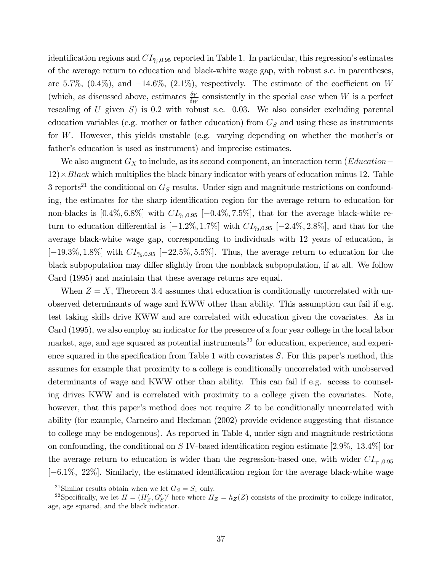identification regions and  $CI_{\bar{\gamma}_i,0.95}$  reported in Table 1. In particular, this regression's estimates of the average return to education and black-white wage gap, with robust s.e. in parentheses, are 5.7%,  $(0.4\%)$ , and  $-14.6\%$ ,  $(2.1\%)$ , respectively. The estimate of the coefficient on W (which, as discussed above, estimates  $\frac{\bar{\delta}_Y}{\delta_W}$  consistently in the special case when W is a perfect rescaling of U given  $S$ ) is 0.2 with robust s.e. 0.03. We also consider excluding parental education variables (e.g. mother or father education) from  $G<sub>S</sub>$  and using these as instruments for W. However, this yields unstable (e.g. varying depending on whether the mother's or father's education is used as instrument) and imprecise estimates.

We also augment  $G_X$  to include, as its second component, an interaction term (*Education* –  $12 \times Black$  which multiplies the black binary indicator with years of education minus 12. Table 3 reports<sup>21</sup> the conditional on  $G_S$  results. Under sign and magnitude restrictions on confounding, the estimates for the sharp identification region for the average return to education for non-blacks is  $[0.4\%, 6.8\%]$  with  $CI_{\bar{\gamma}_1,0.95}$  [-0.4\%, 7.5\%], that for the average black-white return to education differential is  $[-1.2\%, 1.7\%]$  with  $CI_{\bar{7}2,0.95}$   $[-2.4\%, 2.8\%]$ , and that for the average black-white wage gap, corresponding to individuals with 12 years of education, is  $[-19.3\%, 1.8\%]$  with  $CI_{75,0.95}$   $[-22.5\%, 5.5\%]$ . Thus, the average return to education for the black subpopulation may differ slightly from the nonblack subpopulation, if at all. We follow Card (1995) and maintain that these average returns are equal.

When  $Z = X$ , Theorem 3.4 assumes that education is conditionally uncorrelated with unobserved determinants of wage and KWW other than ability. This assumption can fail if e.g. test taking skills drive KWW and are correlated with education given the covariates. As in Card (1995), we also employ an indicator for the presence of a four year college in the local labor market, age, and age squared as potential instruments<sup>22</sup> for education, experience, and experience squared in the specification from Table 1 with covariates  $S$ . For this paper's method, this assumes for example that proximity to a college is conditionally uncorrelated with unobserved determinants of wage and KWW other than ability. This can fail if e.g. access to counseling drives KWW and is correlated with proximity to a college given the covariates. Note, however, that this paper's method does not require  $Z$  to be conditionally uncorrelated with ability (for example, Carneiro and Heckman (2002) provide evidence suggesting that distance to college may be endogenous). As reported in Table 4, under sign and magnitude restrictions on confounding, the conditional on S IV-based identification region estimate  $[2.9\%, 13.4\%]$  for the average return to education is wider than the regression-based one, with wider  $CI_{\bar{\gamma}_1,0.95}$  $[-6.1\%$ ,  $22\%]$ . Similarly, the estimated identification region for the average black-white wage

<sup>&</sup>lt;sup>21</sup>Similar results obtain when we let  $G_S = S_1$  only.

<sup>&</sup>lt;sup>22</sup>Specifically, we let  $H = (H'_Z, G'_S)'$  here where  $H_Z = h_Z(Z)$  consists of the proximity to college indicator, age, age squared, and the black indicator.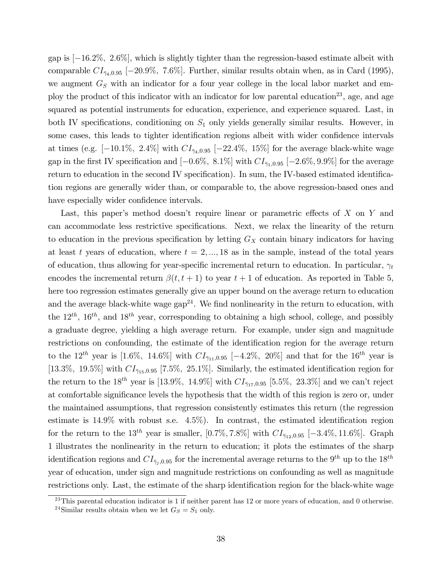gap is  $[-16.2\%, 2.6\%]$ , which is slightly tighter than the regression-based estimate albeit with comparable  $CI_{\bar{7}4,0.95}$  [-20.9%, 7.6%]. Further, similar results obtain when, as in Card (1995), we augment  $G<sub>S</sub>$  with an indicator for a four year college in the local labor market and employ the product of this indicator with an indicator for low parental education<sup>23</sup>, age, and age squared as potential instruments for education, experience, and experience squared. Last, in both IV specifications, conditioning on  $S_1$  only yields generally similar results. However, in some cases, this leads to tighter identification regions albeit with wider confidence intervals at times (e.g.  $[-10.1\%, 2.4\%]$  with  $CI_{\bar{7}4,0.95}$   $[-22.4\%, 15\%]$  for the average black-white wage gap in the first IV specification and  $[-0.6\%, 8.1\%]$  with  $CI_{\bar{\gamma}_1,0.95}$   $[-2.6\%, 9.9\%]$  for the average return to education in the second IV specification). In sum, the IV-based estimated identification regions are generally wider than, or comparable to, the above regression-based ones and have especially wider confidence intervals.

Last, this paper's method doesn't require linear or parametric effects of  $X$  on  $Y$  and can accommodate less restrictive specifications. Next, we relax the linearity of the return to education in the previous specification by letting  $G_X$  contain binary indicators for having at least t years of education, where  $t = 2, ..., 18$  as in the sample, instead of the total years of education, thus allowing for year-specific incremental return to education. In particular,  $\gamma_t$ encodes the incremental return  $\beta(t, t + 1)$  to year  $t + 1$  of education. As reported in Table 5, here too regression estimates generally give an upper bound on the average return to education and the average black-white wage  $\text{gap}^{24}$ . We find nonlinearity in the return to education, with the  $12^{th}$ ,  $16^{th}$ , and  $18^{th}$  year, corresponding to obtaining a high school, college, and possibly a graduate degree, yielding a high average return. For example, under sign and magnitude restrictions on confounding, the estimate of the identification region for the average return to the  $12^{th}$  year is [1.6%, 14.6%] with  $CI_{\bar{\gamma}_{11},0.95}$  [-4.2%, 20%] and that for the 16<sup>th</sup> year is [13.3%, 19.5%] with  $CI_{\bar{7}15,0.95}$  [7.5%, 25.1%]. Similarly, the estimated identification region for the return to the 18<sup>th</sup> year is [13.9%, 14.9%] with  $CI_{\bar{\gamma}_{17},0.95}$  [5.5%, 23.3%] and we can't reject at comfortable significance levels the hypothesis that the width of this region is zero or, under the maintained assumptions, that regression consistently estimates this return (the regression estimate is  $14.9\%$  with robust s.e.  $4.5\%$ ). In contrast, the estimated identification region for the return to the 13<sup>th</sup> year is smaller, [0.7%, 7.8%] with  $CI_{\bar{\gamma}_{12},0.95}$  [-3.4%, 11.6%]. Graph 1 illustrates the nonlinearity in the return to education; it plots the estimates of the sharp identification regions and  $CI_{\tilde{\gamma}_j,0.95}$  for the incremental average returns to the  $9^{th}$  up to the  $18^{th}$ year of education, under sign and magnitude restrictions on confounding as well as magnitude restrictions only. Last, the estimate of the sharp identification region for the black-white wage

<sup>&</sup>lt;sup>23</sup>This parental education indicator is 1 if neither parent has 12 or more years of education, and 0 otherwise.

<sup>&</sup>lt;sup>24</sup>Similar results obtain when we let  $G_S = S_1$  only.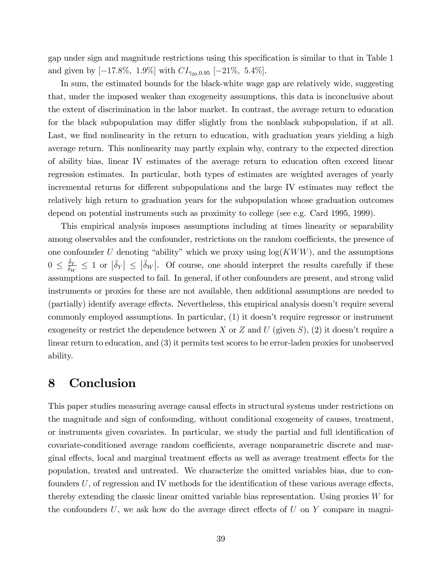gap under sign and magnitude restrictions using this specification is similar to that in Table 1 and given by  $[-17.8\%, 1.9\%]$  with  $CI_{\bar{\gamma}_{20},0.95}$   $[-21\%, 5.4\%]$ .

In sum, the estimated bounds for the black-white wage gap are relatively wide, suggesting that, under the imposed weaker than exogeneity assumptions, this data is inconclusive about the extent of discrimination in the labor market. In contrast, the average return to education for the black subpopulation may differ slightly from the nonblack subpopulation, if at all. Last, we find nonlinearity in the return to education, with graduation years yielding a high average return. This nonlinearity may partly explain why, contrary to the expected direction of ability bias, linear IV estimates of the average return to education often exceed linear regression estimates. In particular, both types of estimates are weighted averages of yearly incremental returns for different subpopulations and the large IV estimates may reflect the relatively high return to graduation years for the subpopulation whose graduation outcomes depend on potential instruments such as proximity to college (see e.g. Card 1995, 1999).

This empirical analysis imposes assumptions including at times linearity or separability among observables and the confounder, restrictions on the random coefficients, the presence of one confounder U denoting "ability" which we proxy using  $log(KWW)$ , and the assumptions  $0 \leq \frac{\bar{\delta}_Y}{\delta_W} \leq 1$  or  $|\bar{\delta}_Y| \leq |\bar{\delta}_W|$ . Of course, one should interpret the results carefully if these assumptions are suspected to fail. In general, if other confounders are present, and strong valid instruments or proxies for these are not available, then additional assumptions are needed to (partially) identify average effects. Nevertheless, this empirical analysis doesn't require several commonly employed assumptions. In particular, (1) it doesn't require regressor or instrument exogeneity or restrict the dependence between X or Z and U (given S), (2) it doesn't require a linear return to education, and (3) it permits test scores to be error-laden proxies for unobserved ability.

## 8 Conclusion

This paper studies measuring average causal effects in structural systems under restrictions on the magnitude and sign of confounding, without conditional exogeneity of causes, treatment, or instruments given covariates. In particular, we study the partial and full identification of covariate-conditioned average random coefficients, average nonparametric discrete and marginal effects, local and marginal treatment effects as well as average treatment effects for the population, treated and untreated. We characterize the omitted variables bias, due to confounders  $U$ , of regression and IV methods for the identification of these various average effects, thereby extending the classic linear omitted variable bias representation. Using proxies  $W$  for the confounders  $U$ , we ask how do the average direct effects of  $U$  on  $Y$  compare in magni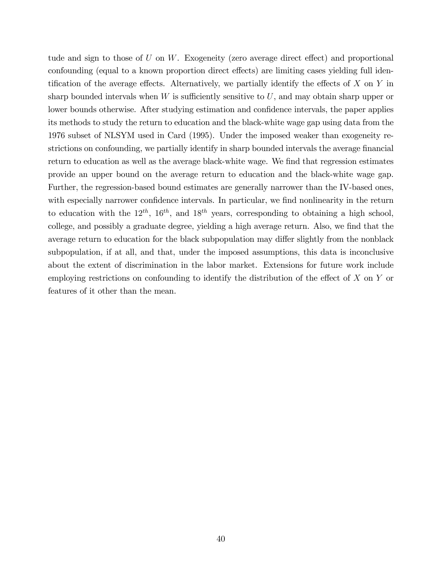tude and sign to those of  $U$  on  $W$ . Exogeneity (zero average direct effect) and proportional confounding (equal to a known proportion direct effects) are limiting cases yielding full identification of the average effects. Alternatively, we partially identify the effects of  $X$  on  $Y$  in sharp bounded intervals when  $W$  is sufficiently sensitive to  $U$ , and may obtain sharp upper or lower bounds otherwise. After studying estimation and confidence intervals, the paper applies its methods to study the return to education and the black-white wage gap using data from the 1976 subset of NLSYM used in Card (1995). Under the imposed weaker than exogeneity restrictions on confounding, we partially identify in sharp bounded intervals the average financial return to education as well as the average black-white wage. We find that regression estimates provide an upper bound on the average return to education and the black-white wage gap. Further, the regression-based bound estimates are generally narrower than the IV-based ones, with especially narrower confidence intervals. In particular, we find nonlinearity in the return to education with the  $12^{th}$ ,  $16^{th}$ , and  $18^{th}$  years, corresponding to obtaining a high school, college, and possibly a graduate degree, yielding a high average return. Also, we find that the average return to education for the black subpopulation may differ slightly from the nonblack subpopulation, if at all, and that, under the imposed assumptions, this data is inconclusive about the extent of discrimination in the labor market. Extensions for future work include employing restrictions on confounding to identify the distribution of the effect of  $X$  on  $Y$  or features of it other than the mean.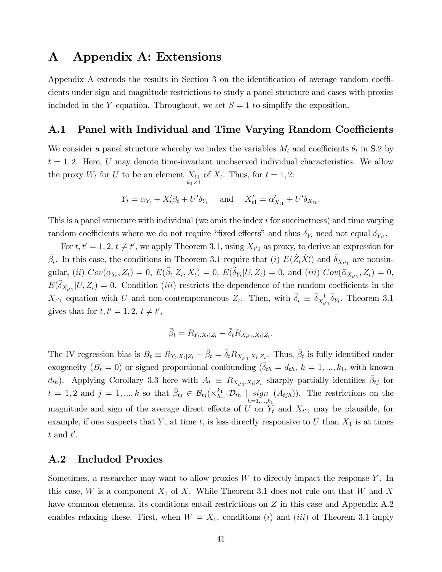## A Appendix A: Extensions

Appendix A extends the results in Section 3 on the identification of average random coefficients under sign and magnitude restrictions to study a panel structure and cases with proxies included in the Y equation. Throughout, we set  $S = 1$  to simplify the exposition.

### A.1 Panel with Individual and Time Varying Random Coefficients

We consider a panel structure whereby we index the variables  $M_t$  and coefficients  $\theta_t$  in S.2 by  $t = 1, 2$ . Here, U may denote time-invariant unobserved individual characteristics. We allow the proxy  $W_t$  for U to be an element  $X_{t1}$  $X_{t1}$  of  $X_t$ . Thus, for  $t = 1, 2$ :<br> $k_1 \times 1$ 

$$
Y_t = \alpha_{Y_t} + X_t'\beta_t + U'\delta_{Y_t} \quad \text{and} \quad X_{t1}' = \alpha'_{X_{t1}} + U'\delta_{X_{t1}}.
$$

This is a panel structure with individual (we omit the index i for succinctness) and time varying random coefficients where we do not require "fixed effects" and thus  $\delta_{Y_t}$  need not equal  $\delta_{Y_{t'}}$ .

For  $t, t' = 1, 2, t \neq t'$ , we apply Theorem 3.1, using  $X_{t'1}$  as proxy, to derive an expression for  $\bar{\beta}_t$ . In this case, the conditions in Theorem 3.1 require that (i)  $E(\tilde{Z}_t \tilde{X}'_t)$  and  $\bar{\delta}_{X_{t'1}}$  are nonsingular, (*ii*)  $Cov(\alpha_{Y_t}, Z_t) = 0$ ,  $E(\tilde{\beta}_t | Z_t, X_t) = 0$ ,  $E(\tilde{\delta}_{Y_t} | U, Z_t) = 0$ , and (*iii*)  $Cov(\tilde{\alpha}_{X_{t/1}}, Z_t) = 0$ ,  $E(\tilde{\delta}_{X_{t'1}}|U, Z_t) = 0.$  Condition *(iii)* restricts the dependence of the random coefficients in the  $X_{t'1}$  equation with U and non-contemporaneous  $Z_t$ . Then, with  $\bar{\delta}_t \equiv \bar{\delta}_{X_{t'1}}^{-1} \bar{\delta}_{Y_t}$ , Theorem 3.1 gives that for  $t, t' = 1, 2, t \neq t'$ ,

$$
\bar{\beta}_t = R_{Y_t.X_t|Z_t} - \bar{\delta}_t R_{X_{t'1}.X_t|Z_t}.
$$

The IV regression bias is  $B_t \equiv R_{Y_t.X_t|Z_t} - \bar{\beta}_t = \bar{\delta}_t R_{X_{t'1}.X_t|Z_t}$ . Thus,  $\bar{\beta}_t$  is fully identified under exogeneity  $(B_t = 0)$  or signed proportional confounding  $(\bar{\delta}_{th} = d_{th}, h = 1, ..., k_1,$  with known  $d_{th}$ ). Applying Corollary 3.3 here with  $A_t \equiv R_{X_{t/1},X_t|Z_t}$  sharply partially identifies  $\bar{\beta}_{tj}$  for  $t = 1, 2 \text{ and } j = 1, ..., k \text{ so that } \bar{\beta}_{tj} \in \mathcal{B}_{tj}(\times_{h=1}^{k_1} \mathcal{D}_{th} \mid \min_{h=1,...,k_1} h_h)$  $(A_{tjh})$ ). The restrictions on the magnitude and sign of the average direct effects of U on  $Y_t$  and  $X_{t'1}$  may be plausible, for example, if one suspects that Y, at time t, is less directly responsive to U than  $X_1$  is at times  $t \text{ and } t'.$ 

#### A.2 Included Proxies

Sometimes, a researcher may want to allow proxies  $W$  to directly impact the response Y. In this case, W is a component  $X_1$  of X. While Theorem 3.1 does not rule out that W and X have common elements, its conditions entail restrictions on Z in this case and Appendix A.2 enables relaxing these. First, when  $W = X_1$ , conditions (i) and (iii) of Theorem 3.1 imply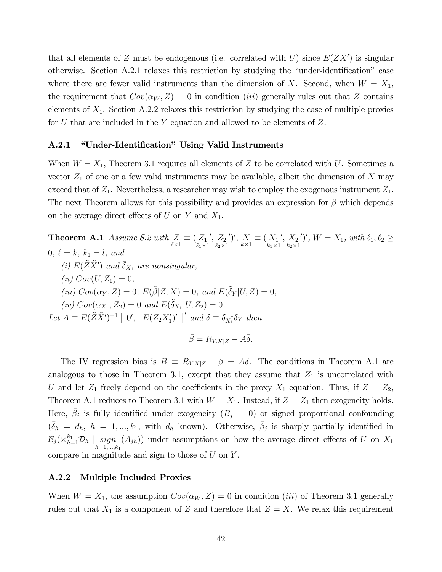that all elements of Z must be endogenous (i.e. correlated with U) since  $E(\tilde{Z}\tilde{X}')$  is singular otherwise. Section A.2.1 relaxes this restriction by studying the "under-identification" case where there are fewer valid instruments than the dimension of X. Second, when  $W = X_1$ , the requirement that  $Cov(\alpha_W, Z) = 0$  in condition *(iii)* generally rules out that Z contains elements of  $X_1$ . Section A.2.2 relaxes this restriction by studying the case of multiple proxies for  $U$  that are included in the  $Y$  equation and allowed to be elements of  $Z$ .

#### A.2.1 **"Under-Identification"** Using Valid Instruments

When  $W = X_1$ , Theorem 3.1 requires all elements of Z to be correlated with U. Sometimes a vector  $Z_1$  of one or a few valid instruments may be available, albeit the dimension of X may exceed that of  $Z_1$ . Nevertheless, a researcher may wish to employ the exogenous instrument  $Z_1$ . The next Theorem allows for this possibility and provides an expression for  $\bar{\beta}$  which depends on the average direct effects of U on Y and  $X_1$ .

**Theorem A.1** Assume S.2 with  $Z$  $Z_{\ell \times 1} \equiv (Z_1$ <sub> $\ell_1 \times 1$ </sub>  $^{\prime},~Z_2$  $\ell_2\times 1$ ')',  $\overline{X}$  $X_{k\times 1} \equiv \begin{pmatrix} X_1 \\ k_1 \times 1 \end{pmatrix}$  $^{\prime},\,X_2$  $k_2\times 1$  $(y', W = X_1, with \ell_1, \ell_2 \geq$ 0,  $\ell = k, k_1 = l, and$ (i)  $E(\tilde{Z}\tilde{X}')$  and  $\bar{\delta}_{X_1}$  are nonsingular, (*ii*)  $Cov(U, Z_1) = 0$ , (iii)  $Cov(\alpha_Y, Z) = 0$ ,  $E(\tilde{\beta}|Z, X) = 0$ , and  $E(\tilde{\delta}_Y|U, Z) = 0$ , (iv)  $Cov(\alpha_{X_1}, Z_2) = 0$  and  $E(\tilde{\delta}_{X_1} | U, Z_2) = 0$ . Let  $A \equiv E(\tilde{Z}\tilde{X}')^{-1} [0', E(\tilde{Z}_2\tilde{X}'_1)']'$  and  $\bar{\delta} \equiv \bar{\delta}_{X_1}^{-1} \bar{\delta}_Y$  then  $\bar{\beta} = R_{YX|Z} - A\bar{\delta}.$ 

The IV regression bias is  $B = R_{Y,X|Z} - \bar{\beta} = A\bar{\delta}$ . The conditions in Theorem A.1 are analogous to those in Theorem 3.1, except that they assume that  $Z_1$  is uncorrelated with U and let  $Z_1$  freely depend on the coefficients in the proxy  $X_1$  equation. Thus, if  $Z = Z_2$ , Theorem A.1 reduces to Theorem 3.1 with  $W = X_1$ . Instead, if  $Z = Z_1$  then exogeneity holds. Here,  $\bar{\beta}_j$  is fully identified under exogeneity  $(B_j = 0)$  or signed proportional confounding  $(\bar{\delta}_h = d_h, h = 1, ..., k_1, \text{ with } d_h \text{ known})$ . Otherwise,  $\bar{\beta}_j$  is sharply partially identified in  $\mathcal{B}_j (\times_{h=1}^{k_1} \mathcal{D}_h \mid \operatorname*{sign}_{h=1,...,k_1}$  $(A_{jh})$  under assumptions on how the average direct effects of U on  $X_1$ compare in magnitude and sign to those of  $U$  on  $Y$ .

#### A.2.2 Multiple Included Proxies

When  $W = X_1$ , the assumption  $Cov(\alpha_W, Z) = 0$  in condition *(iii)* of Theorem 3.1 generally rules out that  $X_1$  is a component of Z and therefore that  $Z = X$ . We relax this requirement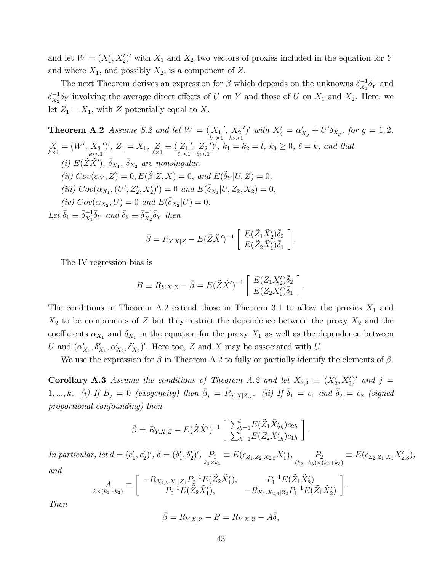and let  $W = (X_1', X_2')'$  with  $X_1$  and  $X_2$  two vectors of proxies included in the equation for Y and where  $X_1$ , and possibly  $X_2$ , is a component of Z.

The next Theorem derives an expression for  $\bar{\beta}$  which depends on the unknowns  $\bar{\delta}_{X_1}^{-1} \bar{\delta}_Y$  and  $\bar{\delta}_{X_2}^{-1}\bar{\delta}_Y$  involving the average direct effects of U on Y and those of U on  $X_1$  and  $X_2$ . Here, we let  $Z_1 = X_1$ , with Z potentially equal to X.

**Theorem A.2** Assume S.2 and let  $W = (X_1)$  $k_1 \times 1$  $^{\prime},\,X_2$  $k_2\times 1$ ')' with  $X'_g = \alpha'_{X_g} + U' \delta_{X_g}$ , for  $g = 1, 2$ , X  $X_{k\times 1} = (W', X_3)_{k_3\times 1}$  $\frac{k_3\times1}{2}$ ')',  $Z_1 = X_1, Z_2$  $Z_{\ell \times 1} \equiv (Z_1$ <sub> $\ell_1 \times 1$ </sub>  $^{\prime},~Z_2$  $\ell_2\times 1$  $\ell'$ ,  $k_1 = k_2 = l, k_3 \geq 0, \ell = k, \text{ and that}$ (i)  $E(\tilde{Z}\tilde{X}')$ ,  $\bar{\delta}_{X_1}$ ,  $\bar{\delta}_{X_2}$  are nonsingular, (ii)  $Cov(\alpha_Y, Z) = 0, E(\tilde{\beta}|Z, X) = 0$ , and  $E(\tilde{\delta}_Y|U, Z) = 0$ , (iii)  $Cov(\alpha_{X_1}, (U', Z'_2, X'_2)') = 0$  and  $E(\tilde{\delta}_{X_1} | U, Z_2, X_2) = 0$ , (iv)  $Cov(\alpha_{X_2}, U) = 0$  and  $E(\tilde{\delta}_{X_2} | U) = 0$ . Let  $\bar{\delta}_1 \equiv \bar{\delta}_{X_1}^{-1} \bar{\delta}_Y$  and  $\bar{\delta}_2 \equiv \bar{\delta}_{X_2}^{-1} \bar{\delta}_Y$  then

$$
\bar{\beta} = R_{Y.X|Z} - E(\tilde{Z}\tilde{X}')^{-1} \left[ \begin{array}{c} E(\tilde{Z}_1 \tilde{X}_2') \bar{\delta}_2 \\ E(\tilde{Z}_2 \tilde{X}_1') \bar{\delta}_1 \end{array} \right].
$$

The IV regression bias is

$$
B \equiv R_{Y.X|Z} - \bar{\beta} = E(\tilde{Z}\tilde{X}')^{-1} \left[ \begin{array}{c} E(\tilde{Z}_1 \tilde{X}_2') \bar{\delta}_2 \\ E(\tilde{Z}_2 \tilde{X}_1') \bar{\delta}_1 \end{array} \right]
$$

:

:

:

The conditions in Theorem A.2 extend those in Theorem 3.1 to allow the proxies  $X_1$  and  $X_2$  to be components of Z but they restrict the dependence between the proxy  $X_2$  and the coefficients  $\alpha_{X_1}$  and  $\delta_{X_1}$  in the equation for the proxy  $X_1$  as well as the dependence between U and  $(\alpha'_{X_1}, \delta'_{X_1}, \alpha'_{X_2}, \delta'_{X_2})'$ . Here too, Z and X may be associated with U.

We use the expression for  $\beta$  in Theorem A.2 to fully or partially identify the elements of  $\beta$ .

**Corollary A.3** Assume the conditions of Theorem A.2 and let  $X_{2,3} \equiv (X_2', X_3')'$  and  $j =$ 1, ..., k. (i) If  $B_j = 0$  (exogeneity) then  $\bar{\beta}_j = R_{Y.X|Z,j}$ . (ii) If  $\bar{\delta}_1 = c_1$  and  $\bar{\delta}_2 = c_2$  (signed proportional confounding) then

$$
\bar{\beta} = R_{Y.X|Z} - E(\tilde{Z}\tilde{X}')^{-1} \left[ \begin{array}{c} \sum_{h=1}^{l} E(\tilde{Z}_1 \tilde{X}'_{2h}) c_{2h} \\ \sum_{h=1}^{l} E(\tilde{Z}_2 \tilde{X}'_{1h}) c_{1h} \end{array} \right]
$$

In particular, let  $d = (c'_1, c'_2)'$ ,  $\bar{\delta} = (\bar{\delta}'_1, \bar{\delta}'_2)'$ ,  $P_1$  $P_1 \equiv E(\epsilon_{Z_1 \ldots Z_2 | X_{2,3}} \tilde{X}'_1), P_2 \atop (k_2 + k_3) \times (k_1 + k_2) }$  $P_2$   $\equiv E(\epsilon_{Z_2 \cdot Z_1 | X_1} \tilde{X}'_{2,3}),$ <br> $(k_2+k_3) \times (k_2+k_3)$ and

$$
A_{k \times (k_1 + k_2)} \equiv \begin{bmatrix} -R_{X_{2,3}, X_1 | Z_1} P_2^{-1} E(\tilde{Z}_2 \tilde{X}_1'), & P_1^{-1} E(\tilde{Z}_1 \tilde{X}_2') \\ P_2^{-1} E(\tilde{Z}_2 \tilde{X}_1'), & -R_{X_1, X_{2,3} | Z_2} P_1^{-1} E(\tilde{Z}_1 \tilde{X}_2') \end{bmatrix}
$$

Then

$$
\bar{\beta} = R_{Y.X|Z} - B = R_{Y.X|Z} - A\bar{\delta},
$$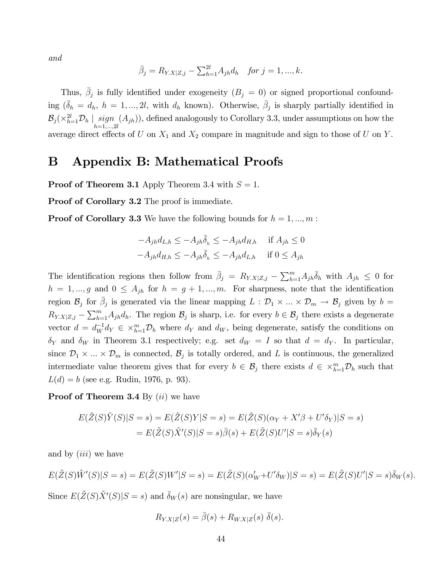and

$$
\bar{\beta}_j = R_{Y.X|Z,j} - \sum_{h=1}^{2l} A_{jh} d_h
$$
 for  $j = 1, ..., k$ .

Thus,  $\bar{\beta}_j$  is fully identified under exogeneity  $(B_j = 0)$  or signed proportional confounding  $(\bar{\delta}_h = d_h, h = 1, ..., 2l, \text{ with } d_h \text{ known})$ . Otherwise,  $\bar{\beta}_j$  is sharply partially identified in  $\mathcal{B}_j (\times_{h=1}^{2l} \mathcal{D}_h \mid \operatornamewithlimits{sign}_{h=1,...,2l}$  $(A_{jh})$ , defined analogously to Corollary 3.3, under assumptions on how the average direct effects of U on  $X_1$  and  $X_2$  compare in magnitude and sign to those of U on Y.

# B Appendix B: Mathematical Proofs

**Proof of Theorem 3.1** Apply Theorem 3.4 with  $S = 1$ .

Proof of Corollary 3.2 The proof is immediate.

**Proof of Corollary 3.3** We have the following bounds for  $h = 1, ..., m$ :

$$
-A_{jh}d_{L,h} \le -A_{jh}\overline{\delta}_h \le -A_{jh}d_{H,h} \quad \text{if } A_{jh} \le 0
$$

$$
-A_{jh}d_{H,h} \le -A_{jh}\overline{\delta}_h \le -A_{jh}d_{L,h} \quad \text{if } 0 \le A_{jh}
$$

The identification regions then follow from  $\bar{\beta}_j = R_{Y,X|Z,j} - \sum_{h=1}^m A_{jh} \bar{\delta}_h$  with  $A_{jh} \leq 0$  for  $h = 1, ..., g$  and  $0 \leq A_{jh}$  for  $h = g + 1, ..., m$ . For sharpness, note that the identification region  $\mathcal{B}_j$  for  $\bar{\beta}_j$  is generated via the linear mapping  $L: \mathcal{D}_1 \times ... \times \mathcal{D}_m \to \mathcal{B}_j$  given by  $b =$  $R_{Y,X|Z,j} - \sum_{h=1}^{m} A_{jh} d_h$ . The region  $\mathcal{B}_j$  is sharp, i.e. for every  $b \in \mathcal{B}_j$  there exists a degenerate vector  $d = d_W^{-1} d_Y \in \times_{h=1}^m \mathcal{D}_h$  where  $d_Y$  and  $d_W$ , being degenerate, satisfy the conditions on  $\delta_Y$  and  $\delta_W$  in Theorem 3.1 respectively; e.g. set  $d_W = I$  so that  $d = d_Y$ . In particular, since  $\mathcal{D}_1 \times ... \times \mathcal{D}_m$  is connected,  $\mathcal{B}_j$  is totally ordered, and L is continuous, the generalized intermediate value theorem gives that for every  $b \in \mathcal{B}_j$  there exists  $d \in \times_{h=1}^m \mathcal{D}_h$  such that  $L(d) = b$  (see e.g. Rudin, 1976, p. 93).

**Proof of Theorem 3.4** By  $(ii)$  we have

$$
E(\tilde{Z}(S)\tilde{Y}(S)|S=s) = E(\tilde{Z}(S)Y|S=s) = E(\tilde{Z}(S)(\alpha_Y + X'\beta + U'\delta_Y)|S=s)
$$
  
= 
$$
E(\tilde{Z}(S)\tilde{X}'(S)|S=s)\bar{\beta}(s) + E(\tilde{Z}(S)U'|S=s)\bar{\delta}_Y(s)
$$

and by  $(iii)$  we have

$$
E(\tilde{Z}(S)\tilde{W}'(S)|S=s) = E(\tilde{Z}(S)W'|S=s) = E(\tilde{Z}(S)(\alpha'_{W} + U'\delta_{W})|S=s) = E(\tilde{Z}(S)U'|S=s)\overline{\delta}_{W}(s).
$$

Since  $E(\tilde{Z}(S)\tilde{X}'(S)|S=s)$  and  $\bar{\delta}_W(s)$  are nonsingular, we have

$$
R_{Y.X|Z}(s) = \bar{\beta}(s) + R_{W.X|Z}(s) \bar{\delta}(s).
$$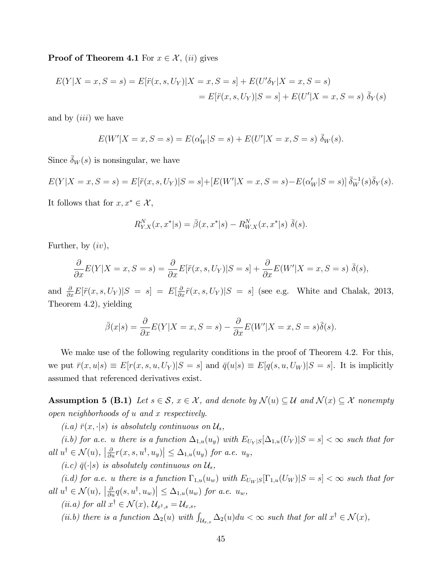**Proof of Theorem 4.1** For  $x \in \mathcal{X}$ , (ii) gives

$$
E(Y|X = x, S = s) = E[\ddot{r}(x, s, U_Y)|X = x, S = s] + E(U'\delta_Y|X = x, S = s)
$$
  
= 
$$
E[\ddot{r}(x, s, U_Y)|S = s] + E(U'|X = x, S = s) \, \bar{\delta}_Y(s)
$$

and by *(iii)* we have

$$
E(W'|X = x, S = s) = E(\alpha'_W|S = s) + E(U'|X = x, S = s) \, \bar{\delta}_W(s).
$$

Since  $\delta_W(s)$  is nonsingular, we have

$$
E(Y|X = x, S = s) = E[\ddot{r}(x, s, U_Y)|S = s] + [E(W'|X = x, S = s) - E(\alpha'_W|S = s)] \, \bar{\delta}_W^{-1}(s) \bar{\delta}_Y(s).
$$

It follows that for  $x, x^* \in \mathcal{X}$ ,

$$
R_{Y.X}^N(x, x^*|s) = \bar{\beta}(x, x^*|s) - R_{W.X}^N(x, x^*|s) \bar{\delta}(s).
$$

Further, by  $(iv)$ ,

$$
\frac{\partial}{\partial x}E(Y|X=x,S=s) = \frac{\partial}{\partial x}E[\ddot{r}(x,s,U_Y)|S=s] + \frac{\partial}{\partial x}E(W'|X=x,S=s) \ \bar{\delta}(s),
$$

and  $\frac{\partial}{\partial x}E[\ddot{r}(x,s,U_Y)|S = s] = E[\frac{\partial}{\partial x}\ddot{r}(x,s,U_Y)|S = s]$  (see e.g. White and Chalak, 2013, Theorem 4.2), yielding

$$
\bar{\beta}(x|s) = \frac{\partial}{\partial x}E(Y|X=x,S=s) - \frac{\partial}{\partial x}E(W'|X=x,S=s)\bar{\delta}(s).
$$

We make use of the following regularity conditions in the proof of Theorem 4.2. For this, we put  $\bar{r}(x, u|s) \equiv E[r(x, s, u, U_Y)|S = s]$  and  $\bar{q}(u|s) \equiv E[q(s, u, U_W)|S = s]$ . It is implicitly assumed that referenced derivatives exist.

**Assumption 5 (B.1)** Let  $s \in \mathcal{S}$ ,  $x \in \mathcal{X}$ , and denote by  $\mathcal{N}(u) \subseteq \mathcal{U}$  and  $\mathcal{N}(x) \subseteq \mathcal{X}$  nonempty open neighborhoods of u and x respectively.

 $(i.a) \bar{r}(x, \cdot | s)$  is absolutely continuous on  $\mathcal{U}_s$ ,

(i.b) for a.e. u there is a function  $\Delta_{1,u}(u_y)$  with  $E_{U_Y|S}[\Delta_{1,u}(U_Y)|S=s]<\infty$  such that for all  $u^{\dagger} \in \mathcal{N}(u)$ ,  $\left| \frac{\partial}{\partial u} r(x, s, u^{\dagger}, u_y) \right| \leq \Delta_{1,u}(u_y)$  for a.e.  $u_y$ ,

(i.c)  $\bar{q}(\cdot|s)$  is absolutely continuous on  $\mathcal{U}_s$ ,

(i.d) for a.e. u there is a function  $\Gamma_{1,u}(u_w)$  with  $E_{U_W|S}[\Gamma_{1,u}(U_W)|S=s]<\infty$  such that for all  $u^{\dagger} \in \mathcal{N}(u)$ ,  $\left| \frac{\partial}{\partial u} q(s, u^{\dagger}, u_w) \right| \leq \Delta_{1,u}(u_w)$  for a.e.  $u_w$ ,

(ii.a) for all  $x^{\dagger} \in \mathcal{N}(x)$ ,  $\mathcal{U}_{x^{\dagger},s} = \mathcal{U}_{x,s}$ ,

(ii.b) there is a function  $\Delta_2(u)$  with  $\int_{\mathcal{U}_{x,s}} \Delta_2(u) du < \infty$  such that for all  $x^{\dagger} \in \mathcal{N}(x)$ ,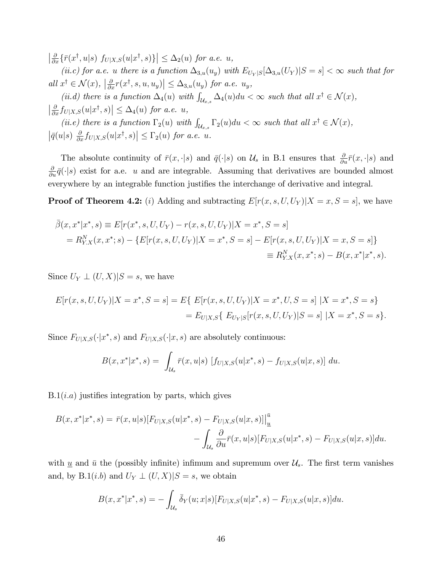$\left|\frac{\partial}{\partial x}\{\bar{r}(x^\dagger,u|s)\ f_{U|X,S}(u|x^\dagger,s)\}\right|\leq \Delta_2(u)$  for a.e. u,

(ii.c) for a.e. u there is a function  $\Delta_{3,u}(u_y)$  with  $E_{U_Y|S}[\Delta_{3,u}(U_Y)|S=s]<\infty$  such that for all  $x^{\dagger} \in \mathcal{N}(x)$ ,  $\left| \frac{\partial}{\partial x} r(x^{\dagger}, s, u, u_y) \right| \leq \Delta_{3,u}(u_y)$  for a.e.  $u_y$ ,

(ii.d) there is a function  $\Delta_4(u)$  with  $\int_{\mathcal{U}_{x,s}} \Delta_4(u) du < \infty$  such that all  $x^{\dagger} \in \mathcal{N}(x)$ ,  $\left|\frac{\partial}{\partial x} f_{U|X,S}(u|x^\dagger,s)\right| \leq \Delta_4(u)$  for a.e. u, (ii.e) there is a function  $\Gamma_2(u)$  with  $\int_{\mathcal{U}_{x,s}} \Gamma_2(u) du < \infty$  such that all  $x^{\dagger} \in \mathcal{N}(x)$ ,  $\left|\bar{q}(u|s) \frac{\partial}{\partial x} f_{U|X,S}(u|x^{\dagger},s)\right| \leq \Gamma_2(u)$  for a.e. u.

The absolute continuity of  $\bar{r}(x, \cdot | s)$  and  $\bar{q}(\cdot | s)$  on  $\mathcal{U}_s$  in B.1 ensures that  $\frac{\partial}{\partial u}\bar{r}(x, \cdot | s)$  and  $\frac{\partial}{\partial u}\bar{q}(\cdot|s)$  exist for a.e. u and are integrable. Assuming that derivatives are bounded almost everywhere by an integrable function justifies the interchange of derivative and integral.

**Proof of Theorem 4.2:** (i) Adding and subtracting  $E[r(x, s, U, U_Y)|X = x, S = s]$ , we have

$$
\bar{\beta}(x, x^* | x^*, s) \equiv E[r(x^*, s, U, U_Y) - r(x, s, U, U_Y)|X = x^*, S = s]
$$
  
=  $R_{Y.X}^N(x, x^*; s) - \{E[r(x, s, U, U_Y)|X = x^*, S = s] - E[r(x, s, U, U_Y)|X = x, S = s]\}$   

$$
\equiv R_{Y.X}^N(x, x^*; s) - B(x, x^* | x^*, s).
$$

Since  $U_Y \perp (U, X)|S = s$ , we have

$$
E[r(x, s, U, U_Y)|X = x^*, S = s] = E\{E[r(x, s, U, U_Y)|X = x^*, U, S = s]|X = x^*, S = s\}
$$

$$
= E_{U|X,S}\{E_{U_Y|S}[r(x, s, U, U_Y)|S = s]|X = x^*, S = s\}.
$$

Since  $F_{U|X,S}(\cdot|x^*,s)$  and  $F_{U|X,S}(\cdot|x,s)$  are absolutely continuous:

$$
B(x, x^*|x^*, s) = \int_{\mathcal{U}_s} \bar{r}(x, u|s) \left[ f_{U|X,S}(u|x^*, s) - f_{U|X,S}(u|x, s) \right] du.
$$

 $B.1(i.a)$  justifies integration by parts, which gives

$$
B(x, x^*|x^*, s) = \bar{r}(x, u|s) [F_{U|X,S}(u|x^*, s) - F_{U|X,S}(u|x, s)]|_{\underline{u}}^{\underline{\bar{u}}} - \int_{\mathcal{U}_s} \frac{\partial}{\partial u} \bar{r}(x, u|s) [F_{U|X,S}(u|x^*, s) - F_{U|X,S}(u|x, s)] du.
$$

with  $\underline{u}$  and  $\overline{u}$  the (possibly infinite) infimum and supremum over  $\mathcal{U}_s$ . The first term vanishes and, by B.1(*i.b*) and  $U_Y \perp (U, X)|S = s$ , we obtain

$$
B(x, x^*|x^*, s) = -\int_{\mathcal{U}_s} \bar{\delta}_Y(u; x|s) [F_{U|X,S}(u|x^*, s) - F_{U|X,S}(u|x, s)] du.
$$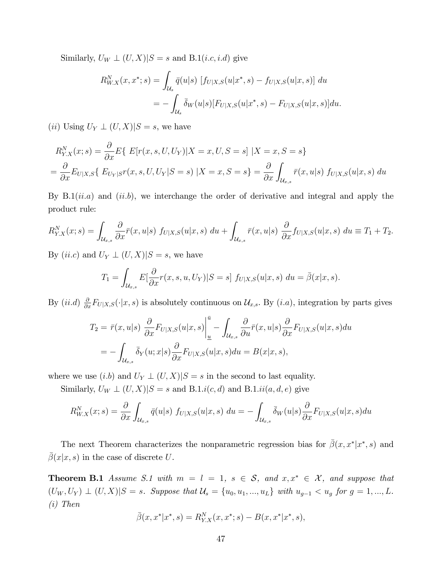Similarly,  $U_W \perp (U, X)|S = s$  and B.1(*i.c, i.d*) give

$$
R_{W.X}^N(x, x^*; s) = \int_{\mathcal{U}_s} \bar{q}(u|s) \left[ f_{U|X,S}(u|x^*, s) - f_{U|X,S}(u|x, s) \right] du
$$
  
= 
$$
- \int_{\mathcal{U}_s} \bar{\delta}_W(u|s) [F_{U|X,S}(u|x^*, s) - F_{U|X,S}(u|x, s)] du.
$$

(*ii*) Using  $U_Y \perp (U, X)|S = s$ , we have

$$
R_{Y.X}^N(x;s) = \frac{\partial}{\partial x} E\{ E[r(x, s, U, U_Y)|X = x, U, S = s] | X = x, S = s \}
$$
  
= 
$$
\frac{\partial}{\partial x} E_{U|X,S} \{ E_{U_Y|S}r(x, s, U, U_Y|S = s) | X = x, S = s \} = \frac{\partial}{\partial x} \int_{\mathcal{U}_{x,s}} \bar{r}(x, u|s) f_{U|X,S}(u|x, s) du
$$

By  $B.1(ii.a)$  and  $(ii.b)$ , we interchange the order of derivative and integral and apply the product rule:

$$
R_{Y,X}^N(x;s) = \int_{\mathcal{U}_{x,s}} \frac{\partial}{\partial x} \bar{r}(x,u|s) f_{U|X,S}(u|x,s) du + \int_{\mathcal{U}_{x,s}} \bar{r}(x,u|s) \frac{\partial}{\partial x} f_{U|X,S}(u|x,s) du \equiv T_1 + T_2.
$$

By  $(ii.c)$  and  $U_Y \perp (U,X)|S = s$ , we have

$$
T_1 = \int_{\mathcal{U}_{x,s}} E\left[\frac{\partial}{\partial x}r(x,s,u,U_Y)|S=s\right] f_{U|X,S}(u|x,s) \, du = \overline{\beta}(x|x,s).
$$

By  $(ii.d)$   $\frac{\partial}{\partial x}F_{U|X,S}(\cdot|x,s)$  is absolutely continuous on  $\mathcal{U}_{x,s}$ . By  $(i.a)$ , integration by parts gives

$$
T_2 = \bar{r}(x, u|s) \frac{\partial}{\partial x} F_{U|X,S}(u|x, s) \Big|_{\underline{u}}^{\underline{\bar{u}}} - \int_{\mathcal{U}_{x,s}} \frac{\partial}{\partial u} \bar{r}(x, u|s) \frac{\partial}{\partial x} F_{U|X,S}(u|x, s) du
$$
  
= 
$$
- \int_{\mathcal{U}_{x,s}} \bar{\delta}_Y(u; x|s) \frac{\partial}{\partial x} F_{U|X,S}(u|x, s) du = B(x|x, s),
$$

where we use  $(i.b)$  and  $U_Y \perp (U, X)|S = s$  in the second to last equality.

Similarly,  $U_W \perp (U, X)|S = s$  and B.1.i(c, d) and B.1.ii(a, d, e) give

$$
R_{W.X}^N(x;s) = \frac{\partial}{\partial x} \int_{\mathcal{U}_{x,s}} \bar{q}(u|s) f_{U|X,S}(u|x,s) du = - \int_{\mathcal{U}_{x,s}} \bar{\delta}_W(u|s) \frac{\partial}{\partial x} F_{U|X,S}(u|x,s) du
$$

The next Theorem characterizes the nonparametric regression bias for  $\bar{\beta}(x, x^* | x^*, s)$  and  $\bar{\beta}(x|x,s)$  in the case of discrete U.

**Theorem B.1** Assume S.1 with  $m = l = 1$ ,  $s \in S$ , and  $x, x^* \in \mathcal{X}$ , and suppose that  $(U_W, U_Y) \perp (U, X)|S = s$ . Suppose that  $\mathcal{U}_s = \{u_0, u_1, ..., u_L\}$  with  $u_{g-1} < u_g$  for  $g = 1, ..., L$ . (i) Then

$$
\bar{\beta}(x, x^*|x^*, s) = R_{Y.X}^N(x, x^*; s) - B(x, x^*|x^*, s),
$$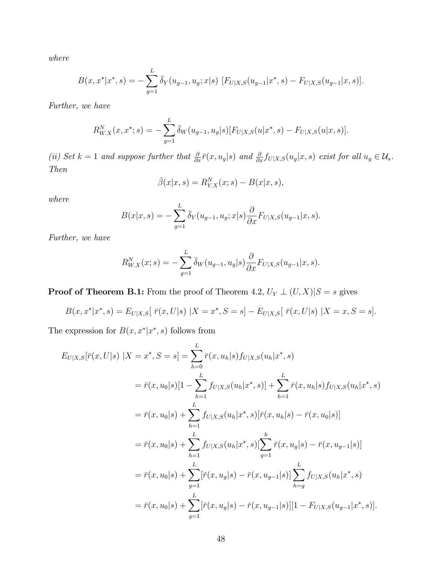where

$$
B(x, x^*|x^*, s) = -\sum_{g=1}^L \bar{\delta}_Y(u_{g-1}, u_g; x|s) \ [F_{U|X,S}(u_{g-1}|x^*, s) - F_{U|X,S}(u_{g-1}|x, s)].
$$

Further, we have

$$
R_{W.X}^N(x, x^*; s) = -\sum_{g=1}^L \bar{\delta}_W(u_{g-1}, u_g | s) [F_{U|X,S}(u | x^*, s) - F_{U|X,S}(u | x, s)].
$$

(ii) Set  $k = 1$  and suppose further that  $\frac{\partial}{\partial x} \bar{r}(x, u_g | s)$  and  $\frac{\partial}{\partial x} f_{U|X,S}(u_g | x, s)$  exist for all  $u_g \in \mathcal{U}_s$ . Then

$$
\bar{\beta}(x|x,s) = R_{Y.X}^N(x;s) - B(x|x,s),
$$

where

$$
B(x|x,s) = -\sum_{g=1}^{L} \overline{\delta}_{Y}(u_{g-1}, u_g; x|s) \frac{\partial}{\partial x} F_{U|X,S}(u_{g-1}|x,s).
$$

Further, we have

$$
R_{W.X}^N(x;s) = -\sum_{g=1}^L \overline{\delta}_W(u_{g-1}, u_g | s) \frac{\partial}{\partial x} F_{U|X,S}(u_{g-1} | x, s).
$$

**Proof of Theorem B.1:** From the proof of Theorem 4.2,  $U_Y \perp (U, X)|S = s$  gives

$$
B(x, x^*|x^*, s) = E_{U|X,S}[\ \bar{r}(x, U|s) \ |X = x^*, S = s] - E_{U|X,S}[\ \bar{r}(x, U|s) \ |X = x, S = s].
$$

The expression for  $B(x, x^*|x^*, s)$  follows from

$$
E_{U|X,S}[\bar{r}(x,U|s) | X = x^*, S = s] = \sum_{h=0}^{L} \bar{r}(x, u_h|s) f_{U|X,S}(u_h|x^*, s)
$$
  
\n
$$
= \bar{r}(x, u_0|s)[1 - \sum_{h=1}^{L} f_{U|X,S}(u_h|x^*, s)] + \sum_{h=1}^{L} \bar{r}(x, u_h|s) f_{U|X,S}(u_h|x^*, s)
$$
  
\n
$$
= \bar{r}(x, u_0|s) + \sum_{h=1}^{L} f_{U|X,S}(u_h|x^*, s)[\bar{r}(x, u_h|s) - \bar{r}(x, u_0|s)]
$$
  
\n
$$
= \bar{r}(x, u_0|s) + \sum_{h=1}^{L} f_{U|X,S}(u_h|x^*, s)[\sum_{g=1}^{h} \bar{r}(x, u_g|s) - \bar{r}(x, u_{g-1}|s)]
$$
  
\n
$$
= \bar{r}(x, u_0|s) + \sum_{g=1}^{L} [\bar{r}(x, u_g|s) - \bar{r}(x, u_{g-1}|s)] \sum_{h=g}^{L} f_{U|X,S}(u_h|x^*, s)
$$
  
\n
$$
= \bar{r}(x, u_0|s) + \sum_{g=1}^{L} [\bar{r}(x, u_g|s) - \bar{r}(x, u_{g-1}|s)][1 - F_{U|X,S}(u_{g-1}|x^*, s)].
$$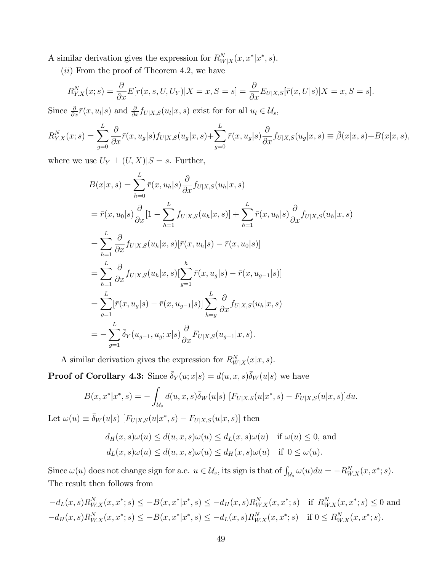A similar derivation gives the expression for  $R_{W|X}^N(x, x^*|x^*, s)$ .

(*ii*) From the proof of Theorem 4.2, we have

$$
R_{Y.X}^N(x;s) = \frac{\partial}{\partial x} E[r(x,s,U,U_Y)|X=x,S=s] = \frac{\partial}{\partial x} E_{U|X,S}[\bar{r}(x,U|s)|X=x,S=s].
$$

Since  $\frac{\partial}{\partial x}\bar{r}(x,u_l|s)$  and  $\frac{\partial}{\partial x}f_{U|X,S}(u_l|x,s)$  exist for for all  $u_l \in \mathcal{U}_s$ ,

$$
R_{Y,X}^N(x;s) = \sum_{g=0}^L \frac{\partial}{\partial x} \bar{r}(x, u_g | s) f_{U|X,S}(u_g | x, s) + \sum_{g=0}^L \bar{r}(x, u_g | s) \frac{\partial}{\partial x} f_{U|X,S}(u_g | x, s) \equiv \bar{\beta}(x | x, s) + B(x | x, s),
$$

where we use  $U_Y \perp (U, X)|S = s$ . Further,

$$
B(x|x,s) = \sum_{h=0}^{L} \bar{r}(x, u_h | s) \frac{\partial}{\partial x} f_{U|X,S}(u_h | x, s)
$$
  
\n
$$
= \bar{r}(x, u_0 | s) \frac{\partial}{\partial x} [1 - \sum_{h=1}^{L} f_{U|X,S}(u_h | x, s)] + \sum_{h=1}^{L} \bar{r}(x, u_h | s) \frac{\partial}{\partial x} f_{U|X,S}(u_h | x, s)
$$
  
\n
$$
= \sum_{h=1}^{L} \frac{\partial}{\partial x} f_{U|X,S}(u_h | x, s) [\bar{r}(x, u_h | s) - \bar{r}(x, u_0 | s)]
$$
  
\n
$$
= \sum_{h=1}^{L} \frac{\partial}{\partial x} f_{U|X,S}(u_h | x, s) [\sum_{g=1}^{h} \bar{r}(x, u_g | s) - \bar{r}(x, u_{g-1} | s)]
$$
  
\n
$$
= \sum_{g=1}^{L} [\bar{r}(x, u_g | s) - \bar{r}(x, u_{g-1} | s)] \sum_{h=g}^{L} \frac{\partial}{\partial x} f_{U|X,S}(u_h | x, s)
$$
  
\n
$$
= - \sum_{g=1}^{L} \bar{\delta}_{Y}(u_{g-1}, u_g; x | s) \frac{\partial}{\partial x} F_{U|X,S}(u_{g-1} | x, s).
$$

A similar derivation gives the expression for  $R_{W|X}^N(x|x,s)$ .

**Proof of Corollary 4.3:** Since  $\bar{\delta}_Y(u; x|s) = d(u, x, s)\bar{\delta}_W(u|s)$  we have

$$
B(x, x^*|x^*, s) = -\int_{\mathcal{U}_s} d(u, x, s) \overline{\delta}_W(u|s) \, [F_{U|X,S}(u|x^*, s) - F_{U|X,S}(u|x, s)] du.
$$

Let  $\omega(u) \equiv \bar{\delta}_W(u|s)$   $[F_{U|X,S}(u|x^*, s) - F_{U|X,S}(u|x, s)]$  then

$$
d_H(x, s)\omega(u) \le d(u, x, s)\omega(u) \le d_L(x, s)\omega(u) \quad \text{if } \omega(u) \le 0, \text{ and}
$$

$$
d_L(x, s)\omega(u) \le d(u, x, s)\omega(u) \le d_H(x, s)\omega(u) \quad \text{if } 0 \le \omega(u).
$$

Since  $\omega(u)$  does not change sign for a.e.  $u \in \mathcal{U}_s$ , its sign is that of  $\int_{\mathcal{U}_s} \omega(u) du = -R_{W.X}^N(x, x^*; s)$ . The result then follows from

$$
-d_{L}(x,s)R_{W.X}^{N}(x,x^{*};s) \leq -B(x,x^{*}|x^{*},s) \leq -d_{H}(x,s)R_{W.X}^{N}(x,x^{*};s) \quad \text{if } R_{W.X}^{N}(x,x^{*};s) \leq 0 \text{ and}
$$
  

$$
-d_{H}(x,s)R_{W.X}^{N}(x,x^{*};s) \leq -B(x,x^{*}|x^{*},s) \leq -d_{L}(x,s)R_{W.X}^{N}(x,x^{*};s) \quad \text{if } 0 \leq R_{W.X}^{N}(x,x^{*};s).
$$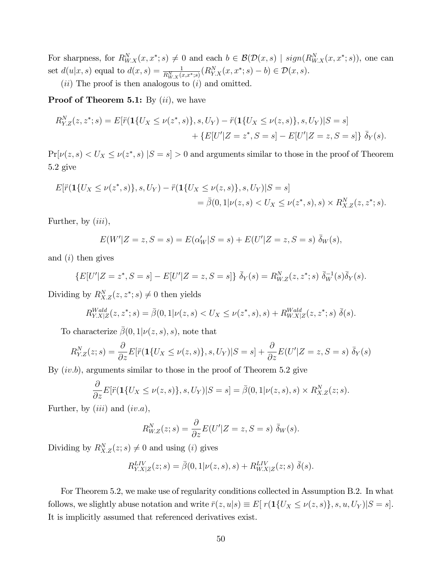For sharpness, for  $R_{W.X}^N(x, x^*; s) \neq 0$  and each  $b \in \mathcal{B}(\mathcal{D}(x, s) \mid sign(R_{W.X}^N(x, x^*; s))$ , one can set  $d(u|x, s)$  equal to  $d(x, s) = \frac{1}{R_{W.X}^N(x, x^*; s)}(R_{Y.X}^N(x, x^*; s) - b) \in \mathcal{D}(x, s)$ .

 $(ii)$  The proof is then analogous to  $(i)$  and omitted.

**Proof of Theorem 5.1:** By  $(ii)$ , we have

$$
R_{Y,Z}^N(z, z^*; s) = E[\ddot{r}(\mathbf{1}\{U_X \le \nu(z^*, s)\}, s, U_Y) - \ddot{r}(\mathbf{1}\{U_X \le \nu(z, s)\}, s, U_Y)|S = s] + \{E[U'|Z = z^*, S = s] - E[U'|Z = z, S = s]\} \bar{\delta}_Y(s).
$$

 $Pr[\nu(z, s) < U_X \le \nu(z^*, s) | S = s] > 0$  and arguments similar to those in the proof of Theorem 5.2 give

$$
E[\ddot{r}(1\{U_X \le \nu(z^*,s)\}, s, U_Y) - \ddot{r}(1\{U_X \le \nu(z,s)\}, s, U_Y)|S = s]
$$
  
=  $\bar{\beta}(0, 1|\nu(z,s) < U_X \le \nu(z^*,s), s) \times R_{X,Z}^N(z, z^*; s).$ 

Further, by  $(iii)$ ,

$$
E(W'|Z=z, S=s) = E(\alpha'_W|S=s) + E(U'|Z=z, S=s) \, \bar{\delta}_W(s),
$$

and  $(i)$  then gives

$$
\{E[U'|Z=z^*,S=s]-E[U'|Z=z,S=s]\}\bar{\delta}_Y(s)=R_{W,Z}^N(z,z^*;s)\bar{\delta}_W^{-1}(s)\bar{\delta}_Y(s).
$$

Dividing by  $R_{X,Z}^N(z, z^*; s) \neq 0$  then yields

$$
R_{Y.X|Z}^{Wald}(z, z^*; s) = \bar{\beta}(0, 1 | \nu(z, s) < U_X \le \nu(z^*, s), s) + R_{W.X|Z}^{Wald}(z, z^*; s) \ \bar{\delta}(s).
$$

To characterize  $\bar{\beta}(0,1|\nu(z,s),s)$ , note that

$$
R_{Y,Z}^N(z;s) = \frac{\partial}{\partial z} E[\ddot{r}(\mathbf{1}\{U_X \le \nu(z,s)\}, s, U_Y)|S = s] + \frac{\partial}{\partial z} E(U'|Z = z, S = s) \ \bar{\delta}_Y(s)
$$

By  $(iv.b)$ , arguments similar to those in the proof of Theorem 5.2 give

$$
\frac{\partial}{\partial z}E[\ddot{r}(\mathbf{1}\{U_X \leq \nu(z,s)\}, s, U_Y)|S=s] = \bar{\beta}(0, 1|\nu(z,s), s) \times R_{X,Z}^N(z;s).
$$

Further, by  $(iii)$  and  $(iv.a)$ ,

$$
R_{W,Z}^N(z;s) = \frac{\partial}{\partial z} E(U'|Z=z, S=s) \, \bar{\delta}_W(s).
$$

Dividing by  $R_{X,Z}^N(z; s) \neq 0$  and using (*i*) gives

$$
R_{Y.X|Z}^{LIV}(z;s) = \bar{\beta}(0,1|\nu(z,s),s) + R_{W.X|Z}^{LIV}(z;s) \bar{\delta}(s).
$$

For Theorem 5.2, we make use of regularity conditions collected in Assumption B.2. In what follows, we slightly abuse notation and write  $\bar{r}(z, u|s) \equiv E[r(\mathbf{1}\{U_X \le \nu(z, s)\}, s, u, U_Y)|S = s].$ It is implicitly assumed that referenced derivatives exist.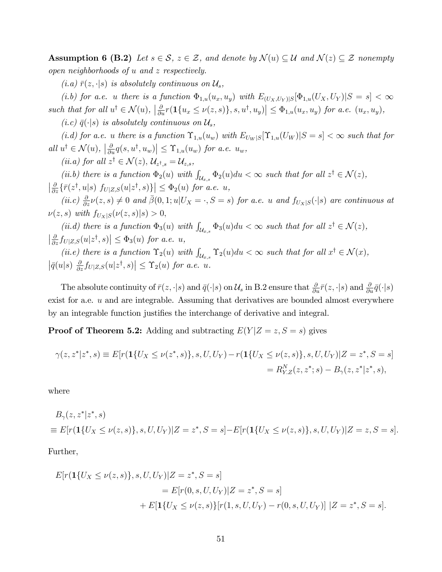**Assumption 6 (B.2)** Let  $s \in \mathcal{S}$ ,  $z \in \mathcal{Z}$ , and denote by  $\mathcal{N}(u) \subseteq \mathcal{U}$  and  $\mathcal{N}(z) \subseteq \mathcal{Z}$  nonempty open neighborhoods of u and z respectively.

 $(i.a) \bar{r}(z, \cdot | s)$  is absolutely continuous on  $\mathcal{U}_s$ ,

(i.b) for a.e. u there is a function  $\Phi_{1,u}(u_x, u_y)$  with  $E_{(U_X, U_Y)|S}[\Phi_{1,u}(U_X, U_Y)|S = s] < \infty$ such that for all  $u^{\dagger} \in \mathcal{N}(u)$ ,  $\left| \frac{\partial}{\partial u} r(\mathbf{1}\{u_x \le \nu(z,s)\}, s, u^{\dagger}, u_y) \right| \le \Phi_{1,u}(u_x, u_y)$  for a.e.  $(u_x, u_y)$ ,

(i.c)  $\bar{q}(\cdot|s)$  is absolutely continuous on  $\mathcal{U}_s$ ,

(i.d) for a.e. u there is a function  $\Upsilon_{1,u}(u_w)$  with  $E_{U_W|S}[\Upsilon_{1,u}(U_W)|S=s]<\infty$  such that for all  $u^{\dagger} \in \mathcal{N}(u)$ ,  $\left| \frac{\partial}{\partial u} q(s, u^{\dagger}, u_w) \right| \leq \Upsilon_{1,u}(u_w)$  for a.e.  $u_w$ ,

(*ii.a*) for all  $z^{\dagger} \in \mathcal{N}(z)$ ,  $\mathcal{U}_{z^{\dagger},s} = \mathcal{U}_{z,s}$ ,

(ii.b) there is a function  $\Phi_2(u)$  with  $\int_{\mathcal{U}_{x,s}} \Phi_2(u) du < \infty$  such that for all  $z^{\dagger} \in \mathcal{N}(z)$ ,  $\left|\frac{\partial}{\partial z}\{\bar{r}(z^\dagger,u|s)\ f_{U|Z,S}(u|z^\dagger,s)\}\right|\leq \Phi_2(u) \ for \ a.e. \ u,$ 

(ii.c)  $\frac{\partial}{\partial z}\nu(z,s) \neq 0$  and  $\bar{\beta}(0,1;u|U_X = \cdot, S = s)$  for a.e. u and  $f_{U_X|S}(\cdot|s)$  are continuous at  $\nu(z, s)$  with  $f_{U_X|S}(\nu(z, s)|s) > 0,$ 

(ii.d) there is a function  $\Phi_3(u)$  with  $\int_{\mathcal{U}_{x,s}} \Phi_3(u) du < \infty$  such that for all  $z^{\dagger} \in \mathcal{N}(z)$ ,  $\left|\frac{\partial}{\partial z} f_{U|Z,S}(u|z^{\dagger},s)\right| \leq \Phi_{3}(u)$  for a.e. u,

(ii.e) there is a function  $\Upsilon_2(u)$  with  $\int_{\mathcal{U}_{x,s}} \Upsilon_2(u) du < \infty$  such that for all  $x^{\dagger} \in \mathcal{N}(x)$ ,  $\left|\bar{q}(u|s) \frac{\partial}{\partial z} f_{U|Z,S}(u|z^{\dagger},s)\right| \leq \Upsilon_2(u)$  for a.e. u.

The absolute continuity of  $\bar{r}(z, \cdot | s)$  and  $\bar{q}(\cdot | s)$  on  $\mathcal{U}_s$  in B.2 ensure that  $\frac{\partial}{\partial u} \bar{r}(z, \cdot | s)$  and  $\frac{\partial}{\partial u} \bar{q}(\cdot | s)$ exist for a.e. u and are integrable. Assuming that derivatives are bounded almost everywhere by an integrable function justifies the interchange of derivative and integral.

**Proof of Theorem 5.2:** Adding and subtracting  $E(Y|Z=z, S=s)$  gives

$$
\gamma(z, z^*|z^*, s) \equiv E[r(\mathbf{1}\{U_X \le \nu(z^*, s)\}, s, U, U_Y) - r(\mathbf{1}\{U_X \le \nu(z, s)\}, s, U, U_Y)|Z = z^*, S = s]
$$
  
=  $R_{Y,Z}^N(z, z^*; s) - B_\gamma(z, z^*|z^*, s),$ 

where

$$
B_{\gamma}(z, z^*|z^*, s)
$$
  
\n
$$
\equiv E[r(\mathbf{1}\{U_X \le \nu(z, s)\}, s, U, U_Y)|Z = z^*, S = s] - E[r(\mathbf{1}\{U_X \le \nu(z, s)\}, s, U, U_Y)|Z = z, S = s].
$$

Further,

$$
E[r(\mathbf{1}\{U_X \le \nu(z,s)\}, s, U, U_Y)|Z = z^*, S = s]
$$
  
=  $E[r(0, s, U, U_Y)|Z = z^*, S = s]$   
+  $E[\mathbf{1}\{U_X \le \nu(z,s)\}[r(1, s, U, U_Y) - r(0, s, U, U_Y)] |Z = z^*, S = s].$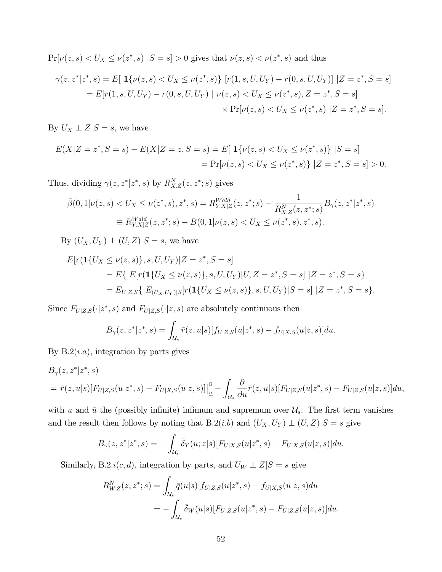$Pr[\nu(z, s) < U_X \le \nu(z^*, s) | S = s] > 0$  gives that  $\nu(z, s) < \nu(z^*, s)$  and thus

$$
\gamma(z, z^*|z^*, s) = E[ \mathbf{1}\{\nu(z, s) < U_X \le \nu(z^*, s)\} \ [r(1, s, U, U_Y) - r(0, s, U, U_Y)] \ |Z = z^*, S = s]
$$
\n
$$
= E[r(1, s, U, U_Y) - r(0, s, U, U_Y) \ | \ \nu(z, s) < U_X \le \nu(z^*, s), Z = z^*, S = s]
$$
\n
$$
\times \Pr[\nu(z, s) < U_X \le \nu(z^*, s) \ |Z = z^*, S = s].
$$

By  $U_X \perp Z \mid S = s$ , we have

$$
E(X|Z = z^*, S = s) - E(X|Z = z, S = s) = E[\mathbf{1}\{\nu(z, s) < U_X \le \nu(z^*, s)\} | S = s]
$$
\n
$$
= \Pr[\nu(z, s) < U_X \le \nu(z^*, s)\} | Z = z^*, S = s] > 0.
$$

Thus, dividing  $\gamma(z, z^*|z^*, s)$  by  $R_{X,Z}^N(z, z^*; s)$  gives

$$
\bar{\beta}(0,1|\nu(z,s) < U_X \le \nu(z^*,s), z^*, s) = R_{Y.X|Z}^{Wald}(z,z^*;s) - \frac{1}{R_{X.Z}^N(z,z^*;s)} B_\gamma(z,z^*|z^*,s)
$$
\n
$$
\equiv R_{Y.X|Z}^{Wald}(z,z^*;s) - B(0,1|\nu(z,s) < U_X \le \nu(z^*,s), z^*, s).
$$

By  $(U_X, U_Y) \perp (U, Z)|S = s$ , we have

$$
E[r(\mathbf{1}\{U_X \le \nu(z,s)\}, s, U, U_Y)|Z = z^*, S = s]
$$
  
=  $E\{E[r(\mathbf{1}\{U_X \le \nu(z,s)\}, s, U, U_Y)|U, Z = z^*, S = s]|Z = z^*, S = s\}$   
=  $E_{U|Z,S}\{E_{(U_X, U_Y)|S}[r(\mathbf{1}\{U_X \le \nu(z,s)\}, s, U, U_Y)|S = s]|Z = z^*, S = s\}.$ 

Since  $F_{U|Z,S}(\cdot|z^*,s)$  and  $F_{U|Z,S}(\cdot|z,s)$  are absolutely continuous then

$$
B_{\gamma}(z, z^*|z^*, s) = \int_{\mathcal{U}_s} \bar{r}(z, u|s) [f_{U|Z,S}(u|z^*, s) - f_{U|X,S}(u|z, s)] du.
$$

By  $B.2(i.a)$ , integration by parts gives

$$
B_{\gamma}(z, z^*|z^*, s) = \bar{r}(z, u|s)[F_{U|Z,S}(u|z^*, s) - F_{U|X,S}(u|z, s)]\Big|_{u}^{u} - \int_{\mathcal{U}_s} \frac{\partial}{\partial u} \bar{r}(z, u|s)[F_{U|Z,S}(u|z^*, s) - F_{U|Z,S}(u|z, s)]du,
$$

with  $\underline{u}$  and  $\overline{u}$  the (possibly infinite) infimum and supremum over  $\mathcal{U}_s$ . The first term vanishes and the result then follows by noting that B.2(*i.b*) and  $(U_X, U_Y) \perp (U, Z)|S = s$  give

$$
B_{\gamma}(z, z^*|z^*, s) = -\int_{\mathcal{U}_s} \bar{\delta}_Y(u; z|s) [F_{U|X,S}(u|z^*, s) - F_{U|X,S}(u|z, s)] du.
$$

Similarly, B.2. $i(c, d)$ , integration by parts, and  $U_W \perp Z|S = s$  give

$$
R_{W.Z}^N(z, z^*; s) = \int_{\mathcal{U}_s} \bar{q}(u|s) [f_{U|Z,S}(u|z^*, s) - f_{U|X,S}(u|z, s) du
$$
  
= 
$$
- \int_{\mathcal{U}_s} \bar{\delta}_W(u|s) [F_{U|Z,S}(u|z^*, s) - F_{U|Z,S}(u|z, s)] du.
$$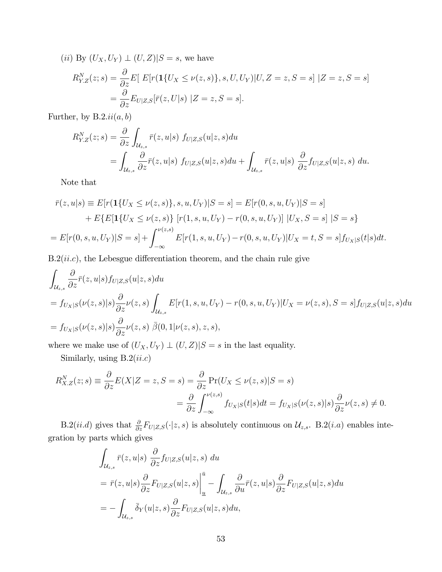(*ii*) By  $(U_X, U_Y) \perp (U, Z)|S = s$ , we have

$$
R_{Y,Z}^N(z;s) = \frac{\partial}{\partial z} E\left[ E[r(\mathbf{1}\{U_X \le \nu(z,s)\}, s, U, U_Y) | U, Z = z, S = s] \ | Z = z, S = s \right]
$$

$$
= \frac{\partial}{\partial z} E_{U|Z,S}[\bar{r}(z, U|s) | Z = z, S = s].
$$

Further, by  $B.2.ii(a, b)$ 

$$
R_{Y,Z}^N(z;s) = \frac{\partial}{\partial z} \int_{\mathcal{U}_{z,s}} \bar{r}(z,u|s) f_{U|Z,S}(u|z,s) du
$$
  
= 
$$
\int_{\mathcal{U}_{z,s}} \frac{\partial}{\partial z} \bar{r}(z,u|s) f_{U|Z,S}(u|z,s) du + \int_{\mathcal{U}_{z,s}} \bar{r}(z,u|s) \frac{\partial}{\partial z} f_{U|Z,S}(u|z,s) du.
$$

Note that

$$
\bar{r}(z, u|s) \equiv E[r(\mathbf{1}\{U_X \le \nu(z, s)\}, s, u, U_Y)|S = s] = E[r(0, s, u, U_Y)|S = s]
$$
  
+ 
$$
E\{E[\mathbf{1}\{U_X \le \nu(z, s)\}\ [r(1, s, u, U_Y) - r(0, s, u, U_Y)]\ |U_X, S = s]\ |S = s\}
$$
  
= 
$$
E[r(0, s, u, U_Y)|S = s] + \int_{-\infty}^{\nu(z, s)} E[r(1, s, u, U_Y) - r(0, s, u, U_Y)]U_X = t, S = s]f_{U_X|S}(t|s)dt.
$$

 $B.2(ii.c)$ , the Lebesgue differentiation theorem, and the chain rule give

$$
\int_{\mathcal{U}_{z,s}} \frac{\partial}{\partial z} \bar{r}(z, u|s) f_{U|Z,S}(u|z, s) du
$$
\n
$$
= f_{U_X|S}(\nu(z, s)|s) \frac{\partial}{\partial z} \nu(z, s) \int_{\mathcal{U}_{z,s}} E[r(1, s, u, U_Y) - r(0, s, u, U_Y)] U_X = \nu(z, s), S = s] f_{U|Z,S}(u|z, s) du
$$
\n
$$
= f_{U_X|S}(\nu(z, s)|s) \frac{\partial}{\partial z} \nu(z, s) \bar{\beta}(0, 1 | \nu(z, s), z, s),
$$

where we make use of  $(U_X, U_Y) \perp (U, Z)|S = s$  in the last equality.

Similarly, using  $\mathrm{B.2}(ii.c)$ 

$$
R_{X,Z}^N(z;s) \equiv \frac{\partial}{\partial z} E(X|Z=z, S=s) = \frac{\partial}{\partial z} \Pr(U_X \le \nu(z,s)|S=s)
$$
  
= 
$$
\frac{\partial}{\partial z} \int_{-\infty}^{\nu(z,s)} f_{U_X|S}(t|s)dt = f_{U_X|S}(\nu(z,s)|s) \frac{\partial}{\partial z} \nu(z,s) \ne 0.
$$

B.2(*ii.d*) gives that  $\frac{\partial}{\partial z}F_{U|Z,S}(\cdot|z,s)$  is absolutely continuous on  $\mathcal{U}_{z,s}$ . B.2(*i.a*) enables integration by parts which gives

$$
\int_{\mathcal{U}_{z,s}} \bar{r}(z, u|s) \frac{\partial}{\partial z} f_{U|Z,S}(u|z, s) du
$$
\n
$$
= \bar{r}(z, u|s) \frac{\partial}{\partial z} F_{U|Z,S}(u|z, s) \Big|_{\underline{u}}^{\underline{\bar{u}}} - \int_{\mathcal{U}_{z,s}} \frac{\partial}{\partial u} \bar{r}(z, u|s) \frac{\partial}{\partial z} F_{U|Z,S}(u|z, s) du
$$
\n
$$
= - \int_{\mathcal{U}_{z,s}} \bar{\delta}_Y(u|z, s) \frac{\partial}{\partial z} F_{U|Z,S}(u|z, s) du,
$$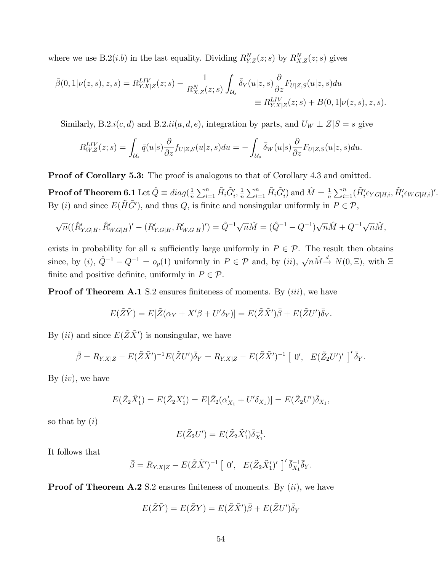where we use B.2(*i.b*) in the last equality. Dividing  $R_{Y,Z}^N(z; s)$  by  $R_{X,Z}^N(z; s)$  gives

$$
\bar{\beta}(0,1|\nu(z,s),z,s) = R_{Y.X|Z}^{LIV}(z;s) - \frac{1}{R_{X.Z}^N(z;s)} \int_{\mathcal{U}_s} \bar{\delta}_Y(u|z,s) \frac{\partial}{\partial z} F_{U|Z,S}(u|z,s) du \n\equiv R_{Y.X|Z}^{LIV}(z;s) + B(0,1|\nu(z,s),z,s).
$$

Similarly, B.2.i(c, d) and B.2.ii(a, d, e), integration by parts, and  $U_W \perp Z|S = s$  give

$$
R_{W.Z}^{LIV}(z;s) = \int_{\mathcal{U}_s} \bar{q}(u|s) \frac{\partial}{\partial z} f_{U|Z,S}(u|z,s) du = -\int_{\mathcal{U}_s} \bar{\delta}_W(u|s) \frac{\partial}{\partial z} F_{U|Z,S}(u|z,s) du.
$$

**Proof of Corollary 5.3:** The proof is analogous to that of Corollary 4.3 and omitted.

 ${\bf Proof of Theorem 6.1}$  Let  $\hat{Q}\equiv diag(\frac{1}{n}$  $\frac{1}{n}\sum_{i=1}^n \tilde{H}_i \tilde{G}'_i, \frac{1}{n}$  $\frac{1}{n}\sum_{i=1}^n \tilde{H}_i \tilde{G}'_i$  and  $\hat{M} = \frac{1}{n}$  $\frac{1}{n}\sum_{i=1}^n(\tilde{H}'_i\epsilon_{Y.G|H,i},\tilde{H}'_i\epsilon_{W.G|H,i})'.$ By (*i*) and since  $E(\tilde{H}\tilde{G}')$ , and thus  $Q$ , is finite and nonsingular uniformly in  $P \in \mathcal{P}$ ,

$$
\sqrt{n}((\hat{R}_{Y,G|H}',\hat{R}_{W,G|H}')' - (R_{Y,G|H}',R_{W,G|H}')') = \hat{Q}^{-1}\sqrt{n}\hat{M} = (\hat{Q}^{-1} - Q^{-1})\sqrt{n}\hat{M} + Q^{-1}\sqrt{n}\hat{M},
$$

exists in probability for all n sufficiently large uniformly in  $P \in \mathcal{P}$ . The result then obtains since, by (*i*),  $\hat{Q}^{-1} - Q^{-1} = o_p(1)$  uniformly in  $P \in \mathcal{P}$  and, by (*ii*),  $\sqrt{n}\hat{M} \stackrel{d}{\rightarrow} N(0,\Xi)$ , with  $\Xi$ finite and positive definite, uniformly in  $P \in \mathcal{P}$ .

**Proof of Theorem A.1** S.2 ensures finiteness of moments. By  $(iii)$ , we have

$$
E(\tilde{Z}\tilde{Y}) = E[\tilde{Z}(\alpha_Y + X'\beta + U'\delta_Y)] = E(\tilde{Z}\tilde{X}')\bar{\beta} + E(\tilde{Z}U')\bar{\delta}_Y.
$$

By  $(ii)$  and since  $E(\tilde{Z}\tilde{X}')$  is nonsingular, we have

$$
\bar{\beta} = R_{Y.X|Z} - E(\tilde{Z}\tilde{X}')^{-1}E(\tilde{Z}U')\bar{\delta}_Y = R_{Y.X|Z} - E(\tilde{Z}\tilde{X}')^{-1} \left[ 0', E(\tilde{Z}_2U')' \right]'\bar{\delta}_Y.
$$

By  $(iv)$ , we have

$$
E(\tilde{Z}_2 \tilde{X}'_1) = E(\tilde{Z}_2 X'_1) = E[\tilde{Z}_2(\alpha'_{X_1} + U'\delta_{X_1})] = E(\tilde{Z}_2 U')\overline{\delta}_{X_1},
$$

so that by  $(i)$ 

$$
E(\tilde{Z}_2 U') = E(\tilde{Z}_2 \tilde{X}'_1) \bar{\delta}_{X_1}^{-1}.
$$

It follows that

$$
\bar{\beta} = R_{Y.X|Z} - E(\tilde{Z}\tilde{X}')^{-1} \left[ 0', E(\tilde{Z}_2\tilde{X}'_1)'\right]'\bar{\delta}_{X_1}^{-1}\bar{\delta}_Y.
$$

**Proof of Theorem A.2** S.2 ensures finiteness of moments. By  $(ii)$ , we have

$$
E(\tilde{Z}\tilde{Y})=E(\tilde{Z}Y)=E(\tilde{Z}\tilde{X}')\bar{\beta}+E(\tilde{Z}U')\bar{\delta}_Y
$$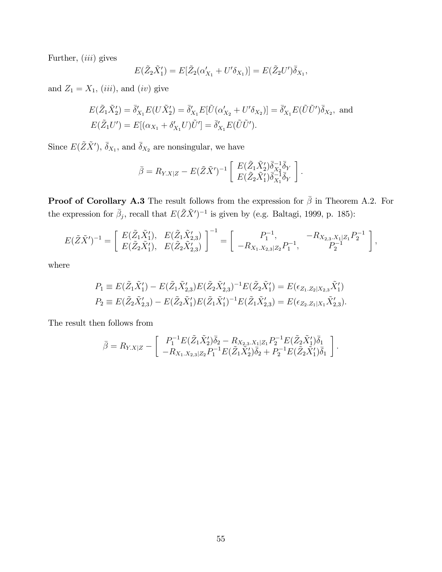Further,  $(iii)$  gives

$$
E(\tilde{Z}_2\tilde{X}_1') = E[\tilde{Z}_2(\alpha'_{X_1} + U'\delta_{X_1})] = E(\tilde{Z}_2U')\overline{\delta}_{X_1},
$$

and  $Z_1 = X_1$ , (iii), and (iv) give

$$
E(\tilde{Z}_1 \tilde{X}_2') = \bar{\delta}_{X_1}' E(U \tilde{X}_2') = \bar{\delta}_{X_1}' E[\tilde{U}(\alpha_{X_2}' + U' \delta_{X_2})] = \bar{\delta}_{X_1}' E(\tilde{U} \tilde{U}') \bar{\delta}_{X_2}, \text{ and}
$$
  

$$
E(\tilde{Z}_1 U') = E[(\alpha_{X_1} + \delta_{X_1}' U) \tilde{U}'] = \bar{\delta}_{X_1}' E(\tilde{U} \tilde{U}').
$$

Since  $E(\tilde{Z}\tilde{X}')$ ,  $\bar{\delta}_{X_1}$ , and  $\bar{\delta}_{X_2}$  are nonsingular, we have

$$
\bar{\beta} = R_{Y.X|Z} - E(\tilde{Z}\tilde{X}')^{-1} \left[ \begin{array}{c} E(\tilde{Z}_1 \tilde{X}_2') \bar{\delta}_{X_2}^{-1} \bar{\delta}_Y \\ E(\tilde{Z}_2 \tilde{X}_1') \bar{\delta}_{X_1}^{-1} \bar{\delta}_Y \end{array} \right].
$$

**Proof of Corollary A.3** The result follows from the expression for  $\bar{\beta}$  in Theorem A.2. For the expression for  $\bar{\beta}_j$ , recall that  $E(\tilde{Z}\tilde{X}')^{-1}$  is given by (e.g. Baltagi, 1999, p. 185):

$$
E(\tilde{Z}\tilde{X}')^{-1} = \begin{bmatrix} E(\tilde{Z}_1\tilde{X}'_1), & E(\tilde{Z}_1\tilde{X}'_{2,3}) \\ E(\tilde{Z}_2\tilde{X}'_1), & E(\tilde{Z}_2\tilde{X}'_{2,3}) \end{bmatrix}^{-1} = \begin{bmatrix} P_1^{-1}, & -R_{X_{2,3},X_1|Z_1}P_2^{-1} \\ -R_{X_{1},X_{2,3}|Z_2}P_1^{-1}, & P_2^{-1} \end{bmatrix},
$$

where

$$
P_1 \equiv E(\tilde{Z}_1 \tilde{X}_1') - E(\tilde{Z}_1 \tilde{X}_{2,3}') E(\tilde{Z}_2 \tilde{X}_{2,3}')^{-1} E(\tilde{Z}_2 \tilde{X}_1') = E(\epsilon_{Z_1, Z_2 | X_2,3} \tilde{X}_1')
$$
  
\n
$$
P_2 \equiv E(\tilde{Z}_2 \tilde{X}_{2,3}') - E(\tilde{Z}_2 \tilde{X}_1') E(\tilde{Z}_1 \tilde{X}_1')^{-1} E(\tilde{Z}_1 \tilde{X}_{2,3}') = E(\epsilon_{Z_2, Z_1 | X_1} \tilde{X}_{2,3}').
$$

The result then follows from

$$
\bar{\beta} = R_{Y.X|Z} - \begin{bmatrix} P_1^{-1}E(\tilde{Z}_1 \tilde{X}_2')\bar{\delta}_2 - R_{X_{2,3}.X_1|Z_1}P_2^{-1}E(\tilde{Z}_2 \tilde{X}_1')\bar{\delta}_1 \\ -R_{X_1.X_{2,3}|Z_2}P_1^{-1}E(\tilde{Z}_1 \tilde{X}_2')\bar{\delta}_2 + P_2^{-1}E(\tilde{Z}_2 \tilde{X}_1')\bar{\delta}_1 \end{bmatrix}.
$$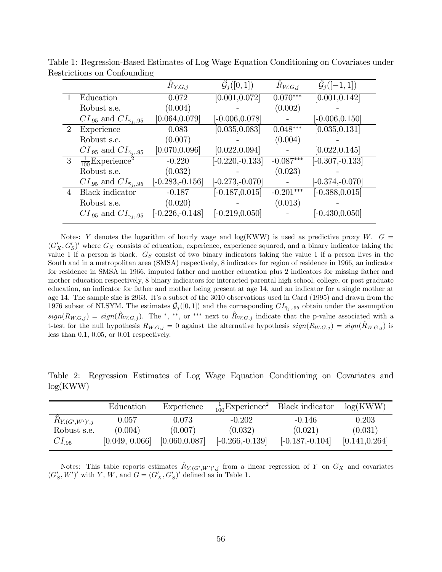|                |                                           | $R_{Y.G,j}$        | $\hat{\mathcal{G}}_j([0,1])$ | $R_{W.G,j}$ | $\hat{\mathcal{G}}_i([-1,1])$ |
|----------------|-------------------------------------------|--------------------|------------------------------|-------------|-------------------------------|
|                | Education                                 | 0.072              | [0.001, 0.072]               | $0.070***$  | [0.001, 0.142]                |
|                | Robust s.e.                               | (0.004)            |                              | (0.002)     |                               |
|                | $CI_{.95}$ and $CI_{\bar{\gamma}_i, .95}$ | [0.064, 0.079]     | $[-0.006, 0.078]$            |             | $[-0.006, 0.150]$             |
| $\overline{2}$ | Experience                                | 0.083              | [0.035, 0.083]               | $0.048***$  | [0.035, 0.131]                |
|                | Robust s.e.                               | (0.007)            |                              | (0.004)     |                               |
|                | $CI_{.95}$ and $CI_{\bar{\gamma}_i, .95}$ | [0.070, 0.096]     | [0.022, 0.094]               |             | [0.022, 0.145]                |
| 3 <sup>2</sup> | $\frac{1}{100}$ Experience <sup>2</sup>   | $-0.220$           | $[-0.220,-0.133]$            | $-0.087***$ | $[-0.307, -0.133]$            |
|                | Robust s.e.                               | (0.032)            |                              | (0.023)     |                               |
|                | $CI_{.95}$ and $CI_{\bar{\gamma}_i, .95}$ | $[-0.283, -0.156]$ | $[-0.273, -0.070]$           |             | $[-0.374,-0.070]$             |
| $\overline{4}$ | Black indicator                           | $-0.187$           | $[-0.187, 0.015]$            | $-0.201***$ | $[-0.388, 0.015]$             |
|                | Robust s.e.                               | (0.020)            |                              | (0.013)     |                               |
|                | $CI_{.95}$ and $CI_{\bar{\gamma}_i, .95}$ | $[-0.226, -0.148]$ | $[-0.219, 0.050]$            |             | $[-0.430, 0.050]$             |

Table 1: Regression-Based Estimates of Log Wage Equation Conditioning on Covariates under Restrictions on Confounding

Notes: Y denotes the logarithm of hourly wage and log(KWW) is used as predictive proxy W.  $G =$  $(G'_X, G'_S)'$  where  $G_X$  consists of education, experience, experience squared, and a binary indicator taking the value 1 if a person is black.  $G<sub>S</sub>$  consist of two binary indicators taking the value 1 if a person lives in the South and in a metropolitan area (SMSA) respectively, 8 indicators for region of residence in 1966, an indicator for residence in SMSA in 1966, imputed father and mother education plus 2 indicators for missing father and mother education respectively, 8 binary indicators for interacted parental high school, college, or post graduate education, an indicator for father and mother being present at age 14, and an indicator for a single mother at age 14. The sample size is 2963. It's a subset of the 3010 observations used in Card (1995) and drawn from the 1976 subset of NLSYM. The estimates  $\hat{\mathcal{G}}_j([0,1])$  and the corresponding  $CI_{\tilde{\gamma}_j,95}$  obtain under the assumption  $sign(R_{W,G,j}) = sign(\hat{R}_{W,G,j})$ . The \*, \*\*, or \*\*\* next to  $\hat{R}_{W,G,j}$  indicate that the p-value associated with a t-test for the null hypothesis  $R_{W,G,j} = 0$  against the alternative hypothesis  $sign(R_{W,G,j}) = sign(R_{W,G,j} )$  is less than 0.1, 0.05, or 0.01 respectively.

Table 2: Regression Estimates of Log Wage Equation Conditioning on Covariates and log(KWW)

|                    | Education      | Experience     |                    | $\frac{1}{100}$ Experience <sup>2</sup> Black indicator | log(KWW)       |
|--------------------|----------------|----------------|--------------------|---------------------------------------------------------|----------------|
| $R_{Y,(G',W')',j}$ | 0.057          | 0.073          | $-0.202$           | $-0.146$                                                | 0.203          |
| Robust s.e.        | (0.004)        | (0.007)        | (0.032)            | (0.021)                                                 | (0.031)        |
| $CI_{.95}$         | [0.049, 0.066] | [0.060, 0.087] | $[-0.266, -0.139]$ | $[-0.187, -0.104]$                                      | [0.141, 0.264] |

Notes: This table reports estimates  $\hat{R}_{Y,(G',W')',j}$  from a linear regression of Y on  $G_X$  and covariates  $(G'_{\mathcal{S}}, W')'$  with Y, W, and  $G = (G'_{X}, G'_{\mathcal{S}})'$  defined as in Table 1.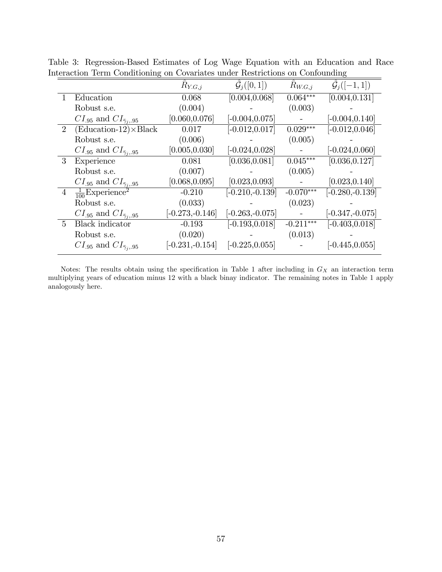|                |                                           | $R_{Y,G,j}$        | $\mathcal{G}_j([0,1])$ | $R_{W.G,j}$ | $G_i([-1,1])$      |
|----------------|-------------------------------------------|--------------------|------------------------|-------------|--------------------|
|                | Education                                 | 0.068              | [0.004, 0.068]         | $0.064***$  | [0.004, 0.131]     |
|                | Robust s.e.                               | (0.004)            |                        | (0.003)     |                    |
|                | $CI_{.95}$ and $CI_{\bar{\gamma}_i, .95}$ | [0.060, 0.076]     | $[-0.004, 0.075]$      |             | $[-0.004, 0.140]$  |
| $\overline{2}$ | $(Education-12) \times Black$             | 0.017              | $[-0.012, 0.017]$      | $0.029***$  | $[-0.012, 0.046]$  |
|                | Robust s.e.                               | (0.006)            |                        | (0.005)     |                    |
|                | $CI_{.95}$ and $CI_{\bar{\gamma}_i, .95}$ | [0.005, 0.030]     | $[-0.024, 0.028]$      |             | $[-0.024, 0.060]$  |
| 3              | Experience                                | 0.081              | [0.036, 0.081]         | $0.045***$  | [0.036, 0.127]     |
|                | Robust s.e.                               | (0.007)            |                        | (0.005)     |                    |
|                | $CI_{.95}$ and $CI_{\bar{\gamma}_i, .95}$ | [0.068, 0.095]     | [0.023, 0.093]         |             | [0.023, 0.140]     |
| $\overline{4}$ | $\frac{1}{100}$ Experience <sup>2</sup>   | $-0.210$           | $[-0.210,-0.139]$      | $-0.070***$ | $[-0.280, -0.139]$ |
|                | Robust s.e.                               | (0.033)            |                        | (0.023)     |                    |
|                | $CI_{.95}$ and $CI_{\bar{\gamma}_i, .95}$ | $[-0.273, -0.146]$ | $[-0.263, -0.075]$     |             | $[-0.347,-0.075]$  |
| $\overline{5}$ | <b>Black</b> indicator                    | $-0.193$           | $[-0.193, 0.018]$      | $-0.211***$ | $[-0.403, 0.018]$  |
|                | Robust s.e.                               | (0.020)            |                        | (0.013)     |                    |
|                | $CI_{.95}$ and $CI_{\bar{\gamma}_i, .95}$ | $[-0.231, -0.154]$ | $[-0.225, 0.055]$      |             | $[-0.445, 0.055]$  |
|                |                                           |                    |                        |             |                    |

Table 3: Regression-Based Estimates of Log Wage Equation with an Education and Race Interaction Term Conditioning on Covariates under Restrictions on Confounding

Notes: The results obtain using the specification in Table 1 after including in  $G_X$  an interaction term multiplying years of education minus 12 with a black binay indicator. The remaining notes in Table 1 apply analogously here.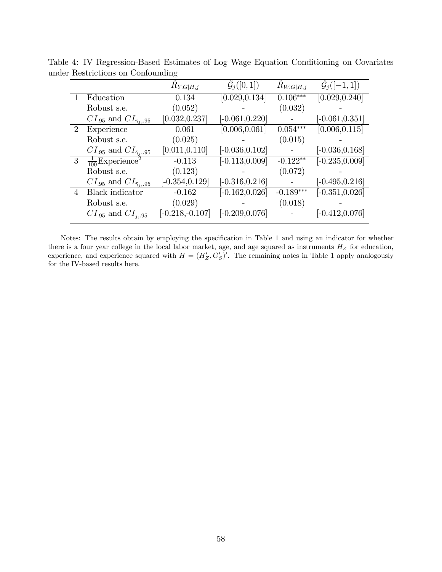|                |                                           | $R_{Y.G H,j}$     | $\mathcal{G}_j([0,1])$ | $R_{W.G H,j}$ | $\mathcal{G}_i([-1,1])$ |
|----------------|-------------------------------------------|-------------------|------------------------|---------------|-------------------------|
|                | Education                                 | 0.134             | [0.029, 0.134]         | $0.106***$    | [0.029, 0.240]          |
|                | Robust s.e.                               | (0.052)           |                        | (0.032)       |                         |
|                | $CI_{.95}$ and $CI_{\bar{\gamma}_i, .95}$ | [0.032, 0.237]    | $[-0.061, 0.220]$      |               | $[-0.061, 0.351]$       |
| $\overline{2}$ | Experience                                | 0.061             | [0.006, 0.061]         | $0.054***$    | [0.006, 0.115]          |
|                | Robust s.e.                               | (0.025)           |                        | (0.015)       |                         |
|                | $CI_{.95}$ and $CI_{\bar{\gamma}_i, .95}$ | [0.011, 0.110]    | $[-0.036, 0.102]$      |               | $[-0.036, 0.168]$       |
| 3 <sup>1</sup> | $\frac{1}{100}$ Experience <sup>2</sup>   | $-0.113$          | $[-0.113, 0.009]$      | $-0.122**$    | $[-0.235, 0.009]$       |
|                | Robust s.e.                               | (0.123)           |                        | (0.072)       |                         |
|                | $CI_{.95}$ and $CI_{\bar{\gamma}_i, .95}$ | $[-0.354, 0.129]$ | $[-0.316, 0.216]$      |               | $[-0.495, 0.216]$       |
| 4              | Black indicator                           | $-0.162$          | $[-0.162, 0.026]$      | $-0.189***$   | $[-0.351, 0.026]$       |
|                | Robust s.e.                               | (0.029)           |                        | (0.018)       |                         |
|                | $CI_{.95}$ and $CI_{i,.95}$               | $[-0.218,-0.107]$ | $[-0.209, 0.076]$      |               | $[-0.412, 0.076]$       |

Table 4: IV Regression-Based Estimates of Log Wage Equation Conditioning on Covariates under Restrictions on Confounding

Notes: The results obtain by employing the specification in Table 1 and using an indicator for whether there is a four year college in the local labor market, age, and age squared as instruments  $H_Z$  for education, experience, and experience squared with  $H = (H'_Z, G'_S)'$ . The remaining notes in Table 1 apply analogously for the IV-based results here.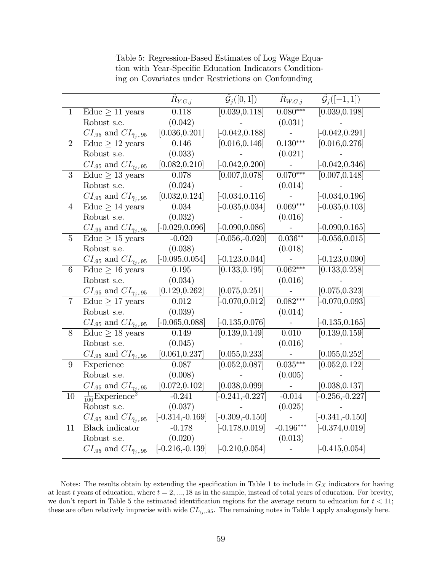|                 |                                                | $R_{Y,G,j}$        | $\hat{\mathcal{G}}_j([0,1])$ | $R_{W.G,j}$ | $\hat{\mathcal{G}}_j([-1,1])$ |
|-----------------|------------------------------------------------|--------------------|------------------------------|-------------|-------------------------------|
| $\mathbf{1}$    | Educ $\geq 11$ years                           | 0.118              | [0.039, 0.118]               | $0.080***$  | [0.039, 0.198]                |
|                 | Robust s.e.                                    | (0.042)            |                              | (0.031)     |                               |
|                 | $CI_{.95}$ and $CI_{\bar{\gamma}_i, .95}$      | [0.036, 0.201]     | $[-0.042, 0.188]$            |             | $[-0.042, 0.291]$             |
| $\overline{2}$  | Educ $\geq$ 12 years                           | 0.146              | [0.016, 0.146]               | $0.130***$  | [0.016, 0.276]                |
|                 | Robust s.e.                                    | (0.033)            |                              | (0.021)     |                               |
|                 | $CI_{.95}$ and $CI_{\bar{\gamma}_i, .95}$      | [0.082, 0.210]     | $[-0.042, 0.200]$            |             | $[-0.042, 0.346]$             |
| 3               | Educ $\geq 13$ years                           | 0.078              | [0.007, 0.078]               | $0.070***$  | [0.007, 0.148]                |
|                 | Robust s.e.                                    | (0.024)            |                              | (0.014)     |                               |
|                 | $CI_{.95}$ and $CI_{\bar{\gamma}_i, .95}$      | [0.032, 0.124]     | $[-0.034, 0.116]$            |             | $[-0.034, 0.196]$             |
| $\overline{4}$  | $\overline{\text{Educ}} \geq 14 \text{ years}$ | 0.034              | $[-0.035, 0.034]$            | $0.069***$  | $[-0.035, 0.103]$             |
|                 | Robust s.e.                                    | (0.032)            |                              | (0.016)     |                               |
|                 | $CI_{.95}$ and $CI_{\bar{\gamma}_i, .95}$      | $[-0.029, 0.096]$  | $[-0.090, 0.086]$            |             | $[-0.090, 0.165]$             |
| $\overline{5}$  | Educ $\geq 15$ years                           | $-0.020$           | $[-0.056,-0.020]$            | $0.036**$   | $[-0.056, 0.015]$             |
|                 | Robust s.e.                                    | (0.038)            |                              | (0.018)     |                               |
|                 | $CI_{.95}$ and $CI_{\bar{\gamma}_i, .95}$      | $[-0.095, 0.054]$  | $[-0.123, 0.044]$            |             | $[-0.123, 0.090]$             |
| 6               | Educ $\geq 16$ years                           | 0.195              | [0.133, 0.195]               | $0.062***$  | [0.133, 0.258]                |
|                 | Robust s.e.                                    | (0.034)            |                              | (0.016)     |                               |
|                 | $CI_{.95}$ and $CI_{\bar{\gamma}_i, .95}$      | [0.129, 0.262]     | [0.075, 0.251]               |             | [0.075, 0.323]                |
| $\overline{7}$  | Educ $\geq$ 17 years                           | 0.012              | $[-0.070, 0.012]$            | $0.082***$  | $[-0.070, 0.093]$             |
|                 | Robust s.e.                                    | (0.039)            |                              | (0.014)     |                               |
|                 | $CI_{.95}$ and $CI_{\bar{\gamma}_i, .95}$      | $[-0.065, 0.088]$  | $[-0.135, 0.076]$            |             | $[-0.135, 0.165]$             |
| 8               | Educ $\geq$ 18 years                           | 0.149              | $\overline{[0.139, 0.149]}$  | 0.010       | $\overline{[0.139, 0.159]}$   |
|                 | Robust s.e.                                    | (0.045)            |                              | (0.016)     |                               |
|                 | $CI_{.95}$ and $CI_{\bar{\gamma}_i, .95}$      | [0.061, 0.237]     | [0.055, 0.233]               |             | [0.055, 0.252]                |
| $9\phantom{.0}$ | Experience                                     | 0.087              | [0.052, 0.087]               | $0.035***$  | [0.052, 0.122]                |
|                 | Robust s.e.                                    | (0.008)            |                              | (0.005)     |                               |
|                 | $CI_{.95}$ and $CI_{\bar{\gamma}_i, .95}$      | [0.072, 0.102]     | [0.038, 0.099]               |             | [0.038, 0.137]                |
| 10              | $\frac{1}{100}$ Experience <sup>2</sup>        | $-0.241$           | $[-0.241, -0.227]$           | $-0.014$    | $[-0.256, -0.227]$            |
|                 | Robust s.e.                                    | (0.037)            |                              | (0.025)     |                               |
|                 | $CI_{.95}$ and $CI_{\bar{\gamma}_i, .95}$      | $[-0.314,-0.169]$  | $[-0.309,-0.150]$            |             | $[-0.341, -0.150]$            |
| 11              | <b>Black</b> indicator                         | $-0.178$           | $[-0.178, 0.019]$            | $-0.196***$ | $[-0.374, 0.019]$             |
|                 | Robust s.e.                                    | (0.020)            |                              | (0.013)     |                               |
|                 | $CI_{.95}$ and $CI_{\bar{\gamma}_i, .95}$      | $[-0.216, -0.139]$ | $[-0.210, 0.054]$            |             | $[-0.415, 0.054]$             |

Table 5: Regression-Based Estimates of Log Wage Equation with Year-Specific Education Indicators Conditioning on Covariates under Restrictions on Confounding

Notes: The results obtain by extending the specification in Table 1 to include in  $G_X$  indicators for having at least t years of education, where  $t = 2, \ldots, 18$  as in the sample, instead of total years of education. For brevity, we don't report in Table 5 the estimated identification regions for the average return to education for  $t < 11$ ; these are often relatively imprecise with wide  $CI_{\bar{\gamma}_j,95}$ . The remaining notes in Table 1 apply analogously here.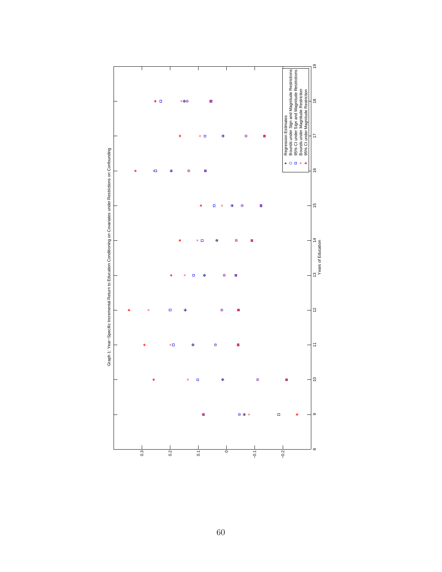

60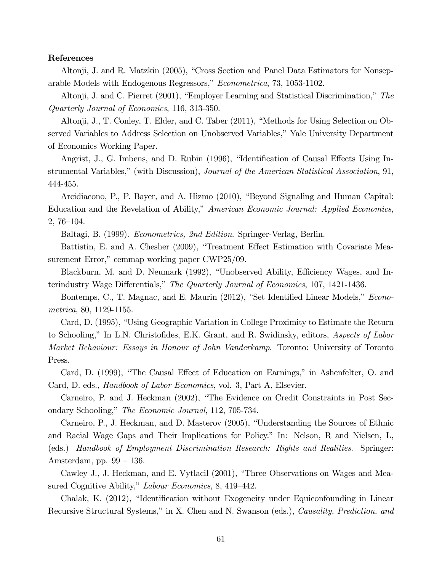#### References

Altonji, J. and R. Matzkin (2005), "Cross Section and Panel Data Estimators for Nonseparable Models with Endogenous Regressors," Econometrica, 73, 1053-1102.

Altonji, J. and C. Pierret  $(2001)$ , "Employer Learning and Statistical Discrimination," The Quarterly Journal of Economics, 116, 313-350.

Altonji, J., T. Conley, T. Elder, and C. Taber (2011), "Methods for Using Selection on Observed Variables to Address Selection on Unobserved Variables," Yale University Department of Economics Working Paper.

Angrist, J., G. Imbens, and D. Rubin (1996), "Identification of Causal Effects Using Instrumental Variables," (with Discussion), *Journal of the American Statistical Association*, 91, 444-455.

Arcidiacono, P., P. Bayer, and A. Hizmo (2010), "Beyond Signaling and Human Capital: Education and the Revelation of Ability," American Economic Journal: Applied Economics,  $2,76-104.$ 

Baltagi, B. (1999). Econometrics, 2nd Edition. Springer-Verlag, Berlin.

Battistin, E. and A. Chesher (2009), "Treatment Effect Estimation with Covariate Measurement Error," cemmap working paper  $CWP25/09$ .

Blackburn, M. and D. Neumark (1992), "Unobserved Ability, Efficiency Wages, and Interindustry Wage Differentials," The Quarterly Journal of Economics, 107, 1421-1436.

Bontemps, C., T. Magnac, and E. Maurin (2012), "Set Identified Linear Models," *Econo*metrica, 80, 1129-1155.

Card, D. (1995), "Using Geographic Variation in College Proximity to Estimate the Return to Schooling," In L.N. Christofides, E.K. Grant, and R. Swidinsky, editors, Aspects of Labor Market Behaviour: Essays in Honour of John Vanderkamp. Toronto: University of Toronto Press.

Card, D. (1999), "The Causal Effect of Education on Earnings," in Ashenfelter, O. and Card, D. eds., Handbook of Labor Economics, vol. 3, Part A, Elsevier.

Carneiro, P. and J. Heckman (2002), "The Evidence on Credit Constraints in Post Secondary Schooling," The Economic Journal, 112, 705-734.

Carneiro, P., J. Heckman, and D. Masterov (2005), "Understanding the Sources of Ethnic and Racial Wage Gaps and Their Implications for Policy." In: Nelson, R and Nielsen, L, (eds.) Handbook of Employment Discrimination Research: Rights and Realities. Springer: Amsterdam, pp.  $99 - 136$ .

Cawley J., J. Heckman, and E. Vytlacil (2001), "Three Observations on Wages and Measured Cognitive Ability," Labour Economics, 8, 419–442.

Chalak, K. (2012), "Identification without Exogeneity under Equiconfounding in Linear Recursive Structural Systems," in X. Chen and N. Swanson (eds.), Causality, Prediction, and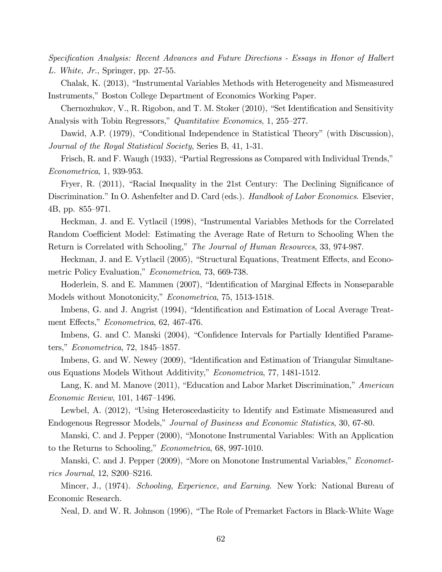Specification Analysis: Recent Advances and Future Directions - Essays in Honor of Halbert L. White, Jr., Springer, pp. 27-55.

Chalak, K. (2013), "Instrumental Variables Methods with Heterogeneity and Mismeasured Instruments," Boston College Department of Economics Working Paper.

Chernozhukov, V., R. Rigobon, and T. M. Stoker  $(2010)$ , "Set Identification and Sensitivity Analysis with Tobin Regressors," Quantitative Economics, 1, 255–277.

Dawid, A.P. (1979), "Conditional Independence in Statistical Theory" (with Discussion), Journal of the Royal Statistical Society, Series B, 41, 1-31.

Frisch, R. and F. Waugh  $(1933)$ , "Partial Regressions as Compared with Individual Trends," Econometrica, 1, 939-953.

Fryer, R.  $(2011)$ , "Racial Inequality in the 21st Century: The Declining Significance of Discrimination." In O. Ashenfelter and D. Card (eds.). Handbook of Labor Economics. Elsevier, 4B, pp.  $855-971$ .

Heckman, J. and E. Vytlacil (1998), "Instrumental Variables Methods for the Correlated Random Coefficient Model: Estimating the Average Rate of Return to Schooling When the Return is Correlated with Schooling," The Journal of Human Resources, 33, 974-987.

Heckman, J. and E. Vytlacil (2005), "Structural Equations, Treatment Effects, and Econometric Policy Evaluation," *Econometrica*, 73, 669-738.

Hoderlein, S. and E. Mammen (2007), "Identification of Marginal Effects in Nonseparable Models without Monotonicity," Econometrica, 75, 1513-1518.

Imbens, G. and J. Angrist (1994), "Identification and Estimation of Local Average Treatment Effects," Econometrica, 62, 467-476.

Imbens, G. and C. Manski (2004), "Confidence Intervals for Partially Identified Parameters,"  $Econometrica$ , 72, 1845–1857.

Imbens, G. and W. Newey (2009), "Identification and Estimation of Triangular Simultaneous Equations Models Without Additivity," Econometrica, 77, 1481-1512.

Lang, K. and M. Manove  $(2011)$ , "Education and Labor Market Discrimination," American  $Economic$  Review, 101, 1467–1496.

Lewbel, A. (2012), "Using Heteroscedasticity to Identify and Estimate Mismeasured and Endogenous Regressor Models," Journal of Business and Economic Statistics, 30, 67-80.

Manski, C. and J. Pepper (2000), "Monotone Instrumental Variables: With an Application to the Returns to Schooling," Econometrica, 68, 997-1010.

Manski, C. and J. Pepper (2009), "More on Monotone Instrumental Variables," *Economet*rics Journal, 12, S200–S216.

Mincer, J., (1974). Schooling, Experience, and Earning. New York: National Bureau of Economic Research.

Neal, D. and W. R. Johnson (1996), "The Role of Premarket Factors in Black-White Wage